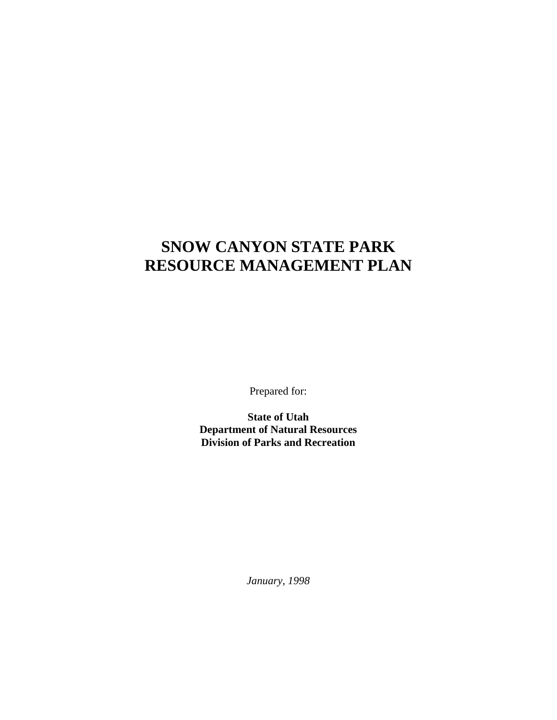### **SNOW CANYON STATE PARK RESOURCE MANAGEMENT PLAN**

Prepared for:

**State of Utah Department of Natural Resources Division of Parks and Recreation**

*January, 1998*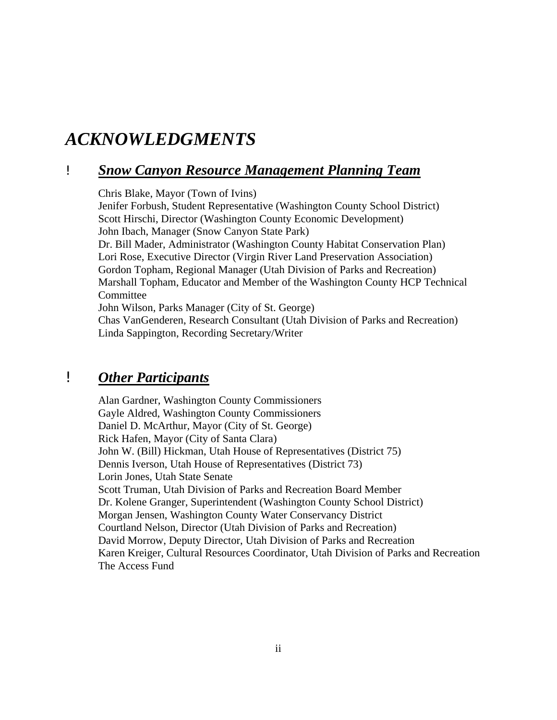### *ACKNOWLEDGMENTS*

#### ! *Snow Canyon Resource Management Planning Team*

Chris Blake, Mayor (Town of Ivins) Jenifer Forbush, Student Representative (Washington County School District) Scott Hirschi, Director (Washington County Economic Development) John Ibach, Manager (Snow Canyon State Park) Dr. Bill Mader, Administrator (Washington County Habitat Conservation Plan) Lori Rose, Executive Director (Virgin River Land Preservation Association) Gordon Topham, Regional Manager (Utah Division of Parks and Recreation) Marshall Topham, Educator and Member of the Washington County HCP Technical **Committee** John Wilson, Parks Manager (City of St. George) Chas VanGenderen, Research Consultant (Utah Division of Parks and Recreation) Linda Sappington, Recording Secretary/Writer

#### ! *Other Participants*

Alan Gardner, Washington County Commissioners Gayle Aldred, Washington County Commissioners Daniel D. McArthur, Mayor (City of St. George) Rick Hafen, Mayor (City of Santa Clara) John W. (Bill) Hickman, Utah House of Representatives (District 75) Dennis Iverson, Utah House of Representatives (District 73) Lorin Jones, Utah State Senate Scott Truman, Utah Division of Parks and Recreation Board Member Dr. Kolene Granger, Superintendent (Washington County School District) Morgan Jensen, Washington County Water Conservancy District Courtland Nelson, Director (Utah Division of Parks and Recreation) David Morrow, Deputy Director, Utah Division of Parks and Recreation Karen Kreiger, Cultural Resources Coordinator, Utah Division of Parks and Recreation The Access Fund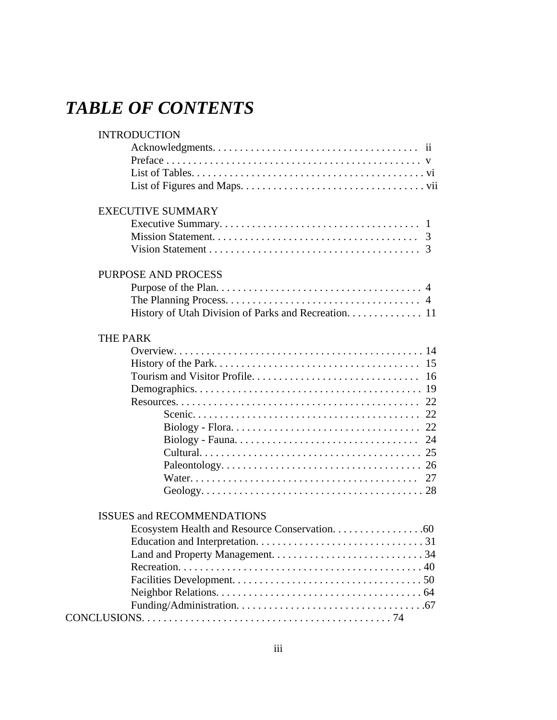## *TABLE OF CONTENTS*

| <b>INTRODUCTION</b>                                  |    |
|------------------------------------------------------|----|
|                                                      |    |
|                                                      |    |
|                                                      |    |
|                                                      |    |
| <b>EXECUTIVE SUMMARY</b>                             |    |
|                                                      |    |
|                                                      |    |
|                                                      |    |
| <b>PURPOSE AND PROCESS</b>                           |    |
|                                                      |    |
|                                                      |    |
| History of Utah Division of Parks and Recreation. 11 |    |
| <b>THE PARK</b>                                      |    |
|                                                      |    |
|                                                      |    |
|                                                      | 16 |
|                                                      |    |
|                                                      |    |
|                                                      |    |
|                                                      |    |
|                                                      |    |
|                                                      |    |
|                                                      |    |
|                                                      | 27 |
|                                                      |    |
| <b>ISSUES and RECOMMENDATIONS</b>                    |    |
|                                                      |    |
|                                                      |    |
|                                                      |    |
|                                                      |    |
|                                                      |    |
|                                                      |    |
|                                                      |    |
|                                                      |    |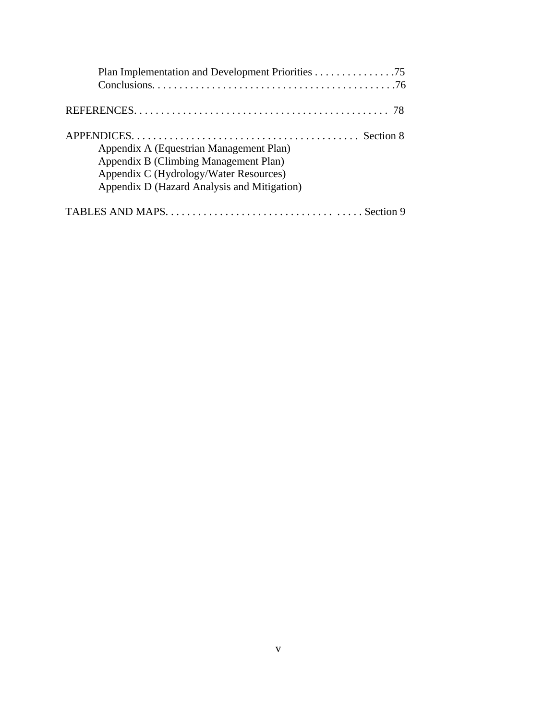| Appendix A (Equestrian Management Plan)<br>Appendix B (Climbing Management Plan)<br>Appendix C (Hydrology/Water Resources)<br>Appendix D (Hazard Analysis and Mitigation) |
|---------------------------------------------------------------------------------------------------------------------------------------------------------------------------|
|                                                                                                                                                                           |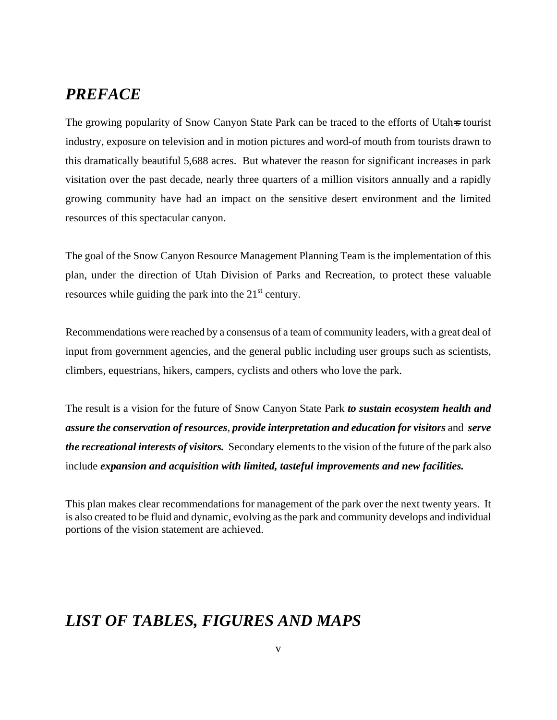#### *PREFACE*

The growing popularity of Snow Canyon State Park can be traced to the efforts of Utah<sub>s</sub> tourist industry, exposure on television and in motion pictures and word-of mouth from tourists drawn to this dramatically beautiful 5,688 acres. But whatever the reason for significant increases in park visitation over the past decade, nearly three quarters of a million visitors annually and a rapidly growing community have had an impact on the sensitive desert environment and the limited resources of this spectacular canyon.

The goal of the Snow Canyon Resource Management Planning Team is the implementation of this plan, under the direction of Utah Division of Parks and Recreation, to protect these valuable resources while guiding the park into the  $21<sup>st</sup>$  century.

Recommendations were reached by a consensus of a team of community leaders, with a great deal of input from government agencies, and the general public including user groups such as scientists, climbers, equestrians, hikers, campers, cyclists and others who love the park.

The result is a vision for the future of Snow Canyon State Park *to sustain ecosystem health and assure the conservation of resources*, *provide interpretation and education for visitors* and *serve the recreational interests of visitors.* Secondary elements to the vision of the future of the park also include *expansion and acquisition with limited, tasteful improvements and new facilities.*

This plan makes clear recommendations for management of the park over the next twenty years. It is also created to be fluid and dynamic, evolving as the park and community develops and individual portions of the vision statement are achieved.

#### *LIST OF TABLES, FIGURES AND MAPS*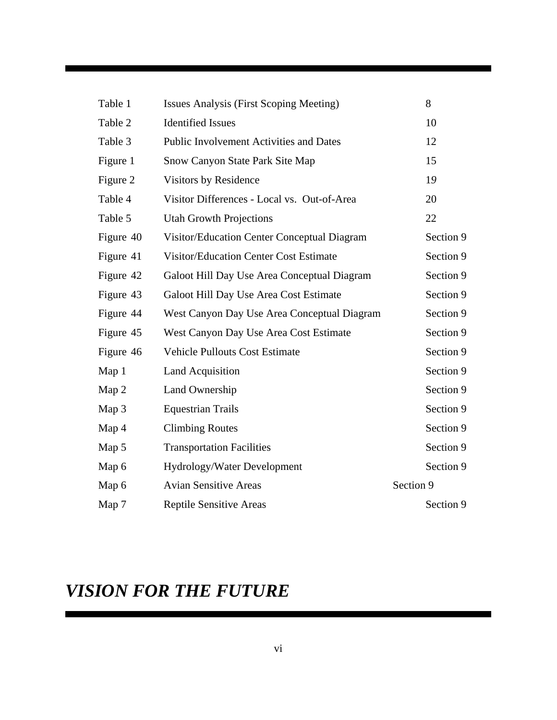| Table 1   | Issues Analysis (First Scoping Meeting)        | 8         |
|-----------|------------------------------------------------|-----------|
| Table 2   | <b>Identified Issues</b>                       | 10        |
| Table 3   | <b>Public Involvement Activities and Dates</b> | 12        |
| Figure 1  | Snow Canyon State Park Site Map                | 15        |
| Figure 2  | Visitors by Residence                          | 19        |
| Table 4   | Visitor Differences - Local vs. Out-of-Area    | 20        |
| Table 5   | <b>Utah Growth Projections</b>                 | 22        |
| Figure 40 | Visitor/Education Center Conceptual Diagram    | Section 9 |
| Figure 41 | <b>Visitor/Education Center Cost Estimate</b>  | Section 9 |
| Figure 42 | Galoot Hill Day Use Area Conceptual Diagram    | Section 9 |
| Figure 43 | Galoot Hill Day Use Area Cost Estimate         | Section 9 |
| Figure 44 | West Canyon Day Use Area Conceptual Diagram    | Section 9 |
| Figure 45 | West Canyon Day Use Area Cost Estimate         | Section 9 |
| Figure 46 | <b>Vehicle Pullouts Cost Estimate</b>          | Section 9 |
| Map 1     | <b>Land Acquisition</b>                        | Section 9 |
| Map 2     | Land Ownership                                 | Section 9 |
| Map 3     | <b>Equestrian Trails</b>                       | Section 9 |
| Map 4     | <b>Climbing Routes</b>                         | Section 9 |
| Map 5     | <b>Transportation Facilities</b>               | Section 9 |
| Map 6     | Hydrology/Water Development                    | Section 9 |
| Map 6     | <b>Avian Sensitive Areas</b>                   | Section 9 |
| Map 7     | <b>Reptile Sensitive Areas</b>                 | Section 9 |

# *VISION FOR THE FUTURE*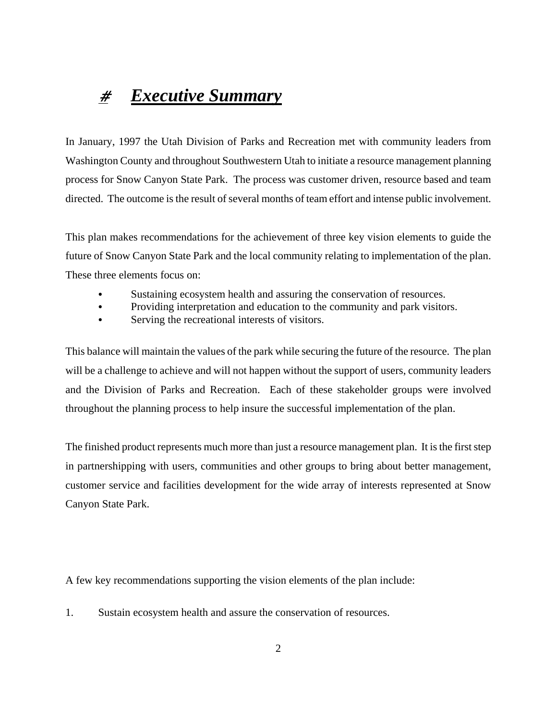### # *Executive Summary*

In January, 1997 the Utah Division of Parks and Recreation met with community leaders from Washington County and throughout Southwestern Utah to initiate a resource management planning process for Snow Canyon State Park. The process was customer driven, resource based and team directed. The outcome is the result of several months of team effort and intense public involvement.

This plan makes recommendations for the achievement of three key vision elements to guide the future of Snow Canyon State Park and the local community relating to implementation of the plan. These three elements focus on:

- C Sustaining ecosystem health and assuring the conservation of resources.
- Providing interpretation and education to the community and park visitors.
- Serving the recreational interests of visitors.

This balance will maintain the values of the park while securing the future of the resource. The plan will be a challenge to achieve and will not happen without the support of users, community leaders and the Division of Parks and Recreation. Each of these stakeholder groups were involved throughout the planning process to help insure the successful implementation of the plan.

The finished product represents much more than just a resource management plan. It is the first step in partnershipping with users, communities and other groups to bring about better management, customer service and facilities development for the wide array of interests represented at Snow Canyon State Park.

A few key recommendations supporting the vision elements of the plan include:

1. Sustain ecosystem health and assure the conservation of resources.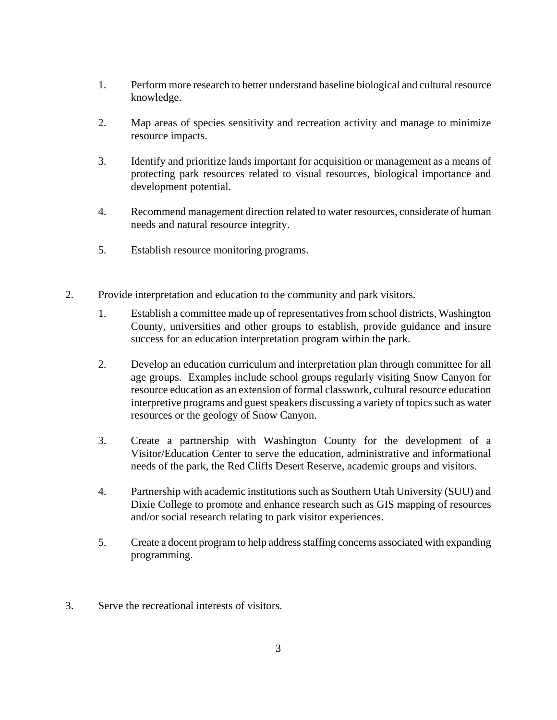- 1. Perform more research to better understand baseline biological and cultural resource knowledge.
- 2. Map areas of species sensitivity and recreation activity and manage to minimize resource impacts.
- 3. Identify and prioritize lands important for acquisition or management as a means of protecting park resources related to visual resources, biological importance and development potential.
- 4. Recommend management direction related to water resources, considerate of human needs and natural resource integrity.
- 5. Establish resource monitoring programs.
- 2. Provide interpretation and education to the community and park visitors.
	- 1. Establish a committee made up of representatives from school districts, Washington County, universities and other groups to establish, provide guidance and insure success for an education interpretation program within the park.
	- 2. Develop an education curriculum and interpretation plan through committee for all age groups. Examples include school groups regularly visiting Snow Canyon for resource education as an extension of formal classwork, cultural resource education interpretive programs and guest speakers discussing a variety of topics such as water resources or the geology of Snow Canyon.
	- 3. Create a partnership with Washington County for the development of a Visitor/Education Center to serve the education, administrative and informational needs of the park, the Red Cliffs Desert Reserve, academic groups and visitors.
	- 4. Partnership with academic institutions such as Southern Utah University (SUU) and Dixie College to promote and enhance research such as GIS mapping of resources and/or social research relating to park visitor experiences.
	- 5. Create a docent program to help address staffing concerns associated with expanding programming.
- 3. Serve the recreational interests of visitors.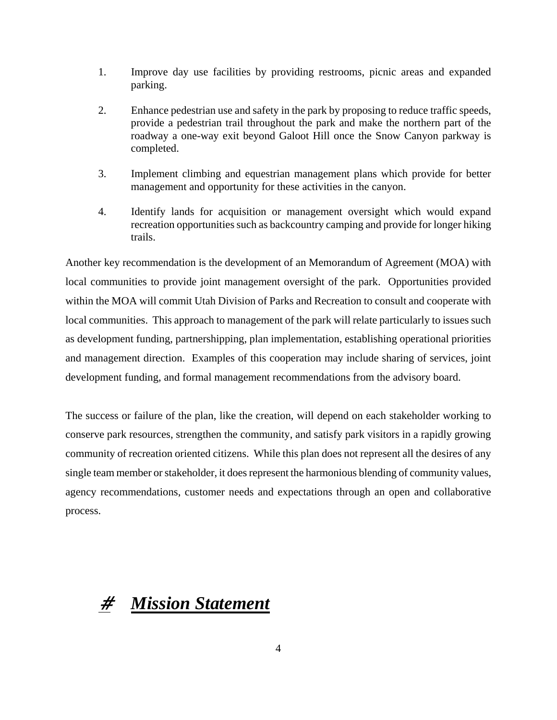- 1. Improve day use facilities by providing restrooms, picnic areas and expanded parking.
- 2. Enhance pedestrian use and safety in the park by proposing to reduce traffic speeds, provide a pedestrian trail throughout the park and make the northern part of the roadway a one-way exit beyond Galoot Hill once the Snow Canyon parkway is completed.
- 3. Implement climbing and equestrian management plans which provide for better management and opportunity for these activities in the canyon.
- 4. Identify lands for acquisition or management oversight which would expand recreation opportunities such as backcountry camping and provide for longer hiking trails.

Another key recommendation is the development of an Memorandum of Agreement (MOA) with local communities to provide joint management oversight of the park. Opportunities provided within the MOA will commit Utah Division of Parks and Recreation to consult and cooperate with local communities. This approach to management of the park will relate particularly to issues such as development funding, partnershipping, plan implementation, establishing operational priorities and management direction. Examples of this cooperation may include sharing of services, joint development funding, and formal management recommendations from the advisory board.

The success or failure of the plan, like the creation, will depend on each stakeholder working to conserve park resources, strengthen the community, and satisfy park visitors in a rapidly growing community of recreation oriented citizens. While this plan does not represent all the desires of any single team member or stakeholder, it does represent the harmonious blending of community values, agency recommendations, customer needs and expectations through an open and collaborative process.

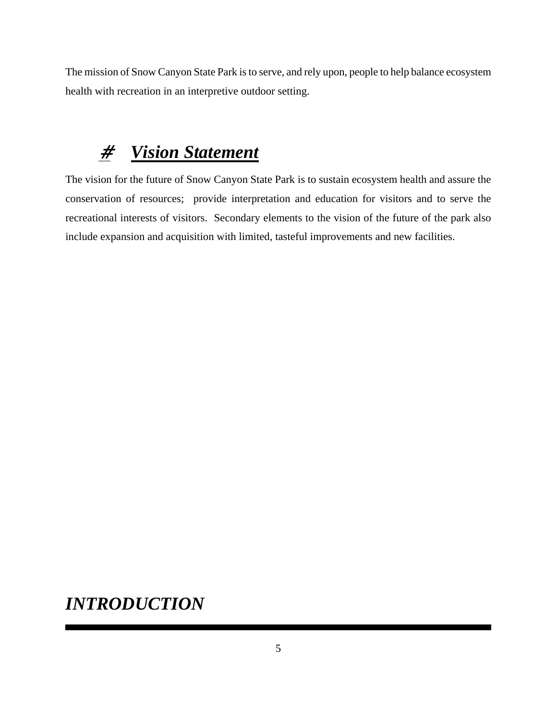The mission of Snow Canyon State Park is to serve, and rely upon, people to help balance ecosystem health with recreation in an interpretive outdoor setting.

# # *Vision Statement*

The vision for the future of Snow Canyon State Park is to sustain ecosystem health and assure the conservation of resources; provide interpretation and education for visitors and to serve the recreational interests of visitors. Secondary elements to the vision of the future of the park also include expansion and acquisition with limited, tasteful improvements and new facilities.

### *INTRODUCTION*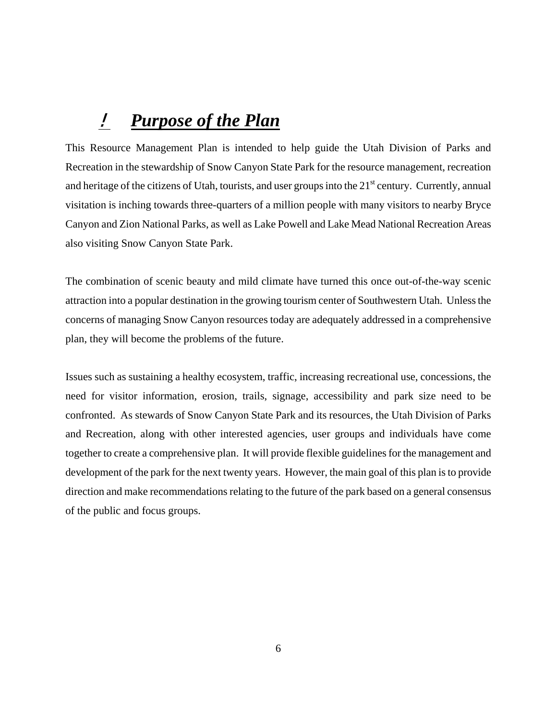### ! *Purpose of the Plan*

This Resource Management Plan is intended to help guide the Utah Division of Parks and Recreation in the stewardship of Snow Canyon State Park for the resource management, recreation and heritage of the citizens of Utah, tourists, and user groups into the  $21<sup>st</sup>$  century. Currently, annual visitation is inching towards three-quarters of a million people with many visitors to nearby Bryce Canyon and Zion National Parks, as well as Lake Powell and Lake Mead National Recreation Areas also visiting Snow Canyon State Park.

The combination of scenic beauty and mild climate have turned this once out-of-the-way scenic attraction into a popular destination in the growing tourism center of Southwestern Utah. Unless the concerns of managing Snow Canyon resources today are adequately addressed in a comprehensive plan, they will become the problems of the future.

Issues such as sustaining a healthy ecosystem, traffic, increasing recreational use, concessions, the need for visitor information, erosion, trails, signage, accessibility and park size need to be confronted. As stewards of Snow Canyon State Park and its resources, the Utah Division of Parks and Recreation, along with other interested agencies, user groups and individuals have come together to create a comprehensive plan. It will provide flexible guidelines for the management and development of the park for the next twenty years. However, the main goal of this plan is to provide direction and make recommendations relating to the future of the park based on a general consensus of the public and focus groups.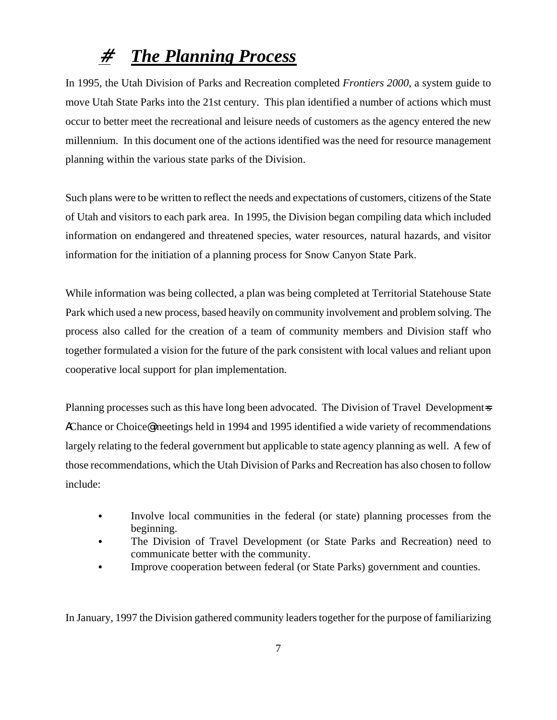## # *The Planning Process*

In 1995, the Utah Division of Parks and Recreation completed *Frontiers 2000*, a system guide to move Utah State Parks into the 21st century. This plan identified a number of actions which must occur to better meet the recreational and leisure needs of customers as the agency entered the new millennium. In this document one of the actions identified was the need for resource management planning within the various state parks of the Division.

Such plans were to be written to reflect the needs and expectations of customers, citizens of the State of Utah and visitors to each park area. In 1995, the Division began compiling data which included information on endangered and threatened species, water resources, natural hazards, and visitor information for the initiation of a planning process for Snow Canyon State Park.

While information was being collected, a plan was being completed at Territorial Statehouse State Park which used a new process, based heavily on community involvement and problem solving. The process also called for the creation of a team of community members and Division staff who together formulated a vision for the future of the park consistent with local values and reliant upon cooperative local support for plan implementation.

Planning processes such as this have long been advocated. The Division of Travel Developments **Chance or Choice@** meetings held in 1994 and 1995 identified a wide variety of recommendations largely relating to the federal government but applicable to state agency planning as well. A few of those recommendations, which the Utah Division of Parks and Recreation has also chosen to follow include:

- Involve local communities in the federal (or state) planning processes from the beginning.
- The Division of Travel Development (or State Parks and Recreation) need to communicate better with the community.
- Improve cooperation between federal (or State Parks) government and counties.

In January, 1997 the Division gathered community leaders together for the purpose of familiarizing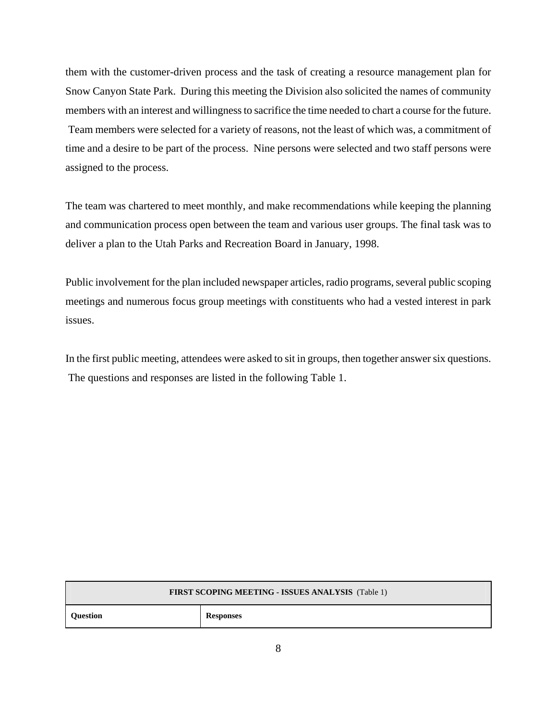them with the customer-driven process and the task of creating a resource management plan for Snow Canyon State Park. During this meeting the Division also solicited the names of community members with an interest and willingness to sacrifice the time needed to chart a course for the future. Team members were selected for a variety of reasons, not the least of which was, a commitment of time and a desire to be part of the process. Nine persons were selected and two staff persons were assigned to the process.

The team was chartered to meet monthly, and make recommendations while keeping the planning and communication process open between the team and various user groups. The final task was to deliver a plan to the Utah Parks and Recreation Board in January, 1998.

Public involvement for the plan included newspaper articles, radio programs, several public scoping meetings and numerous focus group meetings with constituents who had a vested interest in park issues.

In the first public meeting, attendees were asked to sit in groups, then together answer six questions. The questions and responses are listed in the following Table 1.

| <b>FIRST SCOPING MEETING - ISSUES ANALYSIS</b> (Table 1) |                  |  |  |
|----------------------------------------------------------|------------------|--|--|
| <b>Question</b>                                          | <b>Responses</b> |  |  |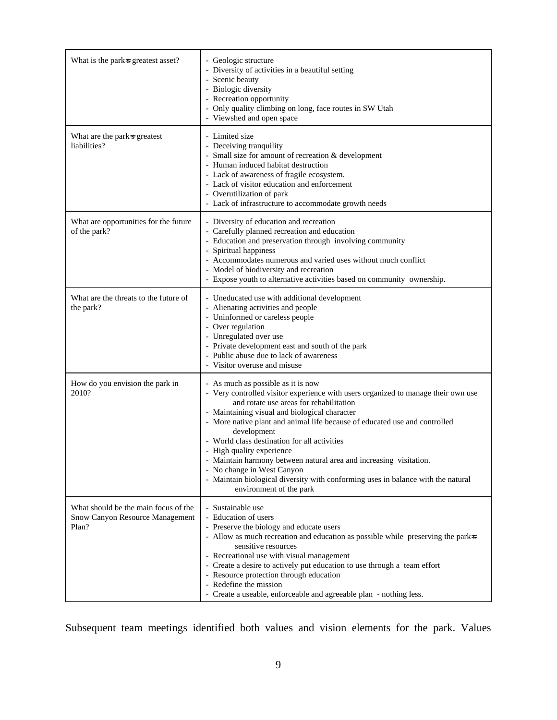| What is the parks greatest asset?                                                | - Geologic structure<br>- Diversity of activities in a beautiful setting<br>- Scenic beauty<br>- Biologic diversity<br>- Recreation opportunity<br>- Only quality climbing on long, face routes in SW Utah<br>- Viewshed and open space                                                                                                                                                                                                                                                                                                                                                                          |
|----------------------------------------------------------------------------------|------------------------------------------------------------------------------------------------------------------------------------------------------------------------------------------------------------------------------------------------------------------------------------------------------------------------------------------------------------------------------------------------------------------------------------------------------------------------------------------------------------------------------------------------------------------------------------------------------------------|
| What are the park <sup>3</sup> greatest<br>liabilities?                          | - Limited size<br>- Deceiving tranquility<br>- Small size for amount of recreation & development<br>- Human induced habitat destruction<br>- Lack of awareness of fragile ecosystem.<br>- Lack of visitor education and enforcement<br>- Overutilization of park<br>- Lack of infrastructure to accommodate growth needs                                                                                                                                                                                                                                                                                         |
| What are opportunities for the future<br>of the park?                            | - Diversity of education and recreation<br>- Carefully planned recreation and education<br>- Education and preservation through involving community<br>- Spiritual happiness<br>- Accommodates numerous and varied uses without much conflict<br>- Model of biodiversity and recreation<br>- Expose youth to alternative activities based on community ownership.                                                                                                                                                                                                                                                |
| What are the threats to the future of<br>the park?                               | - Uneducated use with additional development<br>- Alienating activities and people<br>- Uninformed or careless people<br>- Over regulation<br>- Unregulated over use<br>- Private development east and south of the park<br>- Public abuse due to lack of awareness<br>- Visitor overuse and misuse                                                                                                                                                                                                                                                                                                              |
| How do you envision the park in<br>2010?                                         | - As much as possible as it is now<br>- Very controlled visitor experience with users organized to manage their own use<br>and rotate use areas for rehabilitation<br>- Maintaining visual and biological character<br>- More native plant and animal life because of educated use and controlled<br>development<br>- World class destination for all activities<br>- High quality experience<br>- Maintain harmony between natural area and increasing visitation.<br>- No change in West Canyon<br>- Maintain biological diversity with conforming uses in balance with the natural<br>environment of the park |
| What should be the main focus of the<br>Snow Canyon Resource Management<br>Plan? | - Sustainable use<br>- Education of users<br>- Preserve the biology and educate users<br>- Allow as much recreation and education as possible while preserving the park<br>sensitive resources<br>- Recreational use with visual management<br>- Create a desire to actively put education to use through a team effort<br>- Resource protection through education<br>- Redefine the mission<br>- Create a useable, enforceable and agreeable plan - nothing less.                                                                                                                                               |

Subsequent team meetings identified both values and vision elements for the park. Values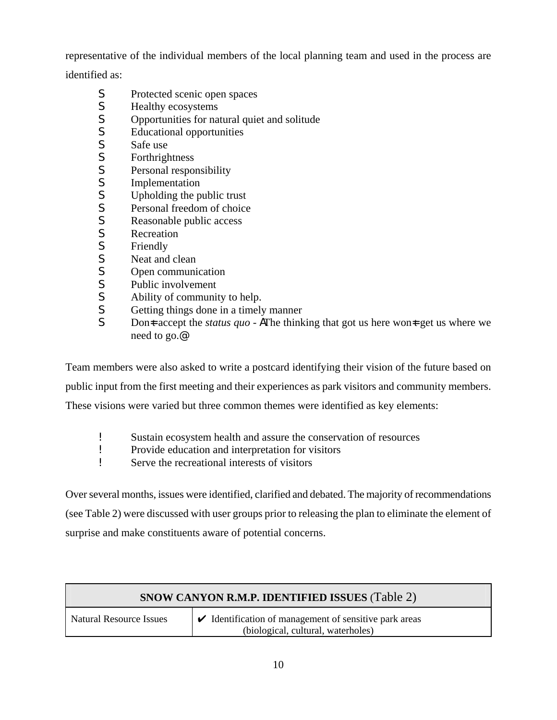representative of the individual members of the local planning team and used in the process are

identified as:

- **S** Protected scenic open spaces
- **S** Healthy ecosystems
- **S** Opportunities for natural quiet and solitude<br> **S** Educational opportunities
- Educational opportunities
- **S** Safe use
- **S** Forthrightness
- **S** Personal responsibility
- **S** Implementation<br>**S** Upholding the p
- Upholding the public trust
- **S** Personal freedom of choice<br> **S** Reasonable public access
- Reasonable public access
- **S** Recreation
- **S** Friendly
- **S** Neat and clean
- **S** Open communication
- **S** Public involvement
- **S** Ability of community to help.
- **S** Getting things done in a timely manner
- S Don<sub>t</sub> accept the *status quo* **A**The thinking that got us here won<sub>t</sub> get us where we need to go.@

Team members were also asked to write a postcard identifying their vision of the future based on

public input from the first meeting and their experiences as park visitors and community members.

These visions were varied but three common themes were identified as key elements:

- **Exercise Sustain ecosystem health and assure the conservation of resources**<br>Provide education and interpretation for visitors
- ! Provide education and interpretation for visitors
- ! Serve the recreational interests of visitors

Over several months, issues were identified, clarified and debated. The majority of recommendations (see Table 2) were discussed with user groups prior to releasing the plan to eliminate the element of surprise and make constituents aware of potential concerns.

| <b>SNOW CANYON R.M.P. IDENTIFIED ISSUES (Table 2)</b> |                                                                                                                  |  |  |
|-------------------------------------------------------|------------------------------------------------------------------------------------------------------------------|--|--|
| <b>Natural Resource Issues</b>                        | $\blacktriangleright$ Identification of management of sensitive park areas<br>(biological, cultural, waterholes) |  |  |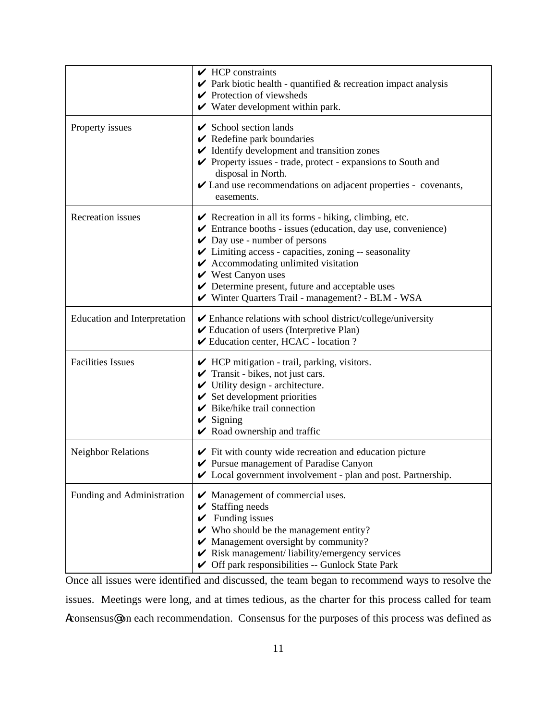|                                     | $\sqrt{HCP}$ constraints<br>$\vee$ Park biotic health - quantified & recreation impact analysis<br>$\blacktriangleright$ Protection of viewsheds<br>$\checkmark$ Water development within park.                                                                                                                                                                                                                                                                                      |
|-------------------------------------|--------------------------------------------------------------------------------------------------------------------------------------------------------------------------------------------------------------------------------------------------------------------------------------------------------------------------------------------------------------------------------------------------------------------------------------------------------------------------------------|
| Property issues                     | $\checkmark$ School section lands<br>$\vee$ Redefine park boundaries<br>$\checkmark$ Identify development and transition zones<br>$\triangleright$ Property issues - trade, protect - expansions to South and<br>disposal in North.<br>✔ Land use recommendations on adjacent properties - covenants,<br>easements.                                                                                                                                                                  |
| Recreation issues                   | $\triangleright$ Recreation in all its forms - hiking, climbing, etc.<br>$\blacktriangleright$ Entrance booths - issues (education, day use, convenience)<br>$\vee$ Day use - number of persons<br>✔ Limiting access - capacities, zoning -- seasonality<br>$\blacktriangleright$ Accommodating unlimited visitation<br>$\mathbf{\check{V}}$ West Canyon uses<br>$\triangleright$ Determine present, future and acceptable uses<br>V Winter Quarters Trail - management? - BLM - WSA |
| <b>Education and Interpretation</b> | $\checkmark$ Enhance relations with school district/college/university<br>✔ Education of users (Interpretive Plan)<br>✔ Education center, HCAC - location ?                                                                                                                                                                                                                                                                                                                          |
| <b>Facilities Issues</b>            | $\blacktriangleright$ HCP mitigation - trail, parking, visitors.<br>$\checkmark$ Transit - bikes, not just cars.<br>$\checkmark$ Utility design - architecture.<br>$\checkmark$ Set development priorities<br>$\blacktriangleright$ Bike/hike trail connection<br>$\checkmark$ Signing<br>$\vee$ Road ownership and traffic                                                                                                                                                          |
| <b>Neighbor Relations</b>           | $\blacktriangleright$ Fit with county wide recreation and education picture<br>Pursue management of Paradise Canyon<br>✔ Local government involvement - plan and post. Partnership.                                                                                                                                                                                                                                                                                                  |
| Funding and Administration          | $\mathcal V$ Management of commercial uses.<br>$\checkmark$ Staffing needs<br>$\checkmark$ Funding issues<br>$\checkmark$ Who should be the management entity?<br>$\blacktriangleright$ Management oversight by community?<br>$\blacktriangleright$ Risk management/liability/emergency services<br>Get Off park responsibilities -- Gunlock State Park                                                                                                                              |

Once all issues were identified and discussed, the team began to recommend ways to resolve the issues. Meetings were long, and at times tedious, as the charter for this process called for team Aconsensus@ on each recommendation. Consensus for the purposes of this process was defined as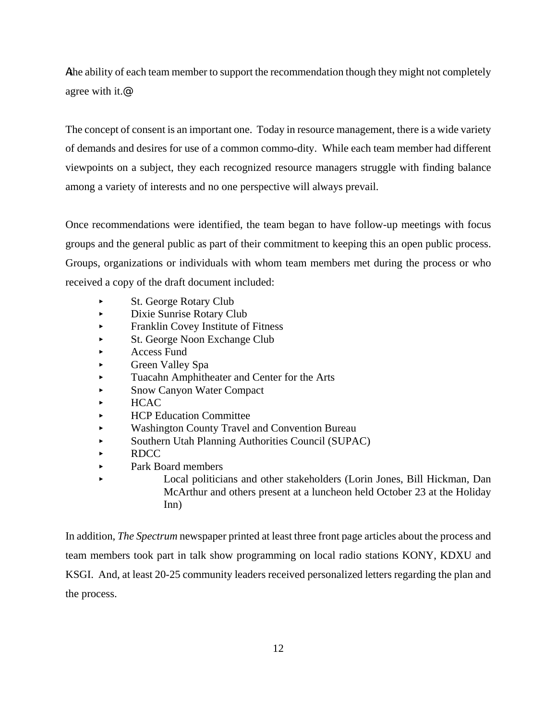Athe ability of each team member to support the recommendation though they might not completely agree with it.@

The concept of consent is an important one. Today in resource management, there is a wide variety of demands and desires for use of a common commo-dity. While each team member had different viewpoints on a subject, they each recognized resource managers struggle with finding balance among a variety of interests and no one perspective will always prevail.

Once recommendations were identified, the team began to have follow-up meetings with focus groups and the general public as part of their commitment to keeping this an open public process. Groups, organizations or individuals with whom team members met during the process or who received a copy of the draft document included:

- St. George Rotary Club
- < Dixie Sunrise Rotary Club
- < Franklin Covey Institute of Fitness
- St. George Noon Exchange Club
- **Access Fund**
- Green Valley Spa
- < Tuacahn Amphitheater and Center for the Arts
- **Snow Canyon Water Compact**
- < HCAC
- < HCP Education Committee
- < Washington County Travel and Convention Bureau
- < Southern Utah Planning Authorities Council (SUPAC)
- < RDCC
- ► Park Board members
- Local politicians and other stakeholders (Lorin Jones, Bill Hickman, Dan McArthur and others present at a luncheon held October 23 at the Holiday Inn)

In addition, *The Spectrum* newspaper printed at least three front page articles about the process and team members took part in talk show programming on local radio stations KONY, KDXU and KSGI. And, at least 20-25 community leaders received personalized letters regarding the plan and the process.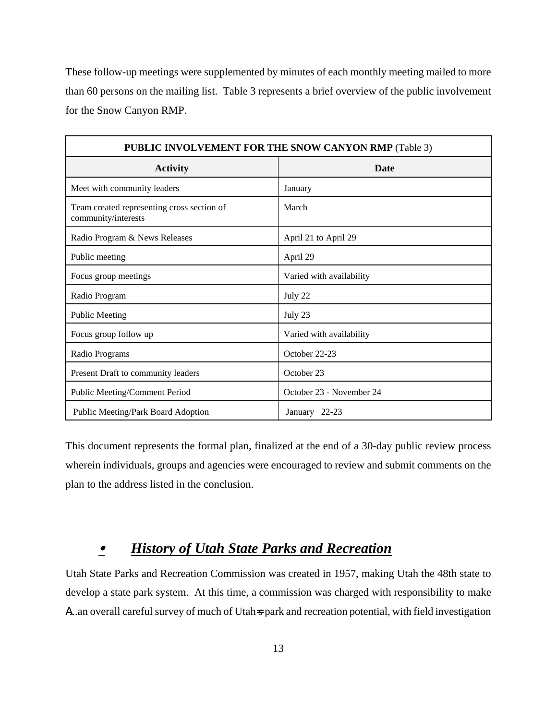These follow-up meetings were supplemented by minutes of each monthly meeting mailed to more than 60 persons on the mailing list. Table 3 represents a brief overview of the public involvement for the Snow Canyon RMP.

| PUBLIC INVOLVEMENT FOR THE SNOW CANYON RMP (Table 3)              |                          |  |  |  |
|-------------------------------------------------------------------|--------------------------|--|--|--|
| <b>Activity</b>                                                   | <b>Date</b>              |  |  |  |
| Meet with community leaders                                       | January                  |  |  |  |
| Team created representing cross section of<br>community/interests | March                    |  |  |  |
| Radio Program & News Releases                                     | April 21 to April 29     |  |  |  |
| Public meeting                                                    | April 29                 |  |  |  |
| Focus group meetings                                              | Varied with availability |  |  |  |
| Radio Program                                                     | July 22                  |  |  |  |
| <b>Public Meeting</b>                                             | July 23                  |  |  |  |
| Focus group follow up                                             | Varied with availability |  |  |  |
| Radio Programs                                                    | October 22-23            |  |  |  |
| Present Draft to community leaders                                | October 23               |  |  |  |
| Public Meeting/Comment Period                                     | October 23 - November 24 |  |  |  |
| Public Meeting/Park Board Adoption                                | January 22-23            |  |  |  |

This document represents the formal plan, finalized at the end of a 30-day public review process wherein individuals, groups and agencies were encouraged to review and submit comments on the plan to the address listed in the conclusion.

#### $\bullet$ *History of Utah State Parks and Recreation*

Utah State Parks and Recreation Commission was created in 1957, making Utah the 48th state to develop a state park system. At this time, a commission was charged with responsibility to make A...an overall careful survey of much of Utah<sub></sub> park and recreation potential, with field investigation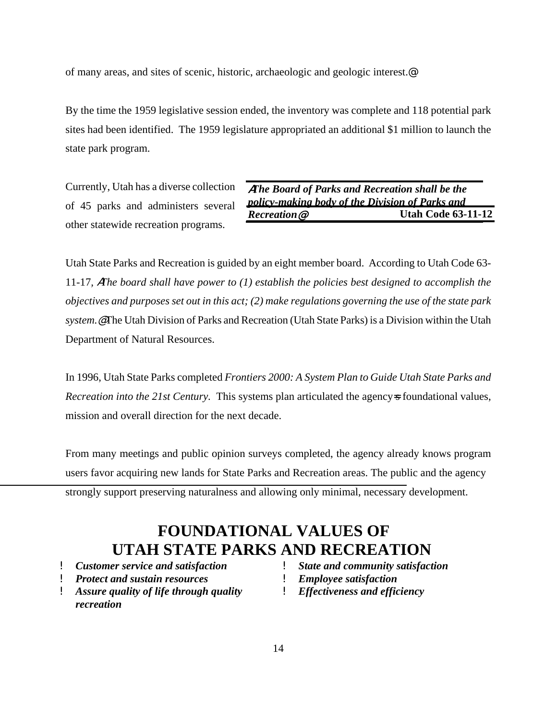of many areas, and sites of scenic, historic, archaeologic and geologic interest.@

By the time the 1959 legislative session ended, the inventory was complete and 118 potential park sites had been identified. The 1959 legislature appropriated an additional \$1 million to launch the state park program.

Currently, Utah has a diverse collection of 45 parks and administers several other statewide recreation programs.

A*The Board of Parks and Recreation shall be the policy-making body of the Division of Parks and Recreation*@ **Utah Code 63-11-12**

Utah State Parks and Recreation is guided by an eight member board. According to Utah Code 63- 11-17*,* A*The board shall have power to (1) establish the policies best designed to accomplish the objectives and purposes set out in this act; (2) make regulations governing the use of the state park system.*@The Utah Division of Parks and Recreation (Utah State Parks) is a Division within the Utah Department of Natural Resources.

In 1996, Utah State Parks completed *Frontiers 2000: A System Plan to Guide Utah State Parks and Recreation into the 21st Century.* This systems plan articulated the agency<sub>s</sub> foundational values, mission and overall direction for the next decade.

From many meetings and public opinion surveys completed, the agency already knows program users favor acquiring new lands for State Parks and Recreation areas. The public and the agency strongly support preserving naturalness and allowing only minimal, necessary development.

### **FOUNDATIONAL VALUES OF UTAH STATE PARKS AND RECREATION**

- ! *Customer service and satisfaction*
- ! *Protect and sustain resources*
- ! *Assure quality of life through quality recreation*
- ! *State and community satisfaction*
- ! *Employee satisfaction*
- ! *Effectiveness and efficiency*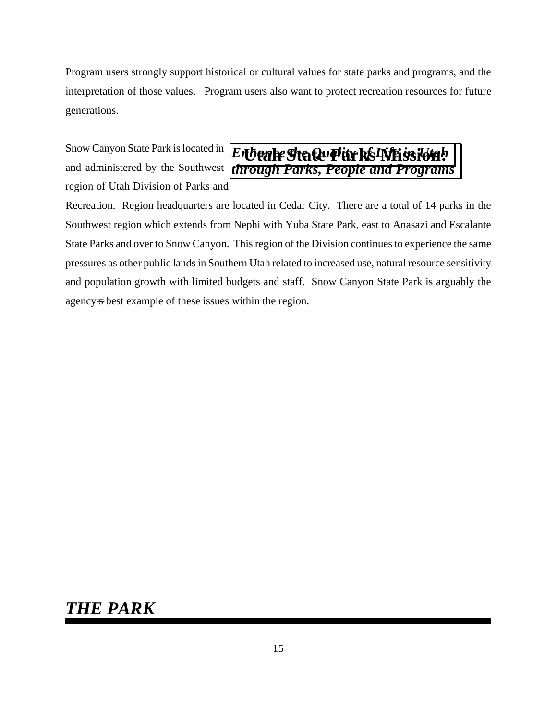Program users strongly support historical or cultural values for state parks and programs, and the interpretation of those values. Program users also want to protect recreation resources for future generations.

Snow Canyon State Park is located in and administered by the Southwest region of Utah Division of Parks and



Recreation. Region headquarters are located in Cedar City. There are a total of 14 parks in the Southwest region which extends from Nephi with Yuba State Park, east to Anasazi and Escalante State Parks and over to Snow Canyon. This region of the Division continues to experience the same pressures as other public lands in Southern Utah related to increased use, natural resource sensitivity and population growth with limited budgets and staff. Snow Canyon State Park is arguably the agency=s best example of these issues within the region.

### *THE PARK*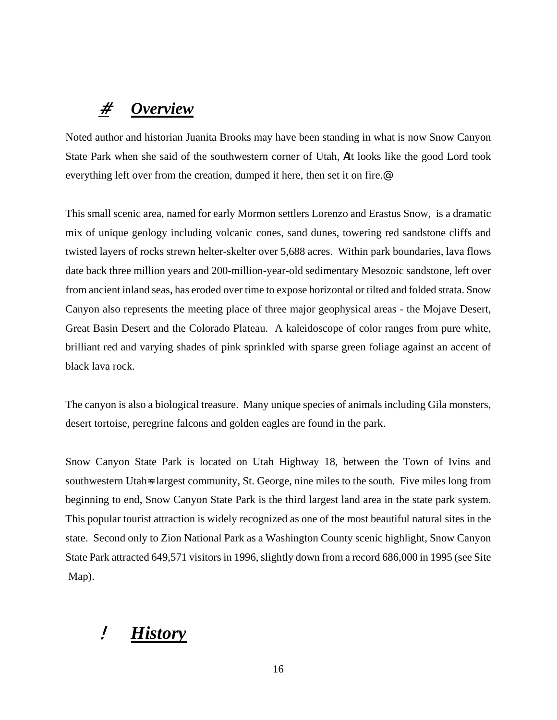### # *Overview*

Noted author and historian Juanita Brooks may have been standing in what is now Snow Canyon State Park when she said of the southwestern corner of Utah, **AI**t looks like the good Lord took everything left over from the creation, dumped it here, then set it on fire.@

This small scenic area, named for early Mormon settlers Lorenzo and Erastus Snow, is a dramatic mix of unique geology including volcanic cones, sand dunes, towering red sandstone cliffs and twisted layers of rocks strewn helter-skelter over 5,688 acres. Within park boundaries, lava flows date back three million years and 200-million-year-old sedimentary Mesozoic sandstone, left over from ancient inland seas, has eroded over time to expose horizontal or tilted and folded strata. Snow Canyon also represents the meeting place of three major geophysical areas - the Mojave Desert, Great Basin Desert and the Colorado Plateau. A kaleidoscope of color ranges from pure white, brilliant red and varying shades of pink sprinkled with sparse green foliage against an accent of black lava rock.

The canyon is also a biological treasure. Many unique species of animals including Gila monsters, desert tortoise, peregrine falcons and golden eagles are found in the park.

Snow Canyon State Park is located on Utah Highway 18, between the Town of Ivins and southwestern Utah<sub>s</sub> largest community, St. George, nine miles to the south. Five miles long from beginning to end, Snow Canyon State Park is the third largest land area in the state park system. This popular tourist attraction is widely recognized as one of the most beautiful natural sites in the state. Second only to Zion National Park as a Washington County scenic highlight, Snow Canyon State Park attracted 649,571 visitors in 1996, slightly down from a record 686,000 in 1995 (see Site Map).

### ! *History*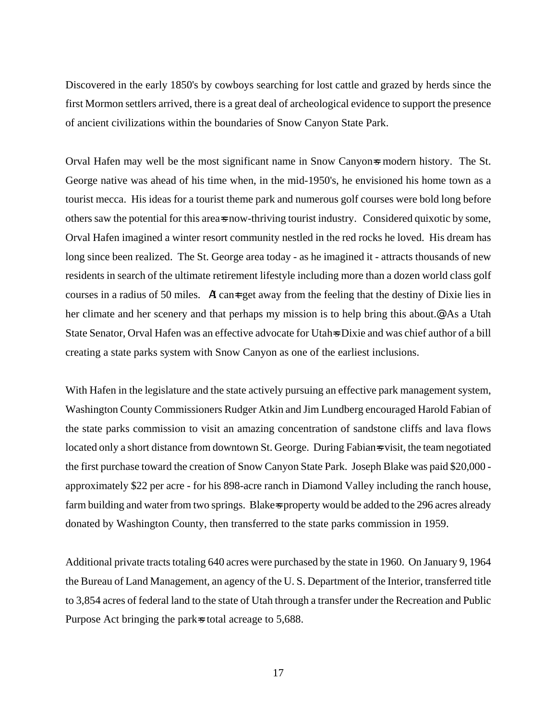Discovered in the early 1850's by cowboys searching for lost cattle and grazed by herds since the first Mormon settlers arrived, there is a great deal of archeological evidence to support the presence of ancient civilizations within the boundaries of Snow Canyon State Park.

Orval Hafen may well be the most significant name in Snow Canyon<sub>s</sub> modern history. The St. George native was ahead of his time when, in the mid-1950's, he envisioned his home town as a tourist mecca. His ideas for a tourist theme park and numerous golf courses were bold long before others saw the potential for this area=s now-thriving tourist industry. Considered quixotic by some, Orval Hafen imagined a winter resort community nestled in the red rocks he loved. His dream has long since been realized. The St. George area today - as he imagined it - attracts thousands of new residents in search of the ultimate retirement lifestyle including more than a dozen world class golf courses in a radius of 50 miles.  $\blacksquare$  can  $\uparrow$  get away from the feeling that the destiny of Dixie lies in her climate and her scenery and that perhaps my mission is to help bring this about.<sup>@</sup> As a Utah State Senator, Orval Hafen was an effective advocate for Utah<sub></sub> Dixie and was chief author of a bill creating a state parks system with Snow Canyon as one of the earliest inclusions.

With Hafen in the legislature and the state actively pursuing an effective park management system, Washington County Commissioners Rudger Atkin and Jim Lundberg encouraged Harold Fabian of the state parks commission to visit an amazing concentration of sandstone cliffs and lava flows located only a short distance from downtown St. George. During Fabian<sup>s</sup> visit, the team negotiated the first purchase toward the creation of Snow Canyon State Park. Joseph Blake was paid \$20,000 approximately \$22 per acre - for his 898-acre ranch in Diamond Valley including the ranch house, farm building and water from two springs. Blakes property would be added to the 296 acres already donated by Washington County, then transferred to the state parks commission in 1959.

Additional private tracts totaling 640 acres were purchased by the state in 1960. On January 9, 1964 the Bureau of Land Management, an agency of the U. S. Department of the Interior, transferred title to 3,854 acres of federal land to the state of Utah through a transfer under the Recreation and Public Purpose Act bringing the park<sup>st</sup> total acreage to 5,688.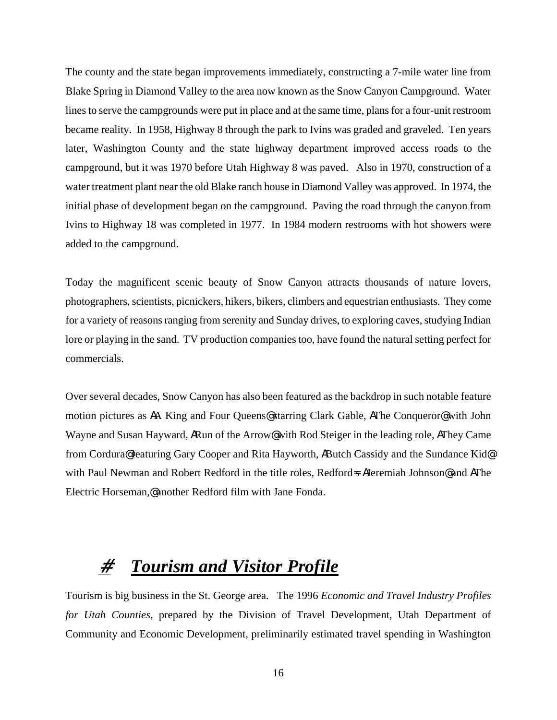The county and the state began improvements immediately, constructing a 7-mile water line from Blake Spring in Diamond Valley to the area now known as the Snow Canyon Campground. Water lines to serve the campgrounds were put in place and at the same time, plans for a four-unit restroom became reality. In 1958, Highway 8 through the park to Ivins was graded and graveled. Ten years later, Washington County and the state highway department improved access roads to the campground, but it was 1970 before Utah Highway 8 was paved. Also in 1970, construction of a water treatment plant near the old Blake ranch house in Diamond Valley was approved. In 1974, the initial phase of development began on the campground. Paving the road through the canyon from Ivins to Highway 18 was completed in 1977. In 1984 modern restrooms with hot showers were added to the campground.

Today the magnificent scenic beauty of Snow Canyon attracts thousands of nature lovers, photographers, scientists, picnickers, hikers, bikers, climbers and equestrian enthusiasts. They come for a variety of reasons ranging from serenity and Sunday drives, to exploring caves, studying Indian lore or playing in the sand. TV production companies too, have found the natural setting perfect for commercials.

Over several decades, Snow Canyon has also been featured as the backdrop in such notable feature motion pictures as **A**A King and Four Queens@ starring Clark Gable, **A**The Conqueror@ with John Wayne and Susan Hayward, **ARun of the Arrow@** with Rod Steiger in the leading role, **AThey Came** from Cordura@ featuring Gary Cooper and Rita Hayworth, **AButch Cassidy and the Sundance Kid@** with Paul Newman and Robert Redford in the title roles, Redford=**s A**Jeremiah Johnson@ and **A**The Electric Horseman,@ another Redford film with Jane Fonda.

### # *Tourism and Visitor Profile*

Tourism is big business in the St. George area. The 1996 *Economic and Travel Industry Profiles for Utah Counties*, prepared by the Division of Travel Development, Utah Department of Community and Economic Development, preliminarily estimated travel spending in Washington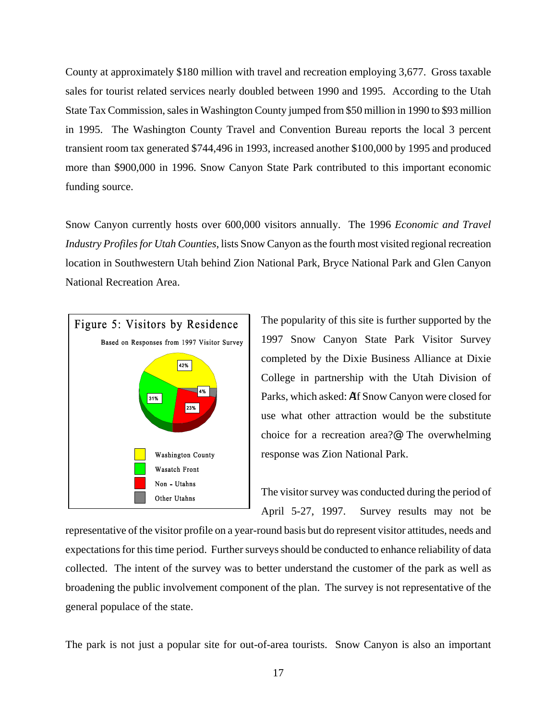County at approximately \$180 million with travel and recreation employing 3,677. Gross taxable sales for tourist related services nearly doubled between 1990 and 1995. According to the Utah State Tax Commission, sales in Washington County jumped from \$50 million in 1990 to \$93 million in 1995. The Washington County Travel and Convention Bureau reports the local 3 percent transient room tax generated \$744,496 in 1993, increased another \$100,000 by 1995 and produced more than \$900,000 in 1996. Snow Canyon State Park contributed to this important economic funding source.

Snow Canyon currently hosts over 600,000 visitors annually. The 1996 *Economic and Travel Industry Profiles for Utah Counties*, lists Snow Canyon as the fourth most visited regional recreation location in Southwestern Utah behind Zion National Park, Bryce National Park and Glen Canyon National Recreation Area.



The popularity of this site is further supported by the 1997 Snow Canyon State Park Visitor Survey completed by the Dixie Business Alliance at Dixie College in partnership with the Utah Division of Parks, which asked: **AI**f Snow Canyon were closed for use what other attraction would be the substitute choice for a recreation area?@ The overwhelming response was Zion National Park.

The visitor survey was conducted during the period of April 5-27, 1997. Survey results may not be

representative of the visitor profile on a year-round basis but do represent visitor attitudes, needs and expectations for this time period. Further surveys should be conducted to enhance reliability of data collected. The intent of the survey was to better understand the customer of the park as well as broadening the public involvement component of the plan. The survey is not representative of the general populace of the state.

The park is not just a popular site for out-of-area tourists. Snow Canyon is also an important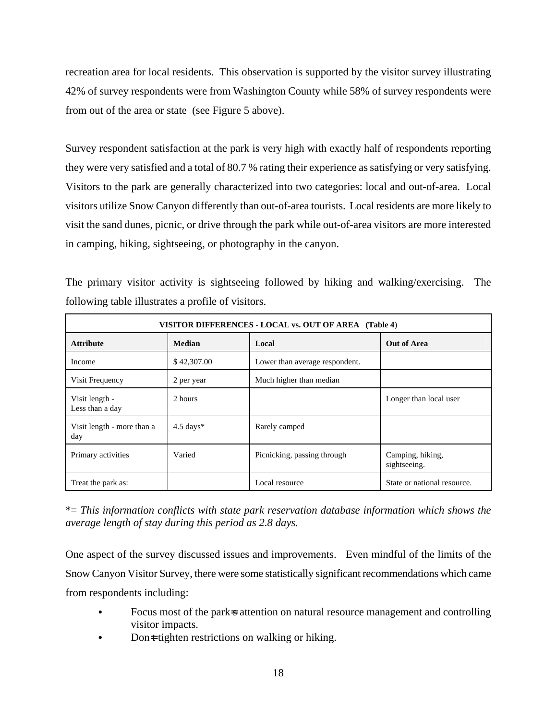recreation area for local residents. This observation is supported by the visitor survey illustrating 42% of survey respondents were from Washington County while 58% of survey respondents were from out of the area or state (see Figure 5 above).

Survey respondent satisfaction at the park is very high with exactly half of respondents reporting they were very satisfied and a total of 80.7 % rating their experience as satisfying or very satisfying. Visitors to the park are generally characterized into two categories: local and out-of-area. Local visitors utilize Snow Canyon differently than out-of-area tourists. Local residents are more likely to visit the sand dunes, picnic, or drive through the park while out-of-area visitors are more interested in camping, hiking, sightseeing, or photography in the canyon.

The primary visitor activity is sightseeing followed by hiking and walking/exercising. The following table illustrates a profile of visitors.

| VISITOR DIFFERENCES - LOCAL vs. OUT OF AREA (Table 4) |               |                                |                                  |  |  |
|-------------------------------------------------------|---------------|--------------------------------|----------------------------------|--|--|
| <b>Attribute</b>                                      | <b>Median</b> | Local                          | Out of Area                      |  |  |
| Income                                                | \$42,307.00   | Lower than average respondent. |                                  |  |  |
| Visit Frequency                                       | 2 per year    | Much higher than median        |                                  |  |  |
| Visit length -<br>Less than a day                     | 2 hours       |                                | Longer than local user           |  |  |
| Visit length - more than a<br>day                     | $4.5$ days*   | Rarely camped                  |                                  |  |  |
| Primary activities                                    | Varied        | Picnicking, passing through    | Camping, hiking,<br>sightseeing. |  |  |
| Treat the park as:                                    |               | Local resource                 | State or national resource.      |  |  |

\*= *This information conflicts with state park reservation database information which shows the average length of stay during this period as 2.8 days.*

One aspect of the survey discussed issues and improvements. Even mindful of the limits of the Snow Canyon Visitor Survey, there were some statistically significant recommendations which came from respondents including:

- Focus most of the park<sub>s</sub> attention on natural resource management and controlling visitor impacts.
- Dont tighten restrictions on walking or hiking.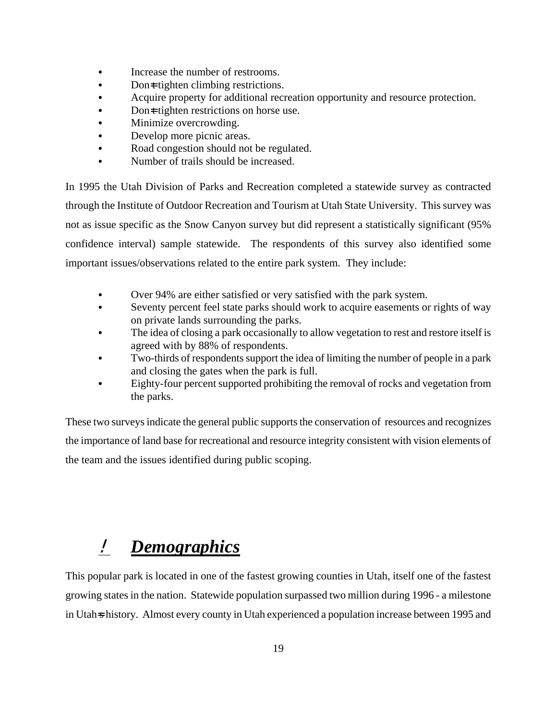- Increase the number of restrooms.
- Don $\pm$  tighten climbing restrictions.
- Acquire property for additional recreation opportunity and resource protection.
- Don $\equiv$  tighten restrictions on horse use.
- Minimize overcrowding.
- Develop more picnic areas.
- Road congestion should not be regulated.
- Number of trails should be increased.

In 1995 the Utah Division of Parks and Recreation completed a statewide survey as contracted through the Institute of Outdoor Recreation and Tourism at Utah State University. This survey was not as issue specific as the Snow Canyon survey but did represent a statistically significant (95% confidence interval) sample statewide. The respondents of this survey also identified some important issues/observations related to the entire park system. They include:

- Over 94% are either satisfied or very satisfied with the park system.
- Seventy percent feel state parks should work to acquire easements or rights of way on private lands surrounding the parks.
- The idea of closing a park occasionally to allow vegetation to rest and restore itself is agreed with by 88% of respondents.
- Two-thirds of respondents support the idea of limiting the number of people in a park and closing the gates when the park is full.
- Eighty-four percent supported prohibiting the removal of rocks and vegetation from the parks.

These two surveys indicate the general public supports the conservation of resources and recognizes the importance of land base for recreational and resource integrity consistent with vision elements of the team and the issues identified during public scoping.

### ! *Demographics*

This popular park is located in one of the fastest growing counties in Utah, itself one of the fastest growing states in the nation. Statewide population surpassed two million during 1996 - a milestone in Utah<sub>s</sub> history. Almost every county in Utah experienced a population increase between 1995 and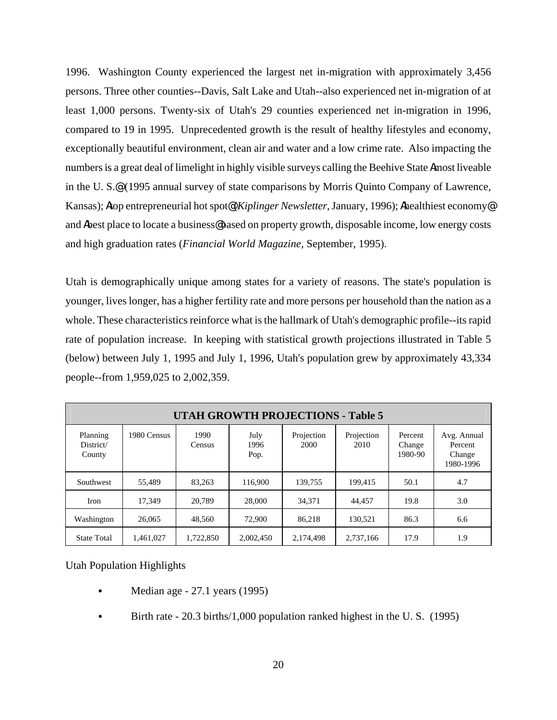1996. Washington County experienced the largest net in-migration with approximately 3,456 persons. Three other counties--Davis, Salt Lake and Utah--also experienced net in-migration of at least 1,000 persons. Twenty-six of Utah's 29 counties experienced net in-migration in 1996, compared to 19 in 1995. Unprecedented growth is the result of healthy lifestyles and economy, exceptionally beautiful environment, clean air and water and a low crime rate. Also impacting the numbers is a great deal of limelight in highly visible surveys calling the Beehive State Amost liveable in the U. S.@ (1995 annual survey of state comparisons by Morris Quinto Company of Lawrence, Kansas); **A**top entrepreneurial hot spot $\mathcal{R}(Kiplinger\,Newsletter, January, 1996)$ ; Athealthiest economy and **A**best place to locate a business **@** based on property growth, disposable income, low energy costs and high graduation rates (*Financial World Magazine*, September, 1995).

Utah is demographically unique among states for a variety of reasons. The state's population is younger, lives longer, has a higher fertility rate and more persons per household than the nation as a whole. These characteristics reinforce what is the hallmark of Utah's demographic profile--its rapid rate of population increase. In keeping with statistical growth projections illustrated in Table 5 (below) between July 1, 1995 and July 1, 1996, Utah's population grew by approximately 43,334 people--from 1,959,025 to 2,002,359.

| <b>UTAH GROWTH PROJECTIONS - Table 5</b> |             |                |                      |                    |                    |                              |                                               |
|------------------------------------------|-------------|----------------|----------------------|--------------------|--------------------|------------------------------|-----------------------------------------------|
| Planning<br>District/<br>County          | 1980 Census | 1990<br>Census | July<br>1996<br>Pop. | Projection<br>2000 | Projection<br>2010 | Percent<br>Change<br>1980-90 | Avg. Annual<br>Percent<br>Change<br>1980-1996 |
| Southwest                                | 55,489      | 83,263         | 116.900              | 139.755            | 199.415            | 50.1                         | 4.7                                           |
| Iron                                     | 17.349      | 20,789         | 28,000               | 34,371             | 44,457             | 19.8                         | 3.0                                           |
| Washington                               | 26,065      | 48.560         | 72,900               | 86.218             | 130.521            | 86.3                         | 6.6                                           |
| <b>State Total</b>                       | 1,461,027   | 1,722,850      | 2,002,450            | 2,174,498          | 2,737,166          | 17.9                         | 1.9                                           |

Utah Population Highlights

- Median age 27.1 years (1995)
- Birth rate 20.3 births/1,000 population ranked highest in the U.S. (1995)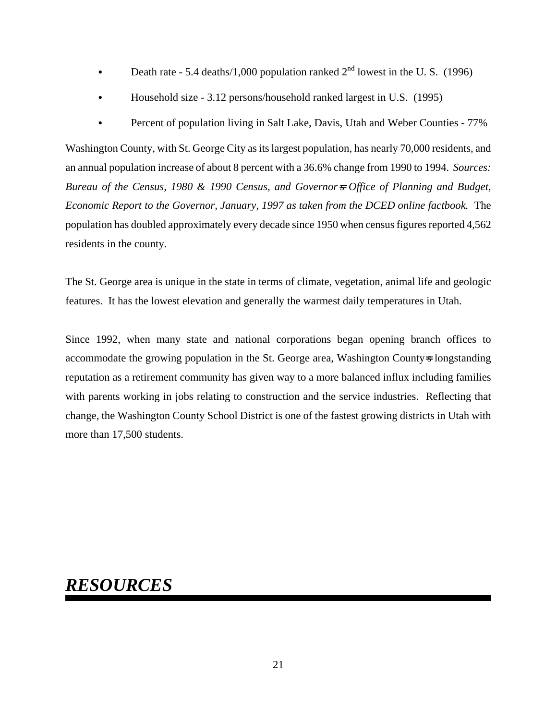- Death rate 5.4 deaths/1,000 population ranked  $2<sup>nd</sup>$  lowest in the U.S. (1996)
- Household size 3.12 persons/household ranked largest in U.S. (1995)
- Percent of population living in Salt Lake, Davis, Utah and Weber Counties 77%

Washington County, with St. George City as its largest population, has nearly 70,000 residents, and an annual population increase of about 8 percent with a 36.6% change from 1990 to 1994. *Sources: Bureau of the Census, 1980 & 1990 Census, and Governor*=*s Office of Planning and Budget, Economic Report to the Governor, January, 1997 as taken from the DCED online factbook.* The population has doubled approximately every decade since 1950 when census figures reported 4,562 residents in the county.

The St. George area is unique in the state in terms of climate, vegetation, animal life and geologic features. It has the lowest elevation and generally the warmest daily temperatures in Utah.

Since 1992, when many state and national corporations began opening branch offices to accommodate the growing population in the St. George area, Washington County is longstanding reputation as a retirement community has given way to a more balanced influx including families with parents working in jobs relating to construction and the service industries. Reflecting that change, the Washington County School District is one of the fastest growing districts in Utah with more than 17,500 students.

### *RESOURCES*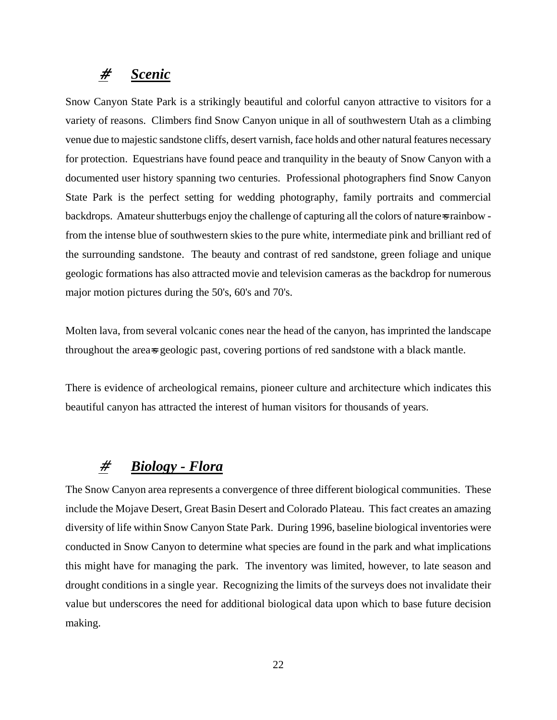#### # *Scenic*

Snow Canyon State Park is a strikingly beautiful and colorful canyon attractive to visitors for a variety of reasons. Climbers find Snow Canyon unique in all of southwestern Utah as a climbing venue due to majestic sandstone cliffs, desert varnish, face holds and other natural features necessary for protection. Equestrians have found peace and tranquility in the beauty of Snow Canyon with a documented user history spanning two centuries. Professional photographers find Snow Canyon State Park is the perfect setting for wedding photography, family portraits and commercial backdrops. Amateur shutterbugs enjoy the challenge of capturing all the colors of natures rainbow from the intense blue of southwestern skies to the pure white, intermediate pink and brilliant red of the surrounding sandstone. The beauty and contrast of red sandstone, green foliage and unique geologic formations has also attracted movie and television cameras as the backdrop for numerous major motion pictures during the 50's, 60's and 70's.

Molten lava, from several volcanic cones near the head of the canyon, has imprinted the landscape throughout the area<sup>s geologic past, covering portions of red sandstone with a black mantle.</sup>

There is evidence of archeological remains, pioneer culture and architecture which indicates this beautiful canyon has attracted the interest of human visitors for thousands of years.

#### # *Biology - Flora*

The Snow Canyon area represents a convergence of three different biological communities. These include the Mojave Desert, Great Basin Desert and Colorado Plateau. This fact creates an amazing diversity of life within Snow Canyon State Park. During 1996, baseline biological inventories were conducted in Snow Canyon to determine what species are found in the park and what implications this might have for managing the park. The inventory was limited, however, to late season and drought conditions in a single year. Recognizing the limits of the surveys does not invalidate their value but underscores the need for additional biological data upon which to base future decision making.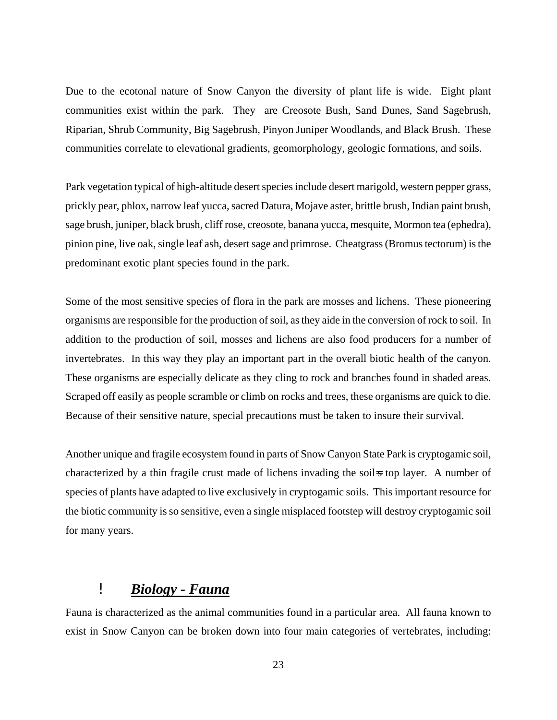Due to the ecotonal nature of Snow Canyon the diversity of plant life is wide. Eight plant communities exist within the park. They are Creosote Bush, Sand Dunes, Sand Sagebrush, Riparian, Shrub Community, Big Sagebrush, Pinyon Juniper Woodlands, and Black Brush. These communities correlate to elevational gradients, geomorphology, geologic formations, and soils.

Park vegetation typical of high-altitude desert species include desert marigold, western pepper grass, prickly pear, phlox, narrow leaf yucca, sacred Datura, Mojave aster, brittle brush, Indian paint brush, sage brush, juniper, black brush, cliff rose, creosote, banana yucca, mesquite, Mormon tea (ephedra), pinion pine, live oak, single leaf ash, desert sage and primrose. Cheatgrass (Bromus tectorum) is the predominant exotic plant species found in the park.

Some of the most sensitive species of flora in the park are mosses and lichens. These pioneering organisms are responsible for the production of soil, as they aide in the conversion of rock to soil. In addition to the production of soil, mosses and lichens are also food producers for a number of invertebrates. In this way they play an important part in the overall biotic health of the canyon. These organisms are especially delicate as they cling to rock and branches found in shaded areas. Scraped off easily as people scramble or climb on rocks and trees, these organisms are quick to die. Because of their sensitive nature, special precautions must be taken to insure their survival.

Another unique and fragile ecosystem found in parts of Snow Canyon State Park is cryptogamic soil, characterized by a thin fragile crust made of lichens invading the soil<sup>n</sup> top layer. A number of species of plants have adapted to live exclusively in cryptogamic soils. This important resource for the biotic community is so sensitive, even a single misplaced footstep will destroy cryptogamic soil for many years.

#### ! *Biology - Fauna*

Fauna is characterized as the animal communities found in a particular area. All fauna known to exist in Snow Canyon can be broken down into four main categories of vertebrates, including: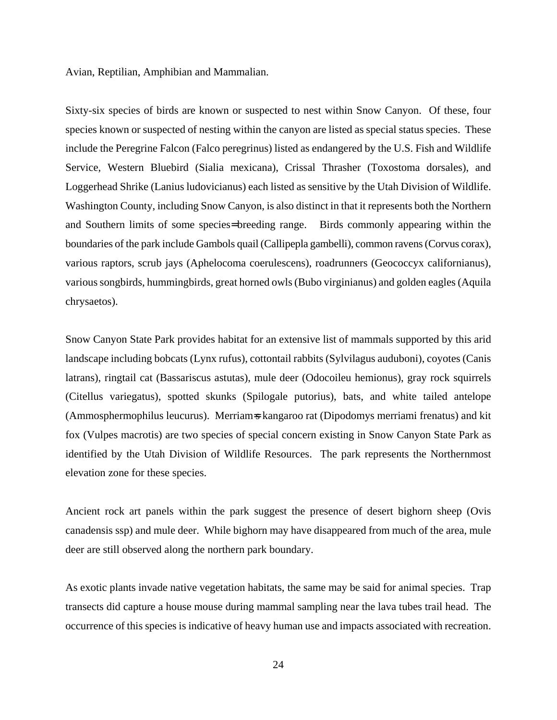Avian, Reptilian, Amphibian and Mammalian.

Sixty-six species of birds are known or suspected to nest within Snow Canyon. Of these, four species known or suspected of nesting within the canyon are listed as special status species. These include the Peregrine Falcon (Falco peregrinus) listed as endangered by the U.S. Fish and Wildlife Service, Western Bluebird (Sialia mexicana), Crissal Thrasher (Toxostoma dorsales), and Loggerhead Shrike (Lanius ludovicianus) each listed as sensitive by the Utah Division of Wildlife. Washington County, including Snow Canyon, is also distinct in that it represents both the Northern and Southern limits of some species= breeding range. Birds commonly appearing within the boundaries of the park include Gambols quail (Callipepla gambelli), common ravens (Corvus corax), various raptors, scrub jays (Aphelocoma coerulescens), roadrunners (Geococcyx californianus), various songbirds, hummingbirds, great horned owls (Bubo virginianus) and golden eagles (Aquila chrysaetos).

Snow Canyon State Park provides habitat for an extensive list of mammals supported by this arid landscape including bobcats (Lynx rufus), cottontail rabbits (Sylvilagus auduboni), coyotes (Canis latrans), ringtail cat (Bassariscus astutas), mule deer (Odocoileu hemionus), gray rock squirrels (Citellus variegatus), spotted skunks (Spilogale putorius), bats, and white tailed antelope (Ammosphermophilus leucurus). Merriam=s kangaroo rat (Dipodomys merriami frenatus) and kit fox (Vulpes macrotis) are two species of special concern existing in Snow Canyon State Park as identified by the Utah Division of Wildlife Resources. The park represents the Northernmost elevation zone for these species.

Ancient rock art panels within the park suggest the presence of desert bighorn sheep (Ovis canadensis ssp) and mule deer. While bighorn may have disappeared from much of the area, mule deer are still observed along the northern park boundary.

As exotic plants invade native vegetation habitats, the same may be said for animal species. Trap transects did capture a house mouse during mammal sampling near the lava tubes trail head. The occurrence of this species is indicative of heavy human use and impacts associated with recreation.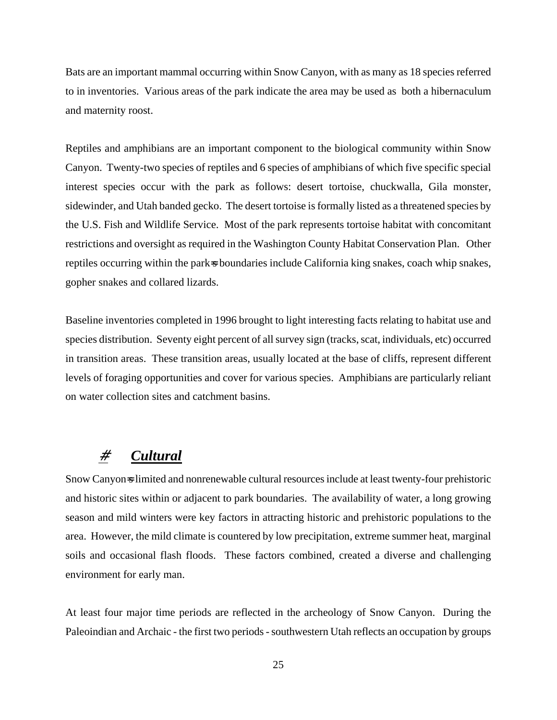Bats are an important mammal occurring within Snow Canyon, with as many as 18 species referred to in inventories. Various areas of the park indicate the area may be used as both a hibernaculum and maternity roost.

Reptiles and amphibians are an important component to the biological community within Snow Canyon. Twenty-two species of reptiles and 6 species of amphibians of which five specific special interest species occur with the park as follows: desert tortoise, chuckwalla, Gila monster, sidewinder, and Utah banded gecko. The desert tortoise is formally listed as a threatened species by the U.S. Fish and Wildlife Service. Most of the park represents tortoise habitat with concomitant restrictions and oversight as required in the Washington County Habitat Conservation Plan. Other reptiles occurring within the park=s boundaries include California king snakes, coach whip snakes, gopher snakes and collared lizards.

Baseline inventories completed in 1996 brought to light interesting facts relating to habitat use and species distribution. Seventy eight percent of all survey sign (tracks, scat, individuals, etc) occurred in transition areas. These transition areas, usually located at the base of cliffs, represent different levels of foraging opportunities and cover for various species. Amphibians are particularly reliant on water collection sites and catchment basins.

#### # *Cultural*

Snow Canyon<sub>s</sub> limited and nonrenewable cultural resources include at least twenty-four prehistoric and historic sites within or adjacent to park boundaries. The availability of water, a long growing season and mild winters were key factors in attracting historic and prehistoric populations to the area. However, the mild climate is countered by low precipitation, extreme summer heat, marginal soils and occasional flash floods. These factors combined, created a diverse and challenging environment for early man.

At least four major time periods are reflected in the archeology of Snow Canyon. During the Paleoindian and Archaic - the first two periods - southwestern Utah reflects an occupation by groups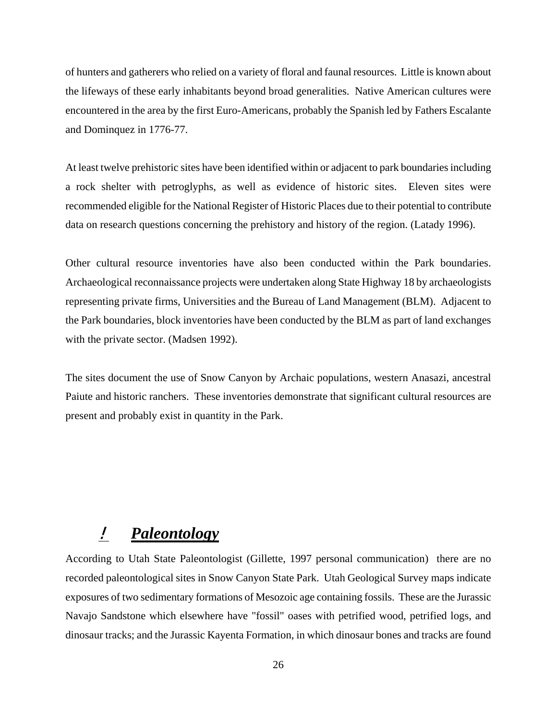of hunters and gatherers who relied on a variety of floral and faunal resources. Little is known about the lifeways of these early inhabitants beyond broad generalities. Native American cultures were encountered in the area by the first Euro-Americans, probably the Spanish led by Fathers Escalante and Dominquez in 1776-77.

At least twelve prehistoric sites have been identified within or adjacent to park boundaries including a rock shelter with petroglyphs, as well as evidence of historic sites. Eleven sites were recommended eligible for the National Register of Historic Places due to their potential to contribute data on research questions concerning the prehistory and history of the region. (Latady 1996).

Other cultural resource inventories have also been conducted within the Park boundaries. Archaeological reconnaissance projects were undertaken along State Highway 18 by archaeologists representing private firms, Universities and the Bureau of Land Management (BLM). Adjacent to the Park boundaries, block inventories have been conducted by the BLM as part of land exchanges with the private sector. (Madsen 1992).

The sites document the use of Snow Canyon by Archaic populations, western Anasazi, ancestral Paiute and historic ranchers. These inventories demonstrate that significant cultural resources are present and probably exist in quantity in the Park.

#### ! *Paleontology*

According to Utah State Paleontologist (Gillette, 1997 personal communication) there are no recorded paleontological sites in Snow Canyon State Park. Utah Geological Survey maps indicate exposures of two sedimentary formations of Mesozoic age containing fossils. These are the Jurassic Navajo Sandstone which elsewhere have "fossil" oases with petrified wood, petrified logs, and dinosaur tracks; and the Jurassic Kayenta Formation, in which dinosaur bones and tracks are found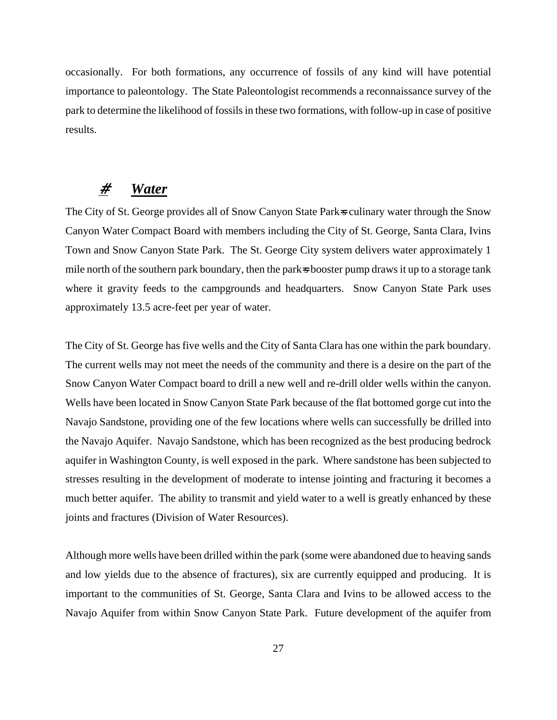occasionally. For both formations, any occurrence of fossils of any kind will have potential importance to paleontology. The State Paleontologist recommends a reconnaissance survey of the park to determine the likelihood of fossils in these two formations, with follow-up in case of positive results.

#### # *Water*

The City of St. George provides all of Snow Canyon State Park<sub>s</sub> culinary water through the Snow Canyon Water Compact Board with members including the City of St. George, Santa Clara, Ivins Town and Snow Canyon State Park. The St. George City system delivers water approximately 1 mile north of the southern park boundary, then the park<sub>s</sub> booster pump draws it up to a storage tank where it gravity feeds to the campgrounds and headquarters. Snow Canyon State Park uses approximately 13.5 acre-feet per year of water.

The City of St. George has five wells and the City of Santa Clara has one within the park boundary. The current wells may not meet the needs of the community and there is a desire on the part of the Snow Canyon Water Compact board to drill a new well and re-drill older wells within the canyon. Wells have been located in Snow Canyon State Park because of the flat bottomed gorge cut into the Navajo Sandstone, providing one of the few locations where wells can successfully be drilled into the Navajo Aquifer. Navajo Sandstone, which has been recognized as the best producing bedrock aquifer in Washington County, is well exposed in the park. Where sandstone has been subjected to stresses resulting in the development of moderate to intense jointing and fracturing it becomes a much better aquifer. The ability to transmit and yield water to a well is greatly enhanced by these joints and fractures (Division of Water Resources).

Although more wells have been drilled within the park (some were abandoned due to heaving sands and low yields due to the absence of fractures), six are currently equipped and producing. It is important to the communities of St. George, Santa Clara and Ivins to be allowed access to the Navajo Aquifer from within Snow Canyon State Park. Future development of the aquifer from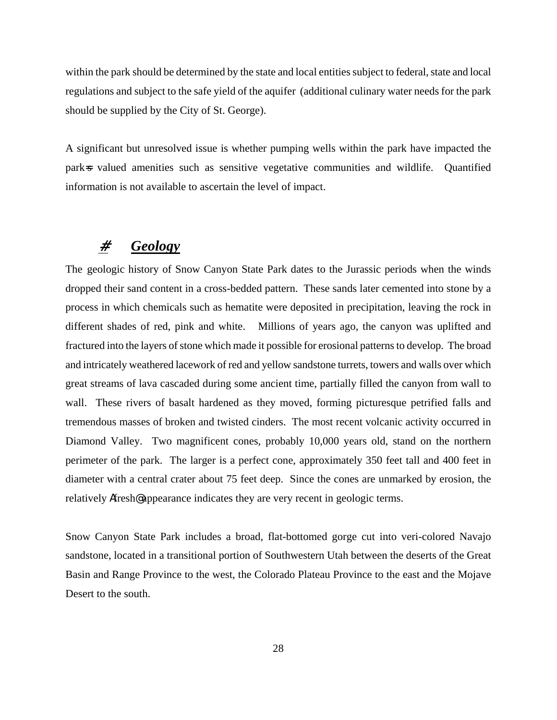within the park should be determined by the state and local entities subject to federal, state and local regulations and subject to the safe yield of the aquifer (additional culinary water needs for the park should be supplied by the City of St. George).

A significant but unresolved issue is whether pumping wells within the park have impacted the park=s valued amenities such as sensitive vegetative communities and wildlife. Quantified information is not available to ascertain the level of impact.

#### # *Geology*

The geologic history of Snow Canyon State Park dates to the Jurassic periods when the winds dropped their sand content in a cross-bedded pattern. These sands later cemented into stone by a process in which chemicals such as hematite were deposited in precipitation, leaving the rock in different shades of red, pink and white. Millions of years ago, the canyon was uplifted and fractured into the layers of stone which made it possible for erosional patterns to develop. The broad and intricately weathered lacework of red and yellow sandstone turrets, towers and walls over which great streams of lava cascaded during some ancient time, partially filled the canyon from wall to wall. These rivers of basalt hardened as they moved, forming picturesque petrified falls and tremendous masses of broken and twisted cinders. The most recent volcanic activity occurred in Diamond Valley. Two magnificent cones, probably 10,000 years old, stand on the northern perimeter of the park. The larger is a perfect cone, approximately 350 feet tall and 400 feet in diameter with a central crater about 75 feet deep. Since the cones are unmarked by erosion, the relatively **A**fresh**@** appearance indicates they are very recent in geologic terms.

Snow Canyon State Park includes a broad, flat-bottomed gorge cut into veri-colored Navajo sandstone, located in a transitional portion of Southwestern Utah between the deserts of the Great Basin and Range Province to the west, the Colorado Plateau Province to the east and the Mojave Desert to the south.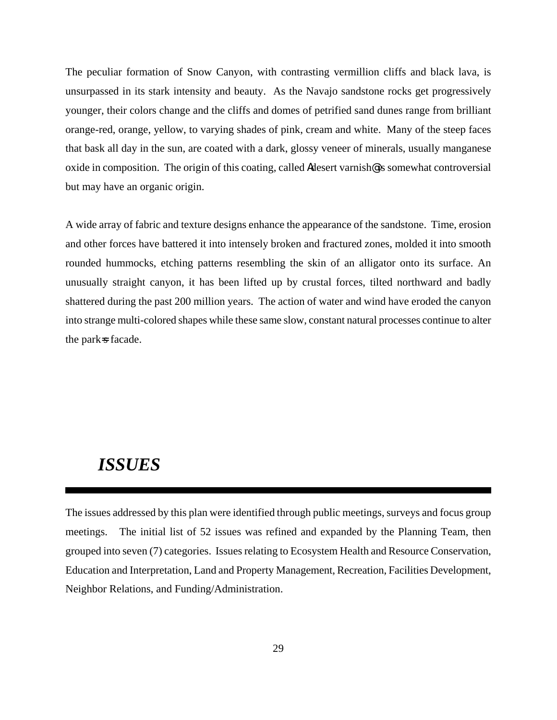The peculiar formation of Snow Canyon, with contrasting vermillion cliffs and black lava, is unsurpassed in its stark intensity and beauty. As the Navajo sandstone rocks get progressively younger, their colors change and the cliffs and domes of petrified sand dunes range from brilliant orange-red, orange, yellow, to varying shades of pink, cream and white. Many of the steep faces that bask all day in the sun, are coated with a dark, glossy veneer of minerals, usually manganese oxide in composition. The origin of this coating, called **Re**desert varnish**@** is somewhat controversial but may have an organic origin.

A wide array of fabric and texture designs enhance the appearance of the sandstone. Time, erosion and other forces have battered it into intensely broken and fractured zones, molded it into smooth rounded hummocks, etching patterns resembling the skin of an alligator onto its surface. An unusually straight canyon, it has been lifted up by crustal forces, tilted northward and badly shattered during the past 200 million years. The action of water and wind have eroded the canyon into strange multi-colored shapes while these same slow, constant natural processes continue to alter the park<sub>s</sub> facade.

#### *ISSUES*

The issues addressed by this plan were identified through public meetings, surveys and focus group meetings. The initial list of 52 issues was refined and expanded by the Planning Team, then grouped into seven (7) categories. Issues relating to Ecosystem Health and Resource Conservation, Education and Interpretation, Land and Property Management, Recreation, Facilities Development, Neighbor Relations, and Funding/Administration.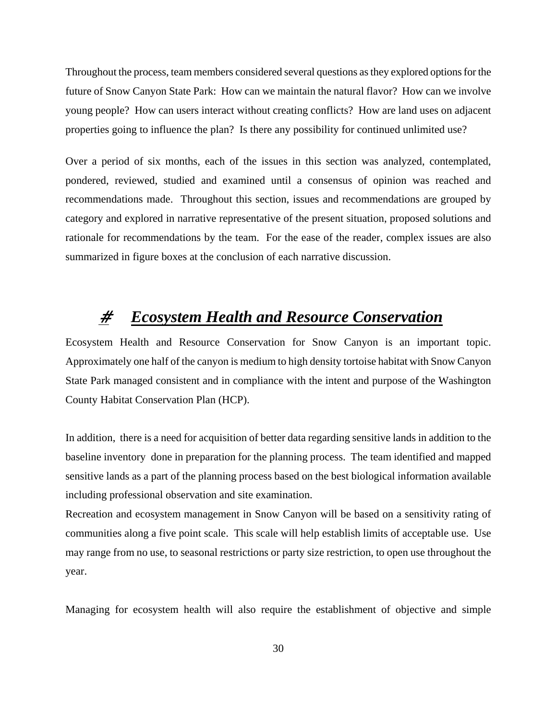Throughout the process, team members considered several questions as they explored options for the future of Snow Canyon State Park: How can we maintain the natural flavor? How can we involve young people? How can users interact without creating conflicts? How are land uses on adjacent properties going to influence the plan? Is there any possibility for continued unlimited use?

Over a period of six months, each of the issues in this section was analyzed, contemplated, pondered, reviewed, studied and examined until a consensus of opinion was reached and recommendations made. Throughout this section, issues and recommendations are grouped by category and explored in narrative representative of the present situation, proposed solutions and rationale for recommendations by the team. For the ease of the reader, complex issues are also summarized in figure boxes at the conclusion of each narrative discussion.

# # *Ecosystem Health and Resource Conservation*

Ecosystem Health and Resource Conservation for Snow Canyon is an important topic. Approximately one half of the canyon is medium to high density tortoise habitat with Snow Canyon State Park managed consistent and in compliance with the intent and purpose of the Washington County Habitat Conservation Plan (HCP).

In addition, there is a need for acquisition of better data regarding sensitive lands in addition to the baseline inventory done in preparation for the planning process. The team identified and mapped sensitive lands as a part of the planning process based on the best biological information available including professional observation and site examination.

Recreation and ecosystem management in Snow Canyon will be based on a sensitivity rating of communities along a five point scale. This scale will help establish limits of acceptable use. Use may range from no use, to seasonal restrictions or party size restriction, to open use throughout the year.

Managing for ecosystem health will also require the establishment of objective and simple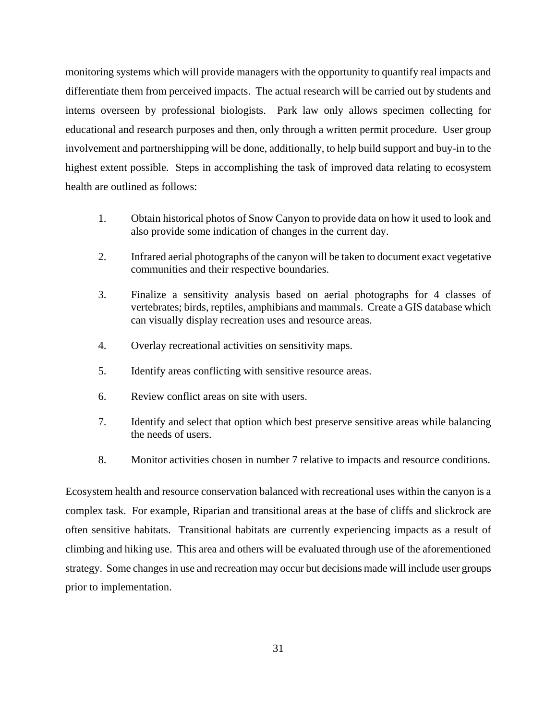monitoring systems which will provide managers with the opportunity to quantify real impacts and differentiate them from perceived impacts. The actual research will be carried out by students and interns overseen by professional biologists. Park law only allows specimen collecting for educational and research purposes and then, only through a written permit procedure. User group involvement and partnershipping will be done, additionally, to help build support and buy-in to the highest extent possible. Steps in accomplishing the task of improved data relating to ecosystem health are outlined as follows:

- 1. Obtain historical photos of Snow Canyon to provide data on how it used to look and also provide some indication of changes in the current day.
- 2. Infrared aerial photographs of the canyon will be taken to document exact vegetative communities and their respective boundaries.
- 3. Finalize a sensitivity analysis based on aerial photographs for 4 classes of vertebrates; birds, reptiles, amphibians and mammals. Create a GIS database which can visually display recreation uses and resource areas.
- 4. Overlay recreational activities on sensitivity maps.
- 5. Identify areas conflicting with sensitive resource areas.
- 6. Review conflict areas on site with users.
- 7. Identify and select that option which best preserve sensitive areas while balancing the needs of users.
- 8. Monitor activities chosen in number 7 relative to impacts and resource conditions.

Ecosystem health and resource conservation balanced with recreational uses within the canyon is a complex task. For example, Riparian and transitional areas at the base of cliffs and slickrock are often sensitive habitats. Transitional habitats are currently experiencing impacts as a result of climbing and hiking use. This area and others will be evaluated through use of the aforementioned strategy. Some changes in use and recreation may occur but decisions made will include user groups prior to implementation.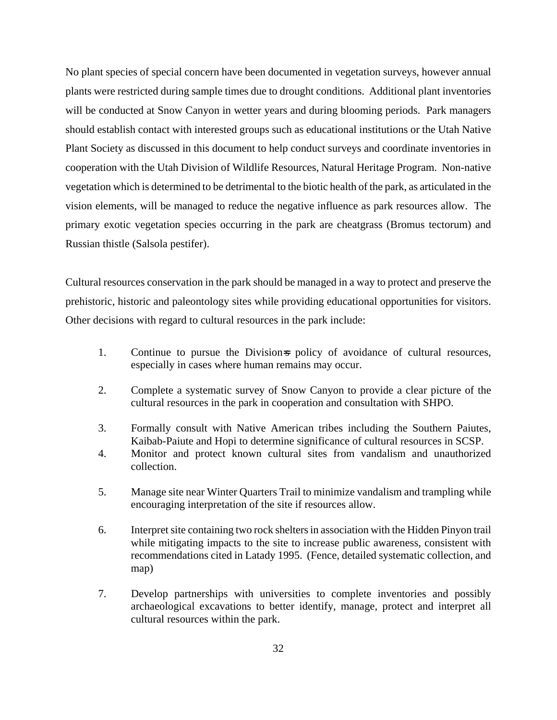No plant species of special concern have been documented in vegetation surveys, however annual plants were restricted during sample times due to drought conditions. Additional plant inventories will be conducted at Snow Canyon in wetter years and during blooming periods. Park managers should establish contact with interested groups such as educational institutions or the Utah Native Plant Society as discussed in this document to help conduct surveys and coordinate inventories in cooperation with the Utah Division of Wildlife Resources, Natural Heritage Program. Non-native vegetation which is determined to be detrimental to the biotic health of the park, as articulated in the vision elements, will be managed to reduce the negative influence as park resources allow. The primary exotic vegetation species occurring in the park are cheatgrass (Bromus tectorum) and Russian thistle (Salsola pestifer).

Cultural resources conservation in the park should be managed in a way to protect and preserve the prehistoric, historic and paleontology sites while providing educational opportunities for visitors. Other decisions with regard to cultural resources in the park include:

- 1. Continue to pursue the Division policy of avoidance of cultural resources, especially in cases where human remains may occur.
- 2. Complete a systematic survey of Snow Canyon to provide a clear picture of the cultural resources in the park in cooperation and consultation with SHPO.
- 3. Formally consult with Native American tribes including the Southern Paiutes, Kaibab-Paiute and Hopi to determine significance of cultural resources in SCSP.
- 4. Monitor and protect known cultural sites from vandalism and unauthorized collection.
- 5. Manage site near Winter Quarters Trail to minimize vandalism and trampling while encouraging interpretation of the site if resources allow.
- 6. Interpret site containing two rock shelters in association with the Hidden Pinyon trail while mitigating impacts to the site to increase public awareness, consistent with recommendations cited in Latady 1995. (Fence, detailed systematic collection, and map)
- 7. Develop partnerships with universities to complete inventories and possibly archaeological excavations to better identify, manage, protect and interpret all cultural resources within the park.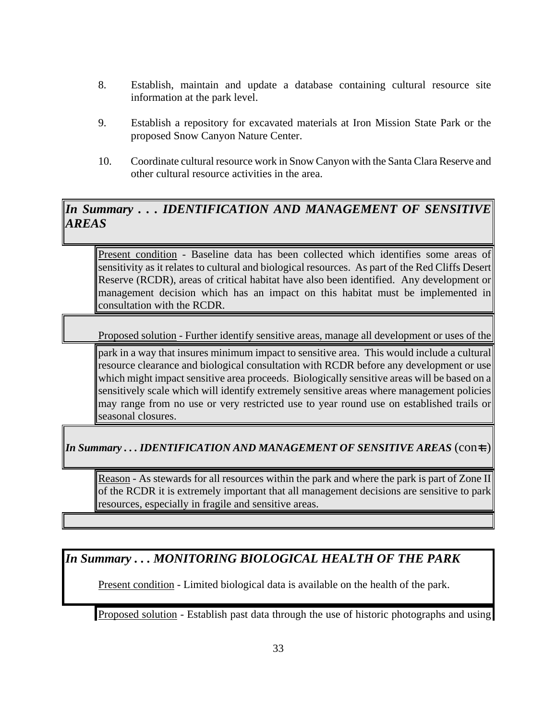- 8. Establish, maintain and update a database containing cultural resource site information at the park level.
- 9. Establish a repository for excavated materials at Iron Mission State Park or the proposed Snow Canyon Nature Center.
- 10. Coordinate cultural resource work in Snow Canyon with the Santa Clara Reserve and other cultural resource activities in the area.

### *In Summary . . . IDENTIFICATION AND MANAGEMENT OF SENSITIVE AREAS*

Present condition - Baseline data has been collected which identifies some areas of sensitivity as it relates to cultural and biological resources. As part of the Red Cliffs Desert Reserve (RCDR), areas of critical habitat have also been identified. Any development or management decision which has an impact on this habitat must be implemented in consultation with the RCDR.

Proposed solution - Further identify sensitive areas, manage all development or uses of the

park in a way that insures minimum impact to sensitive area. This would include a cultural resource clearance and biological consultation with RCDR before any development or use which might impact sensitive area proceeds. Biologically sensitive areas will be based on a sensitively scale which will identify extremely sensitive areas where management policies may range from no use or very restricted use to year round use on established trails or seasonal closures.

*In Summary ... IDENTIFICATION AND MANAGEMENT OF SENSITIVE AREAS* (con=t.)

Reason - As stewards for all resources within the park and where the park is part of Zone II of the RCDR it is extremely important that all management decisions are sensitive to park resources, especially in fragile and sensitive areas.

#### *In Summary . . . MONITORING BIOLOGICAL HEALTH OF THE PARK*

Present condition - Limited biological data is available on the health of the park.

Proposed solution - Establish past data through the use of historic photographs and using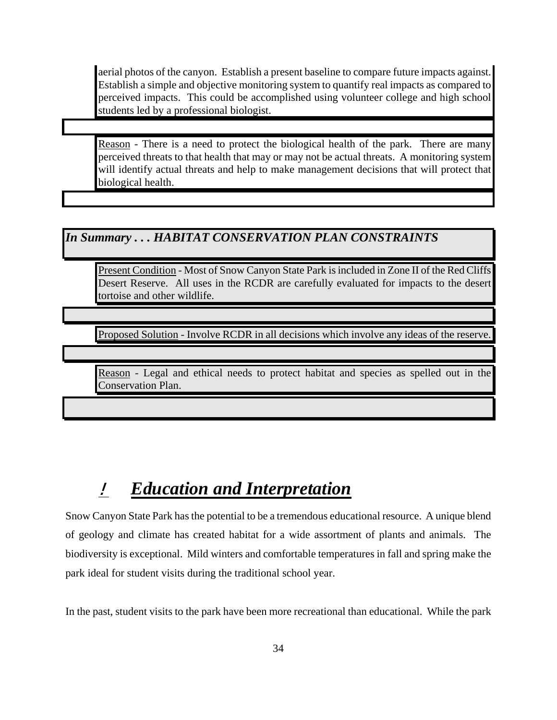aerial photos of the canyon. Establish a present baseline to compare future impacts against. Establish a simple and objective monitoring system to quantify real impacts as compared to perceived impacts. This could be accomplished using volunteer college and high school students led by a professional biologist.

Reason - There is a need to protect the biological health of the park. There are many perceived threats to that health that may or may not be actual threats. A monitoring system will identify actual threats and help to make management decisions that will protect that biological health.

#### *In Summary . . . HABITAT CONSERVATION PLAN CONSTRAINTS*

Present Condition - Most of Snow Canyon State Park is included in Zone II of the Red Cliffs Desert Reserve. All uses in the RCDR are carefully evaluated for impacts to the desert tortoise and other wildlife.

Proposed Solution - Involve RCDR in all decisions which involve any ideas of the reserve.

Reason - Legal and ethical needs to protect habitat and species as spelled out in the Conservation Plan.

# ! *Education and Interpretation*

Snow Canyon State Park has the potential to be a tremendous educational resource. A unique blend of geology and climate has created habitat for a wide assortment of plants and animals. The biodiversity is exceptional. Mild winters and comfortable temperatures in fall and spring make the park ideal for student visits during the traditional school year.

In the past, student visits to the park have been more recreational than educational. While the park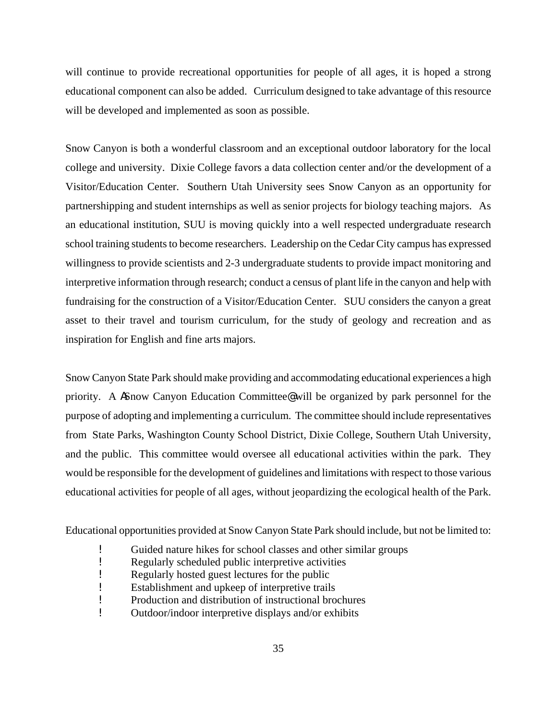will continue to provide recreational opportunities for people of all ages, it is hoped a strong educational component can also be added. Curriculum designed to take advantage of this resource will be developed and implemented as soon as possible.

Snow Canyon is both a wonderful classroom and an exceptional outdoor laboratory for the local college and university. Dixie College favors a data collection center and/or the development of a Visitor/Education Center. Southern Utah University sees Snow Canyon as an opportunity for partnershipping and student internships as well as senior projects for biology teaching majors. As an educational institution, SUU is moving quickly into a well respected undergraduate research school training students to become researchers. Leadership on the Cedar City campus has expressed willingness to provide scientists and 2-3 undergraduate students to provide impact monitoring and interpretive information through research; conduct a census of plant life in the canyon and help with fundraising for the construction of a Visitor/Education Center. SUU considers the canyon a great asset to their travel and tourism curriculum, for the study of geology and recreation and as inspiration for English and fine arts majors.

Snow Canyon State Park should make providing and accommodating educational experiences a high priority. A **N**Snow Canyon Education Committee **@** will be organized by park personnel for the purpose of adopting and implementing a curriculum. The committee should include representatives from State Parks, Washington County School District, Dixie College, Southern Utah University, and the public. This committee would oversee all educational activities within the park. They would be responsible for the development of guidelines and limitations with respect to those various educational activities for people of all ages, without jeopardizing the ecological health of the Park.

Educational opportunities provided at Snow Canyon State Park should include, but not be limited to:

- **EXECUTE:** Guided nature hikes for school classes and other similar groups<br>Regularly scheduled public interpretive activities
- Regularly scheduled public interpretive activities
- **Parameler** Regularly hosted guest lectures for the public
- ! Establishment and upkeep of interpretive trails
- ! Production and distribution of instructional brochures
- ! Outdoor/indoor interpretive displays and/or exhibits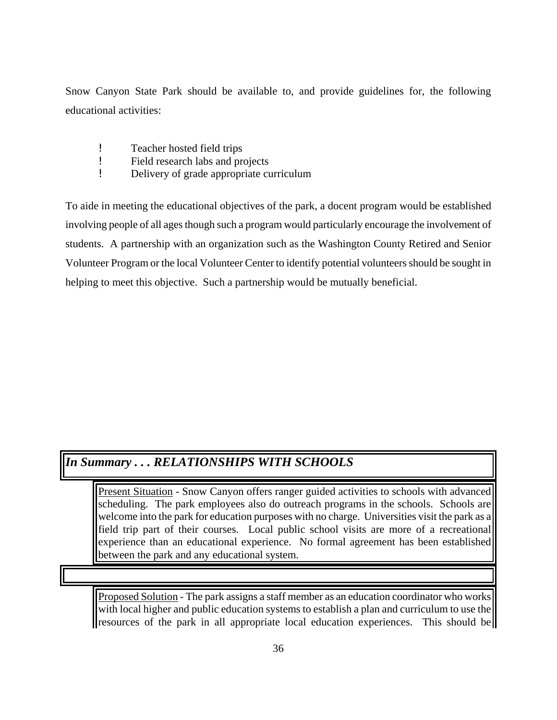Snow Canyon State Park should be available to, and provide guidelines for, the following educational activities:

- **EXECUTE:** Teacher hosted field trips<br>Field research labs and pr
- ! Field research labs and projects
- **.** Delivery of grade appropriate curriculum

To aide in meeting the educational objectives of the park, a docent program would be established involving people of all ages though such a program would particularly encourage the involvement of students. A partnership with an organization such as the Washington County Retired and Senior Volunteer Program or the local Volunteer Center to identify potential volunteers should be sought in helping to meet this objective. Such a partnership would be mutually beneficial.

### *In Summary . . . RELATIONSHIPS WITH SCHOOLS*

Present Situation - Snow Canyon offers ranger guided activities to schools with advanced scheduling. The park employees also do outreach programs in the schools. Schools are welcome into the park for education purposes with no charge. Universities visit the park as a field trip part of their courses. Local public school visits are more of a recreational experience than an educational experience. No formal agreement has been established between the park and any educational system.

Proposed Solution - The park assigns a staff member as an education coordinator who works with local higher and public education systems to establish a plan and curriculum to use the resources of the park in all appropriate local education experiences. This should be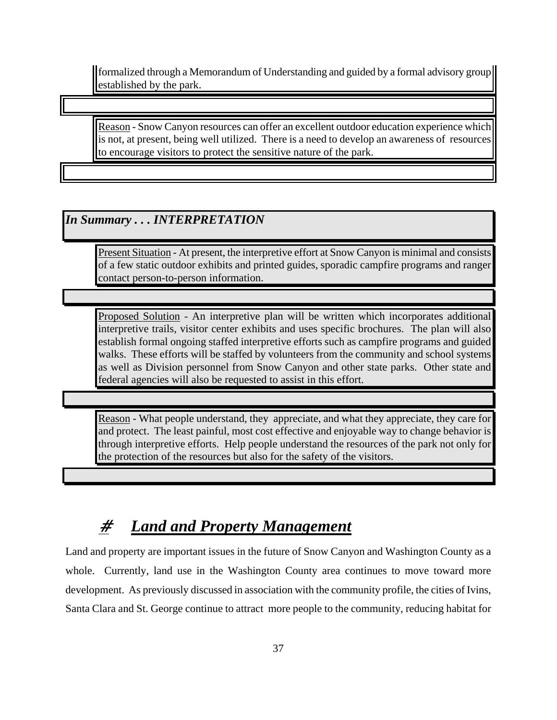formalized through a Memorandum of Understanding and guided by a formal advisory group established by the park.

Reason - Snow Canyon resources can offer an excellent outdoor education experience which is not, at present, being well utilized. There is a need to develop an awareness of resources to encourage visitors to protect the sensitive nature of the park.

### *In Summary . . . INTERPRETATION*

Present Situation - At present, the interpretive effort at Snow Canyon is minimal and consists of a few static outdoor exhibits and printed guides, sporadic campfire programs and ranger contact person-to-person information.

Proposed Solution - An interpretive plan will be written which incorporates additional interpretive trails, visitor center exhibits and uses specific brochures. The plan will also establish formal ongoing staffed interpretive efforts such as campfire programs and guided walks. These efforts will be staffed by volunteers from the community and school systems as well as Division personnel from Snow Canyon and other state parks. Other state and federal agencies will also be requested to assist in this effort.

Reason - What people understand, they appreciate, and what they appreciate, they care for and protect. The least painful, most cost effective and enjoyable way to change behavior is through interpretive efforts. Help people understand the resources of the park not only for the protection of the resources but also for the safety of the visitors.

# # *Land and Property Management*

Land and property are important issues in the future of Snow Canyon and Washington County as a whole. Currently, land use in the Washington County area continues to move toward more development. As previously discussed in association with the community profile, the cities of Ivins, Santa Clara and St. George continue to attract more people to the community, reducing habitat for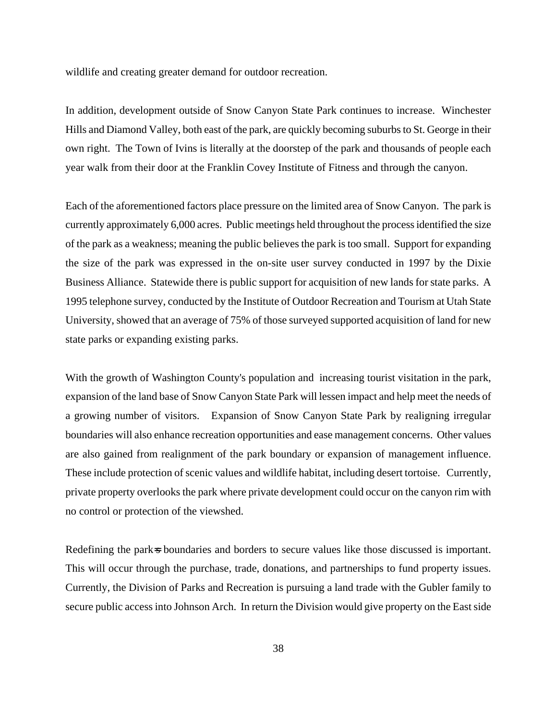wildlife and creating greater demand for outdoor recreation.

In addition, development outside of Snow Canyon State Park continues to increase. Winchester Hills and Diamond Valley, both east of the park, are quickly becoming suburbs to St. George in their own right. The Town of Ivins is literally at the doorstep of the park and thousands of people each year walk from their door at the Franklin Covey Institute of Fitness and through the canyon.

Each of the aforementioned factors place pressure on the limited area of Snow Canyon. The park is currently approximately 6,000 acres. Public meetings held throughout the process identified the size of the park as a weakness; meaning the public believes the park is too small. Support for expanding the size of the park was expressed in the on-site user survey conducted in 1997 by the Dixie Business Alliance. Statewide there is public support for acquisition of new lands for state parks. A 1995 telephone survey, conducted by the Institute of Outdoor Recreation and Tourism at Utah State University, showed that an average of 75% of those surveyed supported acquisition of land for new state parks or expanding existing parks.

With the growth of Washington County's population and increasing tourist visitation in the park, expansion of the land base of Snow Canyon State Park will lessen impact and help meet the needs of a growing number of visitors. Expansion of Snow Canyon State Park by realigning irregular boundaries will also enhance recreation opportunities and ease management concerns. Other values are also gained from realignment of the park boundary or expansion of management influence. These include protection of scenic values and wildlife habitat, including desert tortoise. Currently, private property overlooks the park where private development could occur on the canyon rim with no control or protection of the viewshed.

Redefining the park<sup>stra</sup> boundaries and borders to secure values like those discussed is important. This will occur through the purchase, trade, donations, and partnerships to fund property issues. Currently, the Division of Parks and Recreation is pursuing a land trade with the Gubler family to secure public access into Johnson Arch. In return the Division would give property on the East side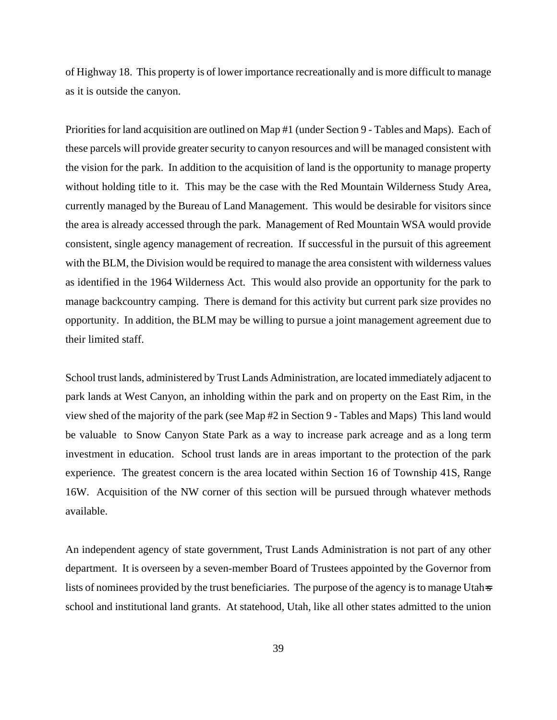of Highway 18. This property is of lower importance recreationally and is more difficult to manage as it is outside the canyon.

Priorities for land acquisition are outlined on Map #1 (under Section 9 - Tables and Maps). Each of these parcels will provide greater security to canyon resources and will be managed consistent with the vision for the park. In addition to the acquisition of land is the opportunity to manage property without holding title to it. This may be the case with the Red Mountain Wilderness Study Area, currently managed by the Bureau of Land Management. This would be desirable for visitors since the area is already accessed through the park. Management of Red Mountain WSA would provide consistent, single agency management of recreation. If successful in the pursuit of this agreement with the BLM, the Division would be required to manage the area consistent with wilderness values as identified in the 1964 Wilderness Act. This would also provide an opportunity for the park to manage backcountry camping. There is demand for this activity but current park size provides no opportunity. In addition, the BLM may be willing to pursue a joint management agreement due to their limited staff.

School trust lands, administered by Trust Lands Administration, are located immediately adjacent to park lands at West Canyon, an inholding within the park and on property on the East Rim, in the view shed of the majority of the park (see Map #2 in Section 9 - Tables and Maps) This land would be valuable to Snow Canyon State Park as a way to increase park acreage and as a long term investment in education. School trust lands are in areas important to the protection of the park experience. The greatest concern is the area located within Section 16 of Township 41S, Range 16W. Acquisition of the NW corner of this section will be pursued through whatever methods available.

An independent agency of state government, Trust Lands Administration is not part of any other department. It is overseen by a seven-member Board of Trustees appointed by the Governor from lists of nominees provided by the trust beneficiaries. The purpose of the agency is to manage Utah school and institutional land grants. At statehood, Utah, like all other states admitted to the union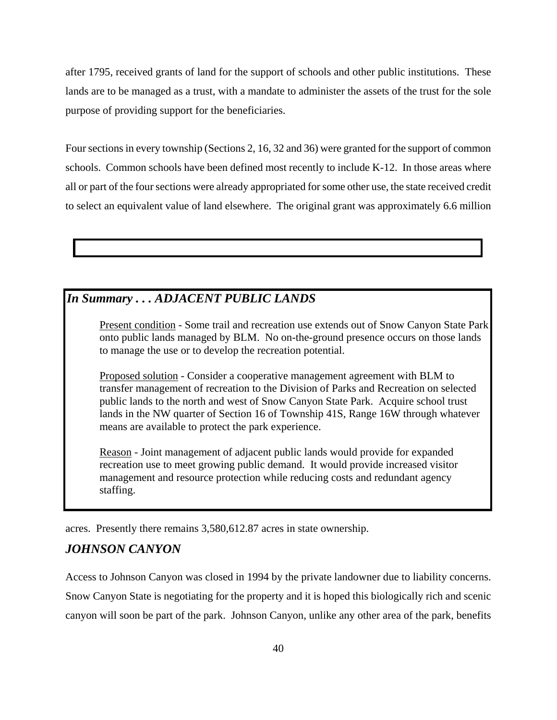after 1795, received grants of land for the support of schools and other public institutions. These lands are to be managed as a trust, with a mandate to administer the assets of the trust for the sole purpose of providing support for the beneficiaries.

Four sections in every township (Sections 2, 16, 32 and 36) were granted for the support of common schools. Common schools have been defined most recently to include K-12. In those areas where all or part of the four sections were already appropriated for some other use, the state received credit to select an equivalent value of land elsewhere. The original grant was approximately 6.6 million

#### *In Summary . . . ADJACENT PUBLIC LANDS*

 Present condition - Some trail and recreation use extends out of Snow Canyon State Park onto public lands managed by BLM. No on-the-ground presence occurs on those lands to manage the use or to develop the recreation potential.

 Proposed solution - Consider a cooperative management agreement with BLM to transfer management of recreation to the Division of Parks and Recreation on selected public lands to the north and west of Snow Canyon State Park. Acquire school trust lands in the NW quarter of Section 16 of Township 41S, Range 16W through whatever means are available to protect the park experience.

 Reason - Joint management of adjacent public lands would provide for expanded recreation use to meet growing public demand. It would provide increased visitor management and resource protection while reducing costs and redundant agency staffing.

acres. Presently there remains 3,580,612.87 acres in state ownership.

#### *JOHNSON CANYON*

Access to Johnson Canyon was closed in 1994 by the private landowner due to liability concerns. Snow Canyon State is negotiating for the property and it is hoped this biologically rich and scenic canyon will soon be part of the park. Johnson Canyon, unlike any other area of the park, benefits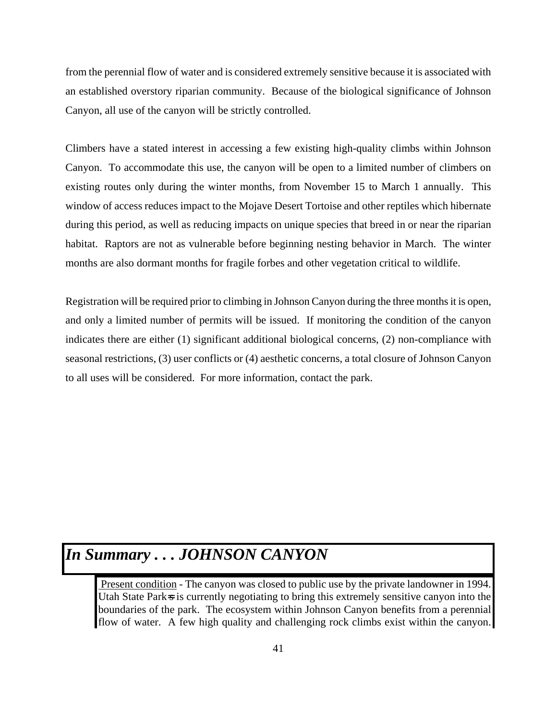from the perennial flow of water and is considered extremely sensitive because it is associated with an established overstory riparian community. Because of the biological significance of Johnson Canyon, all use of the canyon will be strictly controlled.

Climbers have a stated interest in accessing a few existing high-quality climbs within Johnson Canyon. To accommodate this use, the canyon will be open to a limited number of climbers on existing routes only during the winter months, from November 15 to March 1 annually. This window of access reduces impact to the Mojave Desert Tortoise and other reptiles which hibernate during this period, as well as reducing impacts on unique species that breed in or near the riparian habitat. Raptors are not as vulnerable before beginning nesting behavior in March. The winter months are also dormant months for fragile forbes and other vegetation critical to wildlife.

Registration will be required prior to climbing in Johnson Canyon during the three months it is open, and only a limited number of permits will be issued. If monitoring the condition of the canyon indicates there are either (1) significant additional biological concerns, (2) non-compliance with seasonal restrictions, (3) user conflicts or (4) aesthetic concerns, a total closure of Johnson Canyon to all uses will be considered. For more information, contact the park.

# *In Summary . . . JOHNSON CANYON*

Present condition - The canyon was closed to public use by the private landowner in 1994. Utah State Park<sub>s</sub> is currently negotiating to bring this extremely sensitive canyon into the boundaries of the park. The ecosystem within Johnson Canyon benefits from a perennial flow of water. A few high quality and challenging rock climbs exist within the canyon.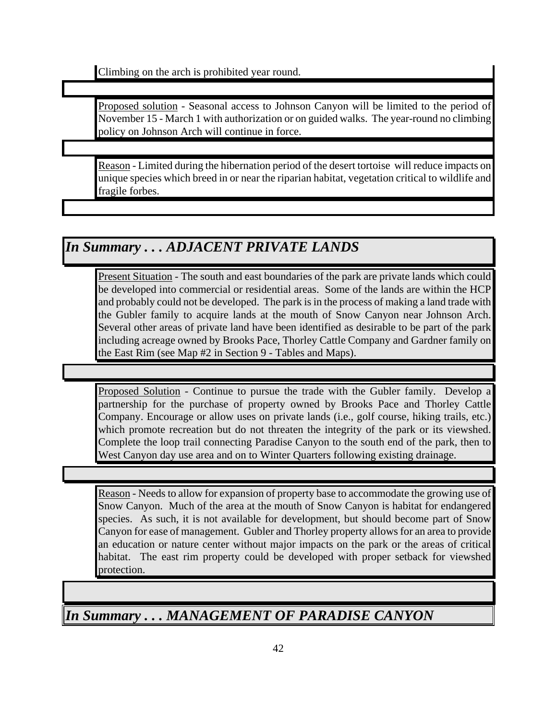Climbing on the arch is prohibited year round.

Proposed solution - Seasonal access to Johnson Canyon will be limited to the period of November 15 - March 1 with authorization or on guided walks. The year-round no climbing policy on Johnson Arch will continue in force.

Reason - Limited during the hibernation period of the desert tortoise will reduce impacts on unique species which breed in or near the riparian habitat, vegetation critical to wildlife and fragile forbes.

## *In Summary . . . ADJACENT PRIVATE LANDS*

Present Situation - The south and east boundaries of the park are private lands which could be developed into commercial or residential areas. Some of the lands are within the HCP and probably could not be developed. The park is in the process of making a land trade with the Gubler family to acquire lands at the mouth of Snow Canyon near Johnson Arch. Several other areas of private land have been identified as desirable to be part of the park including acreage owned by Brooks Pace, Thorley Cattle Company and Gardner family on the East Rim (see Map #2 in Section 9 - Tables and Maps).

Proposed Solution - Continue to pursue the trade with the Gubler family. Develop a partnership for the purchase of property owned by Brooks Pace and Thorley Cattle Company. Encourage or allow uses on private lands (i.e., golf course, hiking trails, etc.) which promote recreation but do not threaten the integrity of the park or its viewshed. Complete the loop trail connecting Paradise Canyon to the south end of the park, then to West Canyon day use area and on to Winter Quarters following existing drainage.

Reason - Needs to allow for expansion of property base to accommodate the growing use of Snow Canyon. Much of the area at the mouth of Snow Canyon is habitat for endangered species. As such, it is not available for development, but should become part of Snow Canyon for ease of management. Gubler and Thorley property allows for an area to provide an education or nature center without major impacts on the park or the areas of critical habitat. The east rim property could be developed with proper setback for viewshed protection.

*In Summary . . . MANAGEMENT OF PARADISE CANYON*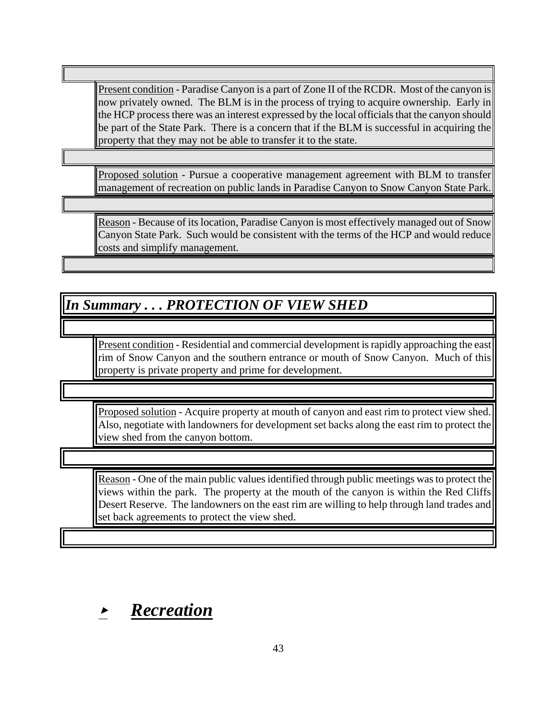Present condition - Paradise Canyon is a part of Zone II of the RCDR. Most of the canyon is now privately owned. The BLM is in the process of trying to acquire ownership. Early in the HCP process there was an interest expressed by the local officials that the canyon should be part of the State Park. There is a concern that if the BLM is successful in acquiring the property that they may not be able to transfer it to the state.

Proposed solution - Pursue a cooperative management agreement with BLM to transfer management of recreation on public lands in Paradise Canyon to Snow Canyon State Park.

Reason - Because of its location, Paradise Canyon is most effectively managed out of Snow Canyon State Park. Such would be consistent with the terms of the HCP and would reduce costs and simplify management.

# *In Summary . . . PROTECTION OF VIEW SHED*

Present condition - Residential and commercial development is rapidly approaching the east rim of Snow Canyon and the southern entrance or mouth of Snow Canyon. Much of this property is private property and prime for development.

Proposed solution - Acquire property at mouth of canyon and east rim to protect view shed. Also, negotiate with landowners for development set backs along the east rim to protect the view shed from the canyon bottom.

Reason - One of the main public values identified through public meetings was to protect the views within the park. The property at the mouth of the canyon is within the Red Cliffs Desert Reserve. The landowners on the east rim are willing to help through land trades and set back agreements to protect the view shed.

< *Recreation*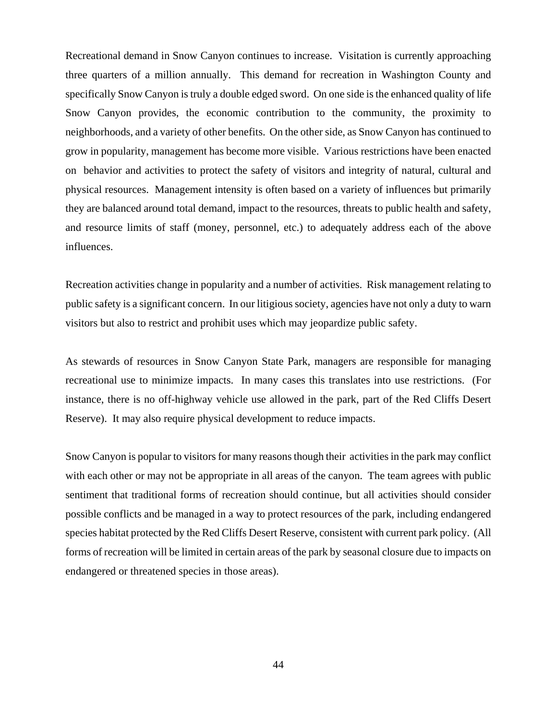Recreational demand in Snow Canyon continues to increase. Visitation is currently approaching three quarters of a million annually. This demand for recreation in Washington County and specifically Snow Canyon is truly a double edged sword. On one side is the enhanced quality of life Snow Canyon provides, the economic contribution to the community, the proximity to neighborhoods, and a variety of other benefits. On the other side, as Snow Canyon has continued to grow in popularity, management has become more visible. Various restrictions have been enacted on behavior and activities to protect the safety of visitors and integrity of natural, cultural and physical resources. Management intensity is often based on a variety of influences but primarily they are balanced around total demand, impact to the resources, threats to public health and safety, and resource limits of staff (money, personnel, etc.) to adequately address each of the above influences.

Recreation activities change in popularity and a number of activities. Risk management relating to public safety is a significant concern. In our litigious society, agencies have not only a duty to warn visitors but also to restrict and prohibit uses which may jeopardize public safety.

As stewards of resources in Snow Canyon State Park, managers are responsible for managing recreational use to minimize impacts. In many cases this translates into use restrictions. (For instance, there is no off-highway vehicle use allowed in the park, part of the Red Cliffs Desert Reserve). It may also require physical development to reduce impacts.

Snow Canyon is popular to visitors for many reasons though their activities in the park may conflict with each other or may not be appropriate in all areas of the canyon. The team agrees with public sentiment that traditional forms of recreation should continue, but all activities should consider possible conflicts and be managed in a way to protect resources of the park, including endangered species habitat protected by the Red Cliffs Desert Reserve, consistent with current park policy. (All forms of recreation will be limited in certain areas of the park by seasonal closure due to impacts on endangered or threatened species in those areas).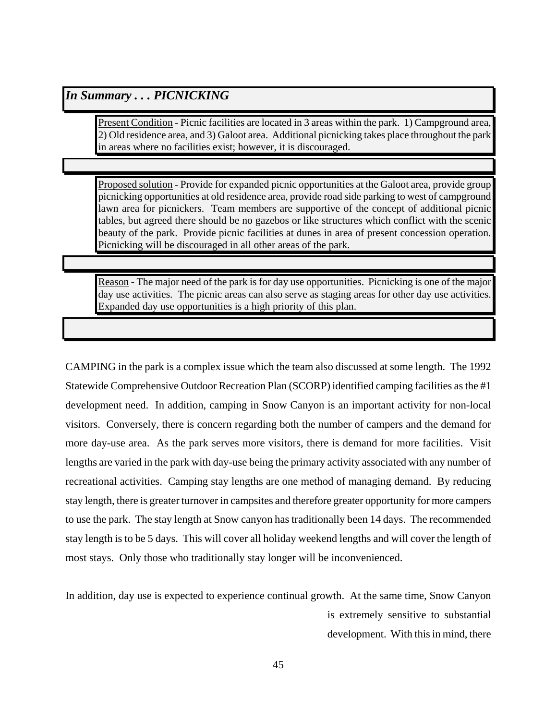#### *In Summary . . . PICNICKING*

Present Condition - Picnic facilities are located in 3 areas within the park. 1) Campground area, 2) Old residence area, and 3) Galoot area. Additional picnicking takes place throughout the park in areas where no facilities exist; however, it is discouraged.

Proposed solution - Provide for expanded picnic opportunities at the Galoot area, provide group picnicking opportunities at old residence area, provide road side parking to west of campground lawn area for picnickers. Team members are supportive of the concept of additional picnic tables, but agreed there should be no gazebos or like structures which conflict with the scenic beauty of the park. Provide picnic facilities at dunes in area of present concession operation. Picnicking will be discouraged in all other areas of the park.

Reason - The major need of the park is for day use opportunities. Picnicking is one of the major day use activities. The picnic areas can also serve as staging areas for other day use activities. Expanded day use opportunities is a high priority of this plan.

CAMPING in the park is a complex issue which the team also discussed at some length. The 1992 Statewide Comprehensive Outdoor Recreation Plan (SCORP) identified camping facilities as the #1 development need. In addition, camping in Snow Canyon is an important activity for non-local visitors. Conversely, there is concern regarding both the number of campers and the demand for more day-use area. As the park serves more visitors, there is demand for more facilities. Visit lengths are varied in the park with day-use being the primary activity associated with any number of recreational activities. Camping stay lengths are one method of managing demand. By reducing stay length, there is greater turnover in campsites and therefore greater opportunity for more campers to use the park. The stay length at Snow canyon has traditionally been 14 days. The recommended stay length is to be 5 days. This will cover all holiday weekend lengths and will cover the length of most stays. Only those who traditionally stay longer will be inconvenienced.

In addition, day use is expected to experience continual growth. At the same time, Snow Canyon is extremely sensitive to substantial development. With this in mind, there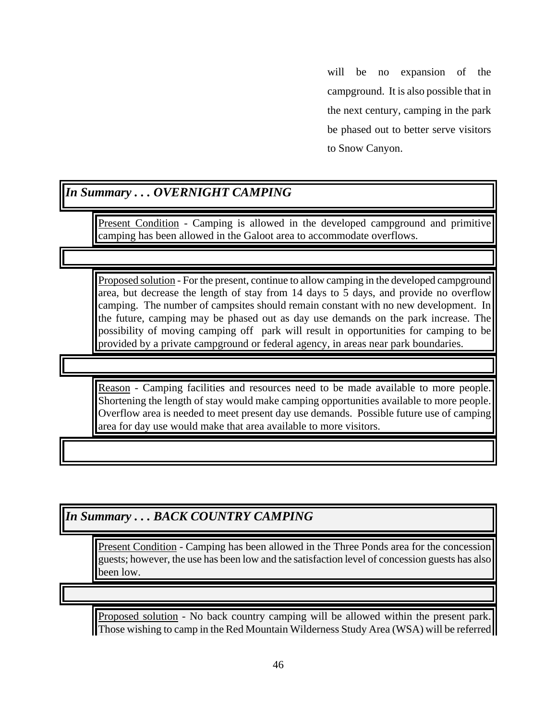will be no expansion of the campground. It is also possible that in the next century, camping in the park be phased out to better serve visitors to Snow Canyon.

#### *In Summary . . . OVERNIGHT CAMPING*

Present Condition - Camping is allowed in the developed campground and primitive camping has been allowed in the Galoot area to accommodate overflows.

Proposed solution - For the present, continue to allow camping in the developed campground area, but decrease the length of stay from 14 days to 5 days, and provide no overflow camping. The number of campsites should remain constant with no new development. In the future, camping may be phased out as day use demands on the park increase. The possibility of moving camping off park will result in opportunities for camping to be provided by a private campground or federal agency, in areas near park boundaries.

Reason - Camping facilities and resources need to be made available to more people. Shortening the length of stay would make camping opportunities available to more people. Overflow area is needed to meet present day use demands. Possible future use of camping area for day use would make that area available to more visitors.

*In Summary . . . BACK COUNTRY CAMPING*

Present Condition - Camping has been allowed in the Three Ponds area for the concession guests; however, the use has been low and the satisfaction level of concession guests has also been low.

Proposed solution - No back country camping will be allowed within the present park. Those wishing to camp in the Red Mountain Wilderness Study Area (WSA) will be referred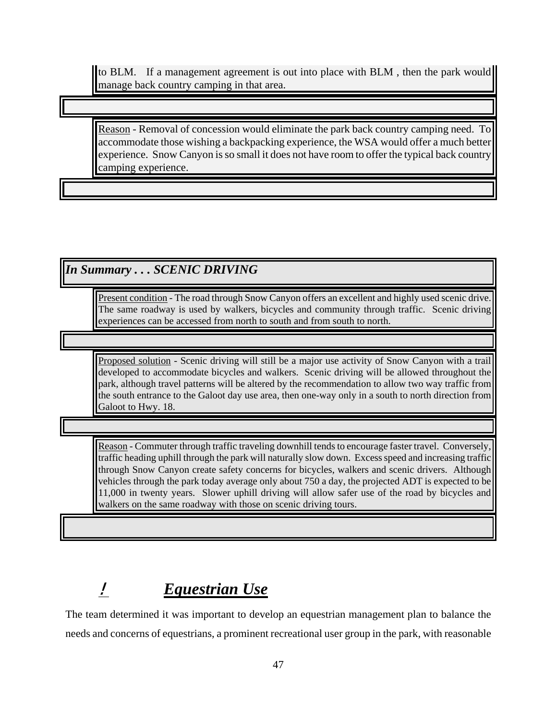to BLM. If a management agreement is out into place with BLM , then the park would manage back country camping in that area.

Reason - Removal of concession would eliminate the park back country camping need. To accommodate those wishing a backpacking experience, the WSA would offer a much better experience. Snow Canyon is so small it does not have room to offer the typical back country camping experience.

### *In Summary . . . SCENIC DRIVING*

Present condition - The road through Snow Canyon offers an excellent and highly used scenic drive. The same roadway is used by walkers, bicycles and community through traffic. Scenic driving experiences can be accessed from north to south and from south to north.

Proposed solution - Scenic driving will still be a major use activity of Snow Canyon with a trail developed to accommodate bicycles and walkers. Scenic driving will be allowed throughout the park, although travel patterns will be altered by the recommendation to allow two way traffic from the south entrance to the Galoot day use area, then one-way only in a south to north direction from Galoot to Hwy. 18.

Reason - Commuter through traffic traveling downhill tends to encourage faster travel. Conversely, traffic heading uphill through the park will naturally slow down. Excess speed and increasing traffic through Snow Canyon create safety concerns for bicycles, walkers and scenic drivers. Although vehicles through the park today average only about 750 a day, the projected ADT is expected to be 11,000 in twenty years. Slower uphill driving will allow safer use of the road by bicycles and walkers on the same roadway with those on scenic driving tours.

# ! *Equestrian Use*

The team determined it was important to develop an equestrian management plan to balance the needs and concerns of equestrians, a prominent recreational user group in the park, with reasonable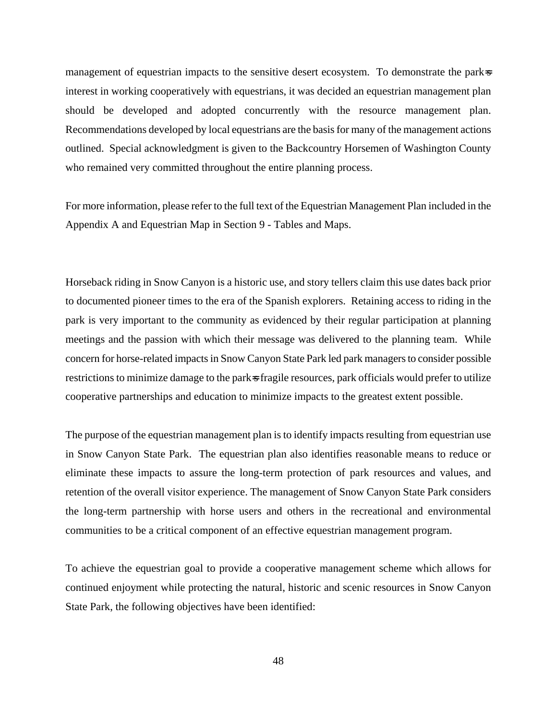management of equestrian impacts to the sensitive desert ecosystem. To demonstrate the parks interest in working cooperatively with equestrians, it was decided an equestrian management plan should be developed and adopted concurrently with the resource management plan. Recommendations developed by local equestrians are the basis for many of the management actions outlined. Special acknowledgment is given to the Backcountry Horsemen of Washington County who remained very committed throughout the entire planning process.

For more information, please refer to the full text of the Equestrian Management Plan included in the Appendix A and Equestrian Map in Section 9 - Tables and Maps.

Horseback riding in Snow Canyon is a historic use, and story tellers claim this use dates back prior to documented pioneer times to the era of the Spanish explorers. Retaining access to riding in the park is very important to the community as evidenced by their regular participation at planning meetings and the passion with which their message was delivered to the planning team. While concern for horse-related impacts in Snow Canyon State Park led park managers to consider possible restrictions to minimize damage to the parks fragile resources, park officials would prefer to utilize cooperative partnerships and education to minimize impacts to the greatest extent possible.

The purpose of the equestrian management plan is to identify impacts resulting from equestrian use in Snow Canyon State Park. The equestrian plan also identifies reasonable means to reduce or eliminate these impacts to assure the long-term protection of park resources and values, and retention of the overall visitor experience. The management of Snow Canyon State Park considers the long-term partnership with horse users and others in the recreational and environmental communities to be a critical component of an effective equestrian management program.

To achieve the equestrian goal to provide a cooperative management scheme which allows for continued enjoyment while protecting the natural, historic and scenic resources in Snow Canyon State Park, the following objectives have been identified: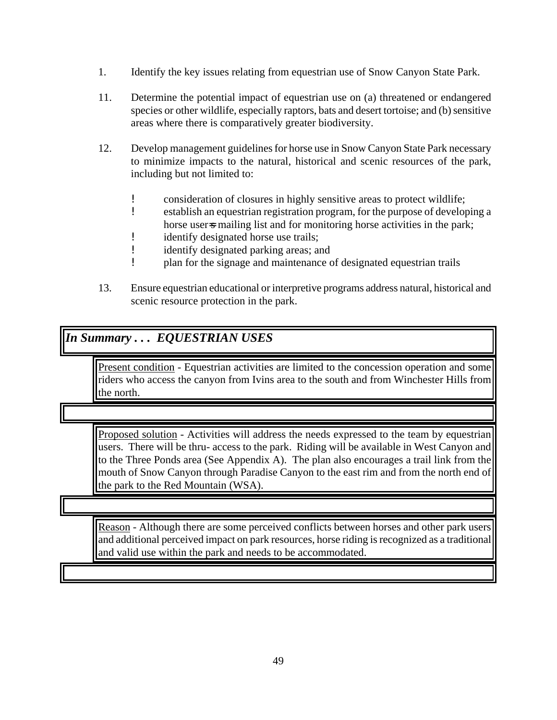- 1. Identify the key issues relating from equestrian use of Snow Canyon State Park.
- 11. Determine the potential impact of equestrian use on (a) threatened or endangered species or other wildlife, especially raptors, bats and desert tortoise; and (b) sensitive areas where there is comparatively greater biodiversity.
- 12. Develop management guidelines for horse use in Snow Canyon State Park necessary to minimize impacts to the natural, historical and scenic resources of the park, including but not limited to:
	- **.** consideration of closures in highly sensitive areas to protect wildlife;
	- ! establish an equestrian registration program, for the purpose of developing a horse users mailing list and for monitoring horse activities in the park;
	- **.** identify designated horse use trails;
	- ! identify designated parking areas; and
	- ! plan for the signage and maintenance of designated equestrian trails
- 13. Ensure equestrian educational or interpretive programs address natural, historical and scenic resource protection in the park.

#### *In Summary . . . EQUESTRIAN USES*

Present condition - Equestrian activities are limited to the concession operation and some riders who access the canyon from Ivins area to the south and from Winchester Hills from the north.

Proposed solution - Activities will address the needs expressed to the team by equestrian users. There will be thru- access to the park. Riding will be available in West Canyon and to the Three Ponds area (See Appendix A). The plan also encourages a trail link from the mouth of Snow Canyon through Paradise Canyon to the east rim and from the north end of the park to the Red Mountain (WSA).

Reason - Although there are some perceived conflicts between horses and other park users and additional perceived impact on park resources, horse riding is recognized as a traditional and valid use within the park and needs to be accommodated.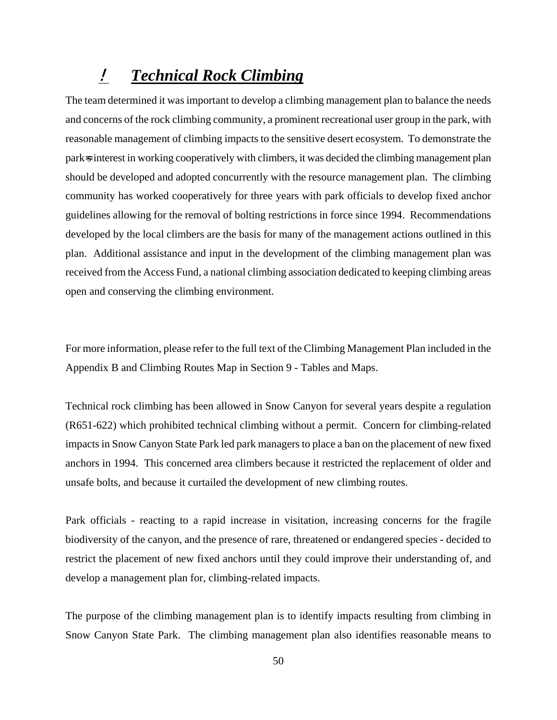# ! *Technical Rock Climbing*

The team determined it was important to develop a climbing management plan to balance the needs and concerns of the rock climbing community, a prominent recreational user group in the park, with reasonable management of climbing impacts to the sensitive desert ecosystem. To demonstrate the park=s interest in working cooperatively with climbers, it was decided the climbing management plan should be developed and adopted concurrently with the resource management plan. The climbing community has worked cooperatively for three years with park officials to develop fixed anchor guidelines allowing for the removal of bolting restrictions in force since 1994. Recommendations developed by the local climbers are the basis for many of the management actions outlined in this plan. Additional assistance and input in the development of the climbing management plan was received from the Access Fund, a national climbing association dedicated to keeping climbing areas open and conserving the climbing environment.

For more information, please refer to the full text of the Climbing Management Plan included in the Appendix B and Climbing Routes Map in Section 9 - Tables and Maps.

Technical rock climbing has been allowed in Snow Canyon for several years despite a regulation (R651-622) which prohibited technical climbing without a permit. Concern for climbing-related impacts in Snow Canyon State Park led park managers to place a ban on the placement of new fixed anchors in 1994. This concerned area climbers because it restricted the replacement of older and unsafe bolts, and because it curtailed the development of new climbing routes.

Park officials - reacting to a rapid increase in visitation, increasing concerns for the fragile biodiversity of the canyon, and the presence of rare, threatened or endangered species - decided to restrict the placement of new fixed anchors until they could improve their understanding of, and develop a management plan for, climbing-related impacts.

The purpose of the climbing management plan is to identify impacts resulting from climbing in Snow Canyon State Park. The climbing management plan also identifies reasonable means to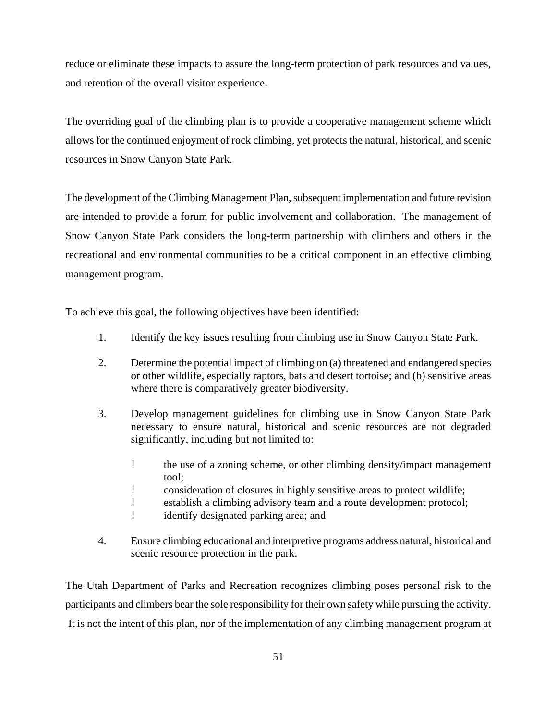reduce or eliminate these impacts to assure the long-term protection of park resources and values, and retention of the overall visitor experience.

The overriding goal of the climbing plan is to provide a cooperative management scheme which allows for the continued enjoyment of rock climbing, yet protects the natural, historical, and scenic resources in Snow Canyon State Park.

The development of the Climbing Management Plan, subsequent implementation and future revision are intended to provide a forum for public involvement and collaboration. The management of Snow Canyon State Park considers the long-term partnership with climbers and others in the recreational and environmental communities to be a critical component in an effective climbing management program.

To achieve this goal, the following objectives have been identified:

- 1. Identify the key issues resulting from climbing use in Snow Canyon State Park.
- 2. Determine the potential impact of climbing on (a) threatened and endangered species or other wildlife, especially raptors, bats and desert tortoise; and (b) sensitive areas where there is comparatively greater biodiversity.
- 3. Develop management guidelines for climbing use in Snow Canyon State Park necessary to ensure natural, historical and scenic resources are not degraded significantly, including but not limited to:
	- ! the use of a zoning scheme, or other climbing density/impact management tool;
	- **.** consideration of closures in highly sensitive areas to protect wildlife;
	- ! establish a climbing advisory team and a route development protocol;
	- ! identify designated parking area; and
- 4. Ensure climbing educational and interpretive programs address natural, historical and scenic resource protection in the park.

The Utah Department of Parks and Recreation recognizes climbing poses personal risk to the participants and climbers bear the sole responsibility for their own safety while pursuing the activity. It is not the intent of this plan, nor of the implementation of any climbing management program at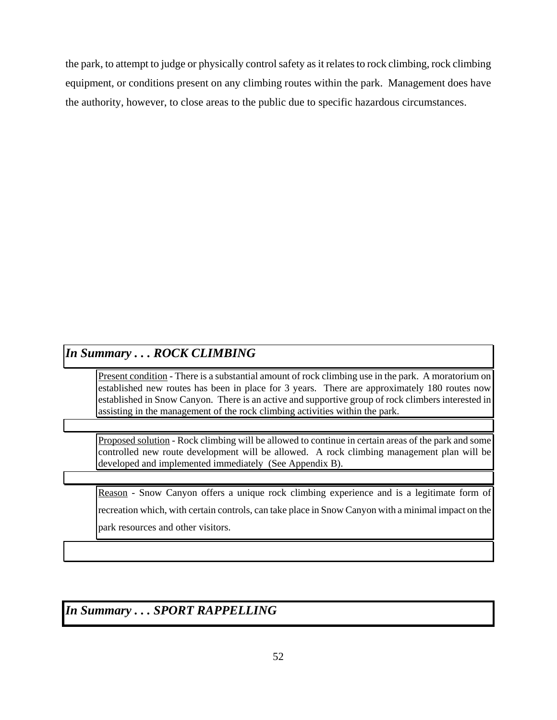the park, to attempt to judge or physically control safety as it relates to rock climbing, rock climbing equipment, or conditions present on any climbing routes within the park. Management does have the authority, however, to close areas to the public due to specific hazardous circumstances.

### *In Summary . . . ROCK CLIMBING*

Present condition - There is a substantial amount of rock climbing use in the park. A moratorium on established new routes has been in place for 3 years. There are approximately 180 routes now established in Snow Canyon. There is an active and supportive group of rock climbers interested in assisting in the management of the rock climbing activities within the park.

Proposed solution - Rock climbing will be allowed to continue in certain areas of the park and some controlled new route development will be allowed. A rock climbing management plan will be developed and implemented immediately (See Appendix B).

Reason - Snow Canyon offers a unique rock climbing experience and is a legitimate form of recreation which, with certain controls, can take place in Snow Canyon with a minimal impact on the park resources and other visitors.

*In Summary . . . SPORT RAPPELLING*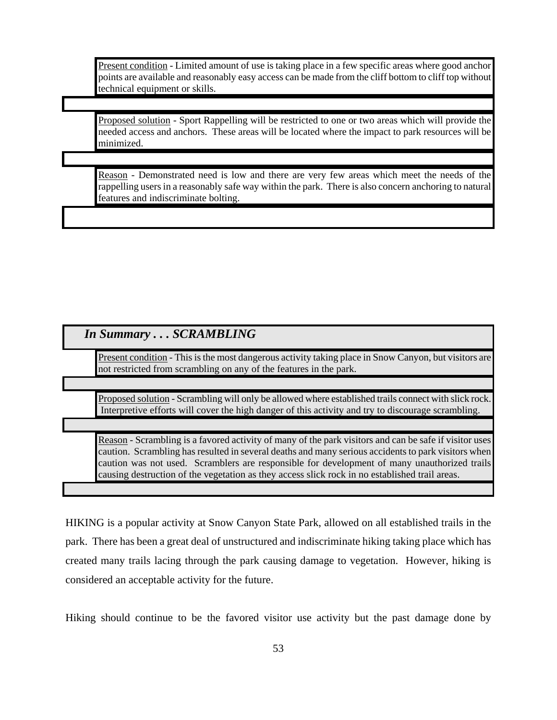Present condition - Limited amount of use is taking place in a few specific areas where good anchor points are available and reasonably easy access can be made from the cliff bottom to cliff top without technical equipment or skills.

Proposed solution - Sport Rappelling will be restricted to one or two areas which will provide the needed access and anchors. These areas will be located where the impact to park resources will be minimized.

Reason - Demonstrated need is low and there are very few areas which meet the needs of the rappelling users in a reasonably safe way within the park. There is also concern anchoring to natural features and indiscriminate bolting.

### *In Summary . . . SCRAMBLING*

Present condition - This is the most dangerous activity taking place in Snow Canyon, but visitors are not restricted from scrambling on any of the features in the park.

Proposed solution - Scrambling will only be allowed where established trails connect with slick rock. Interpretive efforts will cover the high danger of this activity and try to discourage scrambling.

Reason - Scrambling is a favored activity of many of the park visitors and can be safe if visitor uses caution. Scrambling has resulted in several deaths and many serious accidents to park visitors when caution was not used. Scramblers are responsible for development of many unauthorized trails causing destruction of the vegetation as they access slick rock in no established trail areas.

HIKING is a popular activity at Snow Canyon State Park, allowed on all established trails in the park. There has been a great deal of unstructured and indiscriminate hiking taking place which has created many trails lacing through the park causing damage to vegetation. However, hiking is considered an acceptable activity for the future.

Hiking should continue to be the favored visitor use activity but the past damage done by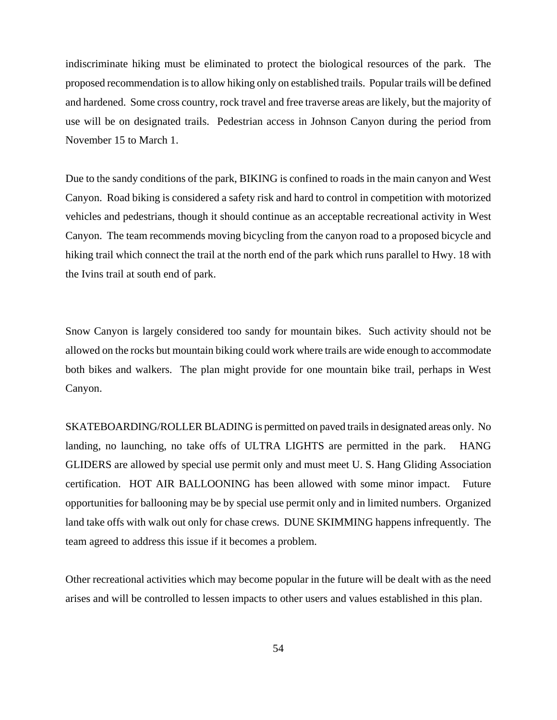indiscriminate hiking must be eliminated to protect the biological resources of the park. The proposed recommendation is to allow hiking only on established trails. Popular trails will be defined and hardened. Some cross country, rock travel and free traverse areas are likely, but the majority of use will be on designated trails. Pedestrian access in Johnson Canyon during the period from November 15 to March 1.

Due to the sandy conditions of the park, BIKING is confined to roads in the main canyon and West Canyon. Road biking is considered a safety risk and hard to control in competition with motorized vehicles and pedestrians, though it should continue as an acceptable recreational activity in West Canyon. The team recommends moving bicycling from the canyon road to a proposed bicycle and hiking trail which connect the trail at the north end of the park which runs parallel to Hwy. 18 with the Ivins trail at south end of park.

Snow Canyon is largely considered too sandy for mountain bikes. Such activity should not be allowed on the rocks but mountain biking could work where trails are wide enough to accommodate both bikes and walkers. The plan might provide for one mountain bike trail, perhaps in West Canyon.

SKATEBOARDING/ROLLER BLADING is permitted on paved trails in designated areas only. No landing, no launching, no take offs of ULTRA LIGHTS are permitted in the park. HANG GLIDERS are allowed by special use permit only and must meet U. S. Hang Gliding Association certification. HOT AIR BALLOONING has been allowed with some minor impact. Future opportunities for ballooning may be by special use permit only and in limited numbers. Organized land take offs with walk out only for chase crews. DUNE SKIMMING happens infrequently. The team agreed to address this issue if it becomes a problem.

Other recreational activities which may become popular in the future will be dealt with as the need arises and will be controlled to lessen impacts to other users and values established in this plan.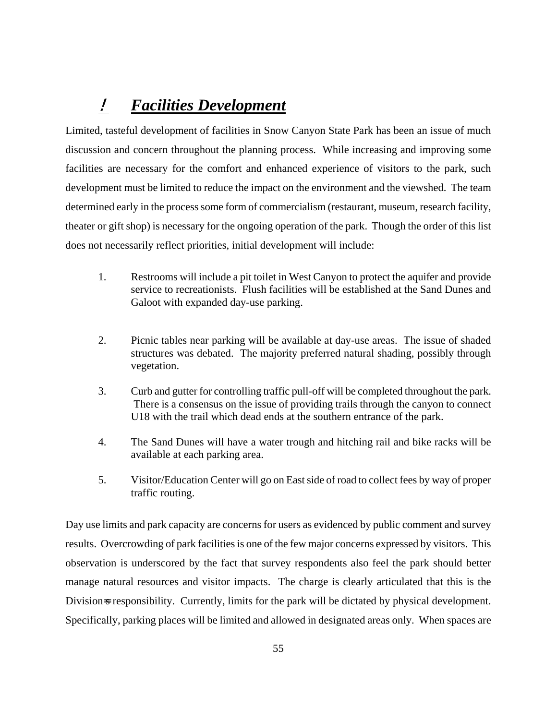# ! *Facilities Development*

Limited, tasteful development of facilities in Snow Canyon State Park has been an issue of much discussion and concern throughout the planning process. While increasing and improving some facilities are necessary for the comfort and enhanced experience of visitors to the park, such development must be limited to reduce the impact on the environment and the viewshed. The team determined early in the process some form of commercialism (restaurant, museum, research facility, theater or gift shop) is necessary for the ongoing operation of the park. Though the order of this list does not necessarily reflect priorities, initial development will include:

- 1. Restrooms will include a pit toilet in West Canyon to protect the aquifer and provide service to recreationists. Flush facilities will be established at the Sand Dunes and Galoot with expanded day-use parking.
- 2. Picnic tables near parking will be available at day-use areas. The issue of shaded structures was debated. The majority preferred natural shading, possibly through vegetation.
- 3. Curb and gutter for controlling traffic pull-off will be completed throughout the park. There is a consensus on the issue of providing trails through the canyon to connect U18 with the trail which dead ends at the southern entrance of the park.
- 4. The Sand Dunes will have a water trough and hitching rail and bike racks will be available at each parking area.
- 5. Visitor/Education Center will go on East side of road to collect fees by way of proper traffic routing.

Day use limits and park capacity are concerns for users as evidenced by public comment and survey results. Overcrowding of park facilities is one of the few major concerns expressed by visitors. This observation is underscored by the fact that survey respondents also feel the park should better manage natural resources and visitor impacts. The charge is clearly articulated that this is the Division<sub>s</sub> responsibility. Currently, limits for the park will be dictated by physical development. Specifically, parking places will be limited and allowed in designated areas only. When spaces are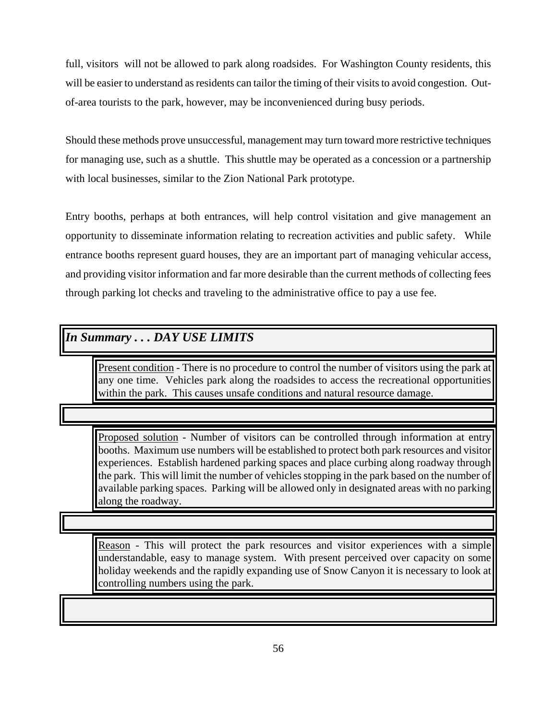full, visitors will not be allowed to park along roadsides. For Washington County residents, this will be easier to understand as residents can tailor the timing of their visits to avoid congestion. Outof-area tourists to the park, however, may be inconvenienced during busy periods.

Should these methods prove unsuccessful, management may turn toward more restrictive techniques for managing use, such as a shuttle. This shuttle may be operated as a concession or a partnership with local businesses, similar to the Zion National Park prototype.

Entry booths, perhaps at both entrances, will help control visitation and give management an opportunity to disseminate information relating to recreation activities and public safety. While entrance booths represent guard houses, they are an important part of managing vehicular access, and providing visitor information and far more desirable than the current methods of collecting fees through parking lot checks and traveling to the administrative office to pay a use fee.

#### *In Summary . . . DAY USE LIMITS*

Present condition - There is no procedure to control the number of visitors using the park at any one time. Vehicles park along the roadsides to access the recreational opportunities within the park. This causes unsafe conditions and natural resource damage.

Proposed solution - Number of visitors can be controlled through information at entry booths. Maximum use numbers will be established to protect both park resources and visitor experiences. Establish hardened parking spaces and place curbing along roadway through the park. This will limit the number of vehicles stopping in the park based on the number of available parking spaces. Parking will be allowed only in designated areas with no parking along the roadway.

Reason - This will protect the park resources and visitor experiences with a simple understandable, easy to manage system. With present perceived over capacity on some holiday weekends and the rapidly expanding use of Snow Canyon it is necessary to look at controlling numbers using the park.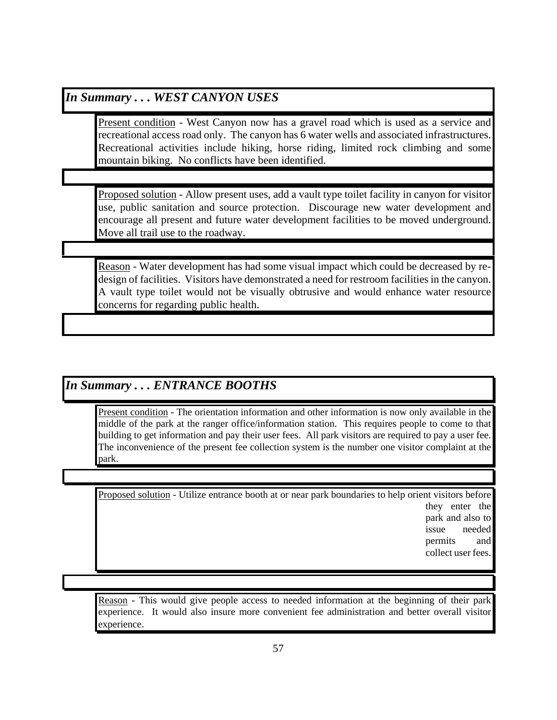#### *In Summary . . . WEST CANYON USES*

Present condition - West Canyon now has a gravel road which is used as a service and recreational access road only. The canyon has 6 water wells and associated infrastructures. Recreational activities include hiking, horse riding, limited rock climbing and some mountain biking. No conflicts have been identified.

Proposed solution - Allow present uses, add a vault type toilet facility in canyon for visitor use, public sanitation and source protection. Discourage new water development and encourage all present and future water development facilities to be moved underground. Move all trail use to the roadway.

Reason - Water development has had some visual impact which could be decreased by redesign of facilities. Visitors have demonstrated a need for restroom facilities in the canyon. A vault type toilet would not be visually obtrusive and would enhance water resource concerns for regarding public health.

#### *In Summary . . . ENTRANCE BOOTHS*

Present condition - The orientation information and other information is now only available in the middle of the park at the ranger office/information station. This requires people to come to that building to get information and pay their user fees. All park visitors are required to pay a user fee. The inconvenience of the present fee collection system is the number one visitor complaint at the park.

Proposed solution - Utilize entrance booth at or near park boundaries to help orient visitors before they enter the

park and also to issue needed permits and collect user fees.

Reason - This would give people access to needed information at the beginning of their park experience. It would also insure more convenient fee administration and better overall visitor experience.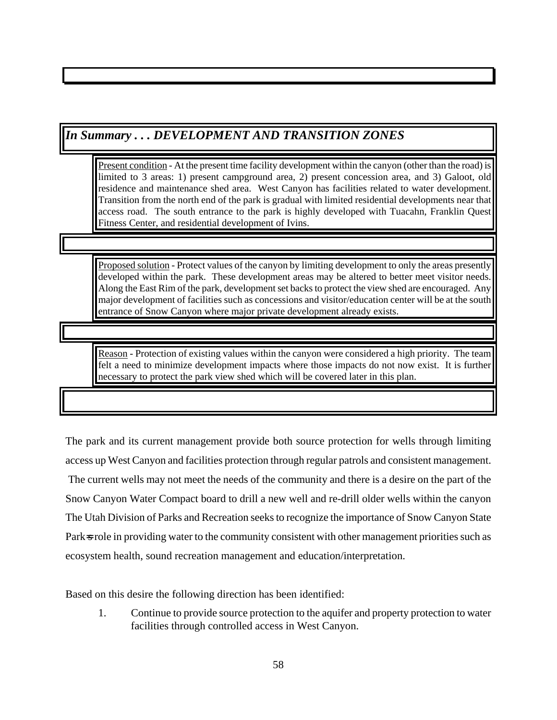## *In Summary . . . DEVELOPMENT AND TRANSITION ZONES*

Present condition - At the present time facility development within the canyon (other than the road) is limited to 3 areas: 1) present campground area, 2) present concession area, and 3) Galoot, old residence and maintenance shed area. West Canyon has facilities related to water development. Transition from the north end of the park is gradual with limited residential developments near that access road. The south entrance to the park is highly developed with Tuacahn, Franklin Quest Fitness Center, and residential development of Ivins.

Proposed solution - Protect values of the canyon by limiting development to only the areas presently developed within the park. These development areas may be altered to better meet visitor needs. Along the East Rim of the park, development set backs to protect the view shed are encouraged. Any major development of facilities such as concessions and visitor/education center will be at the south entrance of Snow Canyon where major private development already exists.

Reason - Protection of existing values within the canyon were considered a high priority. The team felt a need to minimize development impacts where those impacts do not now exist. It is further necessary to protect the park view shed which will be covered later in this plan.

The park and its current management provide both source protection for wells through limiting access up West Canyon and facilities protection through regular patrols and consistent management. The current wells may not meet the needs of the community and there is a desire on the part of the Snow Canyon Water Compact board to drill a new well and re-drill older wells within the canyon The Utah Division of Parks and Recreation seeks to recognize the importance of Snow Canyon State Park<sub>3</sub> role in providing water to the community consistent with other management priorities such as ecosystem health, sound recreation management and education/interpretation.

Based on this desire the following direction has been identified:

1. Continue to provide source protection to the aquifer and property protection to water facilities through controlled access in West Canyon.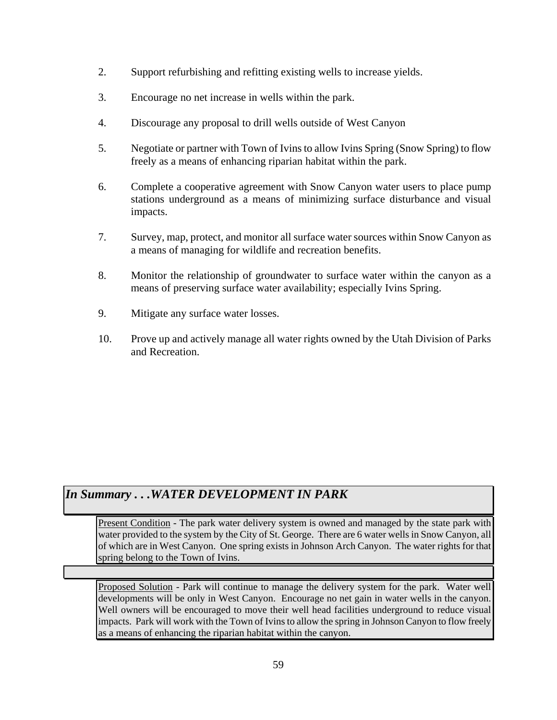- 2. Support refurbishing and refitting existing wells to increase yields.
- 3. Encourage no net increase in wells within the park.
- 4. Discourage any proposal to drill wells outside of West Canyon
- 5. Negotiate or partner with Town of Ivins to allow Ivins Spring (Snow Spring) to flow freely as a means of enhancing riparian habitat within the park.
- 6. Complete a cooperative agreement with Snow Canyon water users to place pump stations underground as a means of minimizing surface disturbance and visual impacts.
- 7. Survey, map, protect, and monitor all surface water sources within Snow Canyon as a means of managing for wildlife and recreation benefits.
- 8. Monitor the relationship of groundwater to surface water within the canyon as a means of preserving surface water availability; especially Ivins Spring.
- 9. Mitigate any surface water losses.
- 10. Prove up and actively manage all water rights owned by the Utah Division of Parks and Recreation.

## *In Summary . . .WATER DEVELOPMENT IN PARK*

Present Condition - The park water delivery system is owned and managed by the state park with water provided to the system by the City of St. George. There are 6 water wells in Snow Canyon, all of which are in West Canyon. One spring exists in Johnson Arch Canyon. The water rights for that spring belong to the Town of Ivins.

Proposed Solution - Park will continue to manage the delivery system for the park. Water well developments will be only in West Canyon. Encourage no net gain in water wells in the canyon. Well owners will be encouraged to move their well head facilities underground to reduce visual impacts. Park will work with the Town of Ivins to allow the spring in Johnson Canyon to flow freely as a means of enhancing the riparian habitat within the canyon.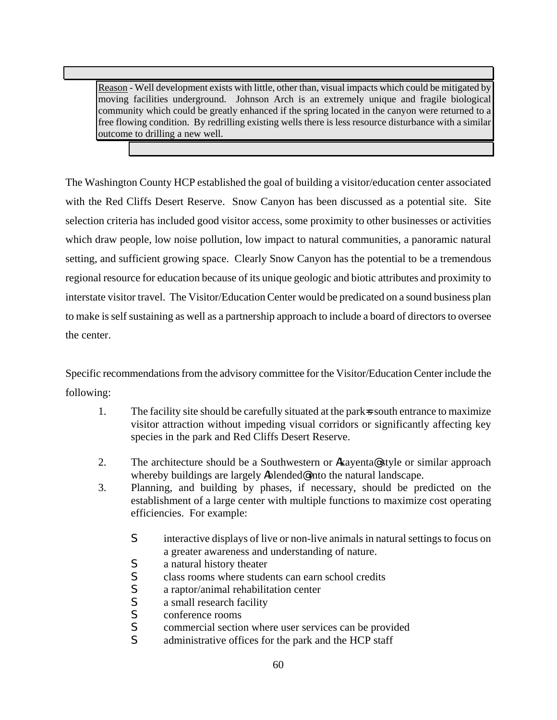Reason - Well development exists with little, other than, visual impacts which could be mitigated by moving facilities underground. Johnson Arch is an extremely unique and fragile biological community which could be greatly enhanced if the spring located in the canyon were returned to a free flowing condition. By redrilling existing wells there is less resource disturbance with a similar outcome to drilling a new well.

The Washington County HCP established the goal of building a visitor/education center associated with the Red Cliffs Desert Reserve. Snow Canyon has been discussed as a potential site. Site selection criteria has included good visitor access, some proximity to other businesses or activities which draw people, low noise pollution, low impact to natural communities, a panoramic natural setting, and sufficient growing space. Clearly Snow Canyon has the potential to be a tremendous regional resource for education because of its unique geologic and biotic attributes and proximity to interstate visitor travel. The Visitor/Education Center would be predicated on a sound business plan to make is self sustaining as well as a partnership approach to include a board of directors to oversee the center.

Specific recommendations from the advisory committee for the Visitor/Education Center include the following:

- 1. The facility site should be carefully situated at the parks south entrance to maximize visitor attraction without impeding visual corridors or significantly affecting key species in the park and Red Cliffs Desert Reserve.
- 2. The architecture should be a Southwestern or **A**kayenta **@** style or similar approach whereby buildings are largely **A**blended@into the natural landscape.
- 3. Planning, and building by phases, if necessary, should be predicted on the establishment of a large center with multiple functions to maximize cost operating efficiencies. For example:
	- **S** interactive displays of live or non-live animals in natural settings to focus on a greater awareness and understanding of nature.
	- **S** a natural history theater<br>**S** class rooms where stude
	- class rooms where students can earn school credits
	- $\int$  a raptor/animal rehabilitation center<br> $\int$  a small research facility
	- a small research facility
	- **S** conference rooms
	- **S** commercial section where user services can be provided
	- **S** administrative offices for the park and the HCP staff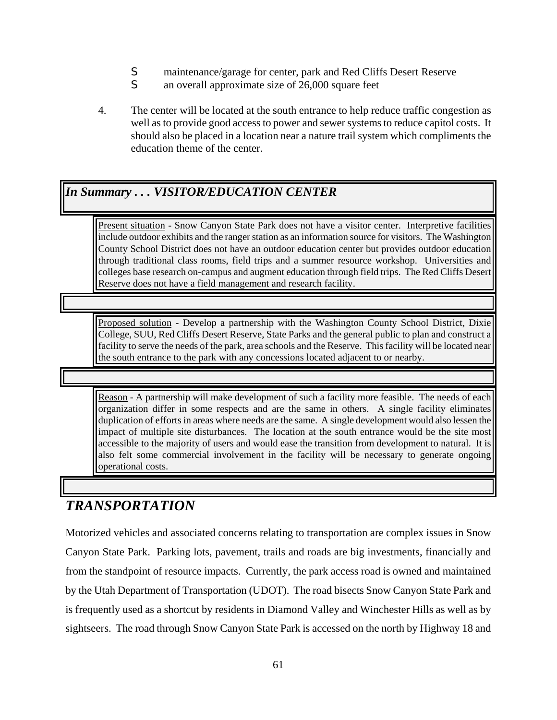- **S** maintenance/garage for center, park and Red Cliffs Desert Reserve
- **S** an overall approximate size of 26,000 square feet
- 4. The center will be located at the south entrance to help reduce traffic congestion as well as to provide good access to power and sewer systems to reduce capitol costs. It should also be placed in a location near a nature trail system which compliments the education theme of the center.

## *In Summary . . . VISITOR/EDUCATION CENTER*

Present situation - Snow Canyon State Park does not have a visitor center. Interpretive facilities include outdoor exhibits and the ranger station as an information source for visitors. The Washington County School District does not have an outdoor education center but provides outdoor education through traditional class rooms, field trips and a summer resource workshop. Universities and colleges base research on-campus and augment education through field trips. The Red Cliffs Desert Reserve does not have a field management and research facility.

Proposed solution - Develop a partnership with the Washington County School District, Dixie College, SUU, Red Cliffs Desert Reserve, State Parks and the general public to plan and construct a facility to serve the needs of the park, area schools and the Reserve. This facility will be located near the south entrance to the park with any concessions located adjacent to or nearby.

Reason - A partnership will make development of such a facility more feasible. The needs of each organization differ in some respects and are the same in others. A single facility eliminates duplication of efforts in areas where needs are the same. A single development would also lessen the impact of multiple site disturbances. The location at the south entrance would be the site most accessible to the majority of users and would ease the transition from development to natural. It is also felt some commercial involvement in the facility will be necessary to generate ongoing operational costs.

# *TRANSPORTATION*

Motorized vehicles and associated concerns relating to transportation are complex issues in Snow Canyon State Park. Parking lots, pavement, trails and roads are big investments, financially and from the standpoint of resource impacts. Currently, the park access road is owned and maintained by the Utah Department of Transportation (UDOT). The road bisects Snow Canyon State Park and is frequently used as a shortcut by residents in Diamond Valley and Winchester Hills as well as by sightseers. The road through Snow Canyon State Park is accessed on the north by Highway 18 and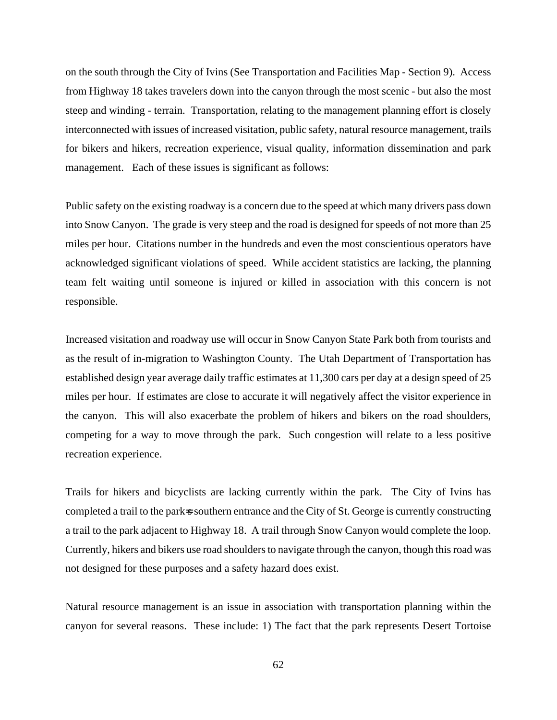on the south through the City of Ivins (See Transportation and Facilities Map - Section 9). Access from Highway 18 takes travelers down into the canyon through the most scenic - but also the most steep and winding - terrain. Transportation, relating to the management planning effort is closely interconnected with issues of increased visitation, public safety, natural resource management, trails for bikers and hikers, recreation experience, visual quality, information dissemination and park management. Each of these issues is significant as follows:

Public safety on the existing roadway is a concern due to the speed at which many drivers pass down into Snow Canyon. The grade is very steep and the road is designed for speeds of not more than 25 miles per hour. Citations number in the hundreds and even the most conscientious operators have acknowledged significant violations of speed. While accident statistics are lacking, the planning team felt waiting until someone is injured or killed in association with this concern is not responsible.

Increased visitation and roadway use will occur in Snow Canyon State Park both from tourists and as the result of in-migration to Washington County. The Utah Department of Transportation has established design year average daily traffic estimates at 11,300 cars per day at a design speed of 25 miles per hour. If estimates are close to accurate it will negatively affect the visitor experience in the canyon. This will also exacerbate the problem of hikers and bikers on the road shoulders, competing for a way to move through the park. Such congestion will relate to a less positive recreation experience.

Trails for hikers and bicyclists are lacking currently within the park. The City of Ivins has completed a trail to the park<sub>s</sub> southern entrance and the City of St. George is currently constructing a trail to the park adjacent to Highway 18. A trail through Snow Canyon would complete the loop. Currently, hikers and bikers use road shoulders to navigate through the canyon, though this road was not designed for these purposes and a safety hazard does exist.

Natural resource management is an issue in association with transportation planning within the canyon for several reasons. These include: 1) The fact that the park represents Desert Tortoise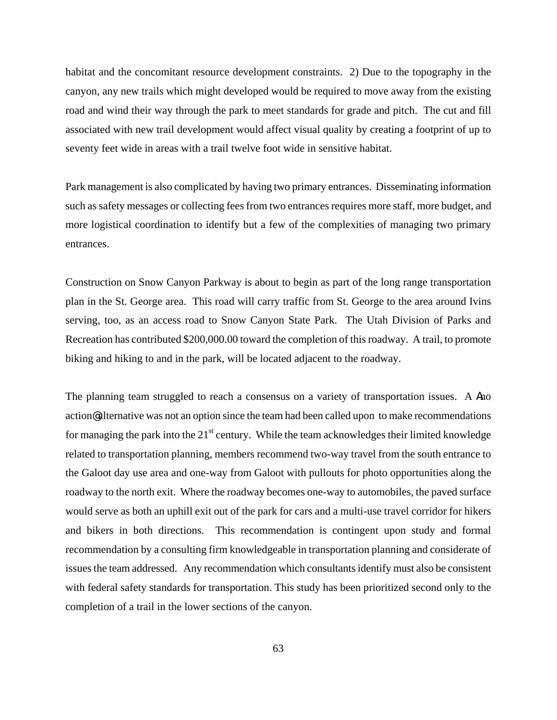habitat and the concomitant resource development constraints. 2) Due to the topography in the canyon, any new trails which might developed would be required to move away from the existing road and wind their way through the park to meet standards for grade and pitch. The cut and fill associated with new trail development would affect visual quality by creating a footprint of up to seventy feet wide in areas with a trail twelve foot wide in sensitive habitat.

Park management is also complicated by having two primary entrances. Disseminating information such as safety messages or collecting fees from two entrances requires more staff, more budget, and more logistical coordination to identify but a few of the complexities of managing two primary entrances.

Construction on Snow Canyon Parkway is about to begin as part of the long range transportation plan in the St. George area. This road will carry traffic from St. George to the area around Ivins serving, too, as an access road to Snow Canyon State Park. The Utah Division of Parks and Recreation has contributed \$200,000.00 toward the completion of this roadway. A trail, to promote biking and hiking to and in the park, will be located adjacent to the roadway.

The planning team struggled to reach a consensus on a variety of transportation issues. A **In**o action@ alternative was not an option since the team had been called upon to make recommendations for managing the park into the  $21<sup>st</sup>$  century. While the team acknowledges their limited knowledge related to transportation planning, members recommend two-way travel from the south entrance to the Galoot day use area and one-way from Galoot with pullouts for photo opportunities along the roadway to the north exit. Where the roadway becomes one-way to automobiles, the paved surface would serve as both an uphill exit out of the park for cars and a multi-use travel corridor for hikers and bikers in both directions. This recommendation is contingent upon study and formal recommendation by a consulting firm knowledgeable in transportation planning and considerate of issues the team addressed. Any recommendation which consultants identify must also be consistent with federal safety standards for transportation. This study has been prioritized second only to the completion of a trail in the lower sections of the canyon.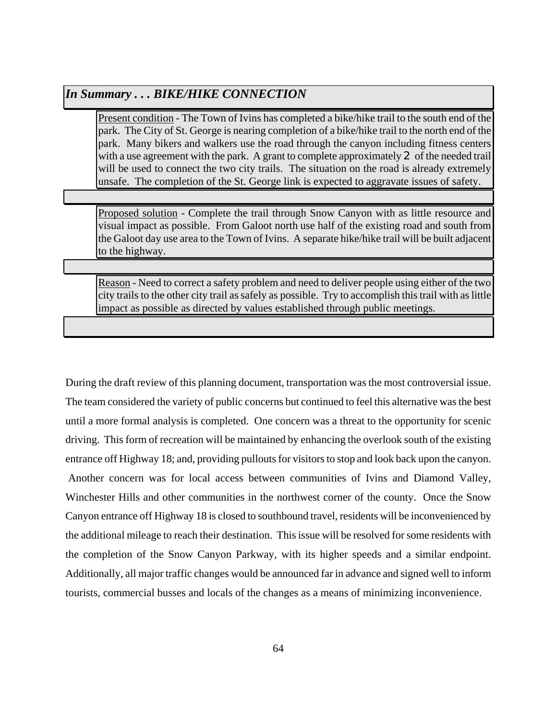# *In Summary . . . BIKE/HIKE CONNECTION*

Present condition - The Town of Ivins has completed a bike/hike trail to the south end of the park. The City of St. George is nearing completion of a bike/hike trail to the north end of the park. Many bikers and walkers use the road through the canyon including fitness centers with a use agreement with the park. A grant to complete approximately  $\mathbf 2$  of the needed trail will be used to connect the two city trails. The situation on the road is already extremely unsafe. The completion of the St. George link is expected to aggravate issues of safety.

Proposed solution - Complete the trail through Snow Canyon with as little resource and visual impact as possible. From Galoot north use half of the existing road and south from the Galoot day use area to the Town of Ivins. A separate hike/hike trail will be built adjacent to the highway.

Reason - Need to correct a safety problem and need to deliver people using either of the two city trails to the other city trail as safely as possible. Try to accomplish this trail with as little impact as possible as directed by values established through public meetings.

During the draft review of this planning document, transportation was the most controversial issue. The team considered the variety of public concerns but continued to feel this alternative was the best until a more formal analysis is completed. One concern was a threat to the opportunity for scenic driving. This form of recreation will be maintained by enhancing the overlook south of the existing entrance off Highway 18; and, providing pullouts for visitors to stop and look back upon the canyon. Another concern was for local access between communities of Ivins and Diamond Valley, Winchester Hills and other communities in the northwest corner of the county. Once the Snow Canyon entrance off Highway 18 is closed to southbound travel, residents will be inconvenienced by the additional mileage to reach their destination. This issue will be resolved for some residents with the completion of the Snow Canyon Parkway, with its higher speeds and a similar endpoint. Additionally, all major traffic changes would be announced far in advance and signed well to inform tourists, commercial busses and locals of the changes as a means of minimizing inconvenience.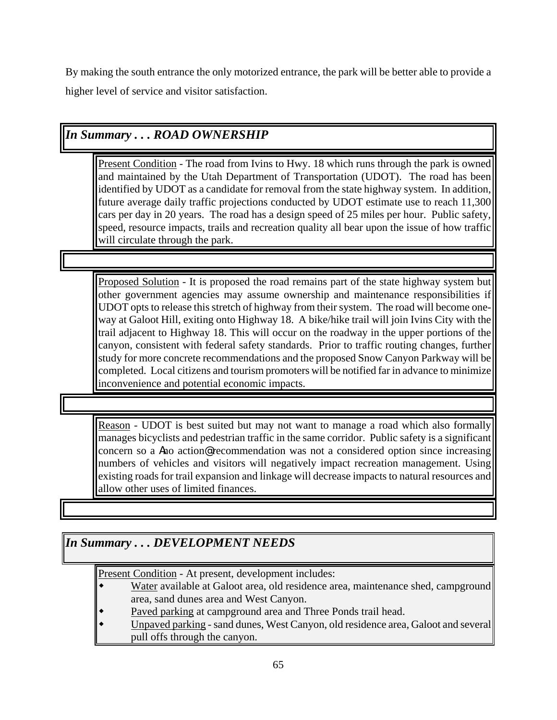By making the south entrance the only motorized entrance, the park will be better able to provide a higher level of service and visitor satisfaction.

## *In Summary . . . ROAD OWNERSHIP*

Present Condition - The road from Ivins to Hwy. 18 which runs through the park is owned and maintained by the Utah Department of Transportation (UDOT). The road has been identified by UDOT as a candidate for removal from the state highway system. In addition, future average daily traffic projections conducted by UDOT estimate use to reach 11,300 cars per day in 20 years. The road has a design speed of 25 miles per hour. Public safety, speed, resource impacts, trails and recreation quality all bear upon the issue of how traffic will circulate through the park.

Proposed Solution - It is proposed the road remains part of the state highway system but other government agencies may assume ownership and maintenance responsibilities if UDOT opts to release this stretch of highway from their system. The road will become oneway at Galoot Hill, exiting onto Highway 18. A bike/hike trail will join Ivins City with the trail adjacent to Highway 18. This will occur on the roadway in the upper portions of the canyon, consistent with federal safety standards. Prior to traffic routing changes, further study for more concrete recommendations and the proposed Snow Canyon Parkway will be completed. Local citizens and tourism promoters will be notified far in advance to minimize inconvenience and potential economic impacts.

Reason - UDOT is best suited but may not want to manage a road which also formally manages bicyclists and pedestrian traffic in the same corridor. Public safety is a significant concern so a **A**no action@ recommendation was not a considered option since increasing numbers of vehicles and visitors will negatively impact recreation management. Using existing roads for trail expansion and linkage will decrease impacts to natural resources and allow other uses of limited finances.

# *In Summary . . . DEVELOPMENT NEEDS*

Present Condition - At present, development includes:

- Water available at Galoot area, old residence area, maintenance shed, campground area, sand dunes area and West Canyon.
- Paved parking at campground area and Three Ponds trail head.
- Unpaved parking sand dunes, West Canyon, old residence area, Galoot and several pull offs through the canyon.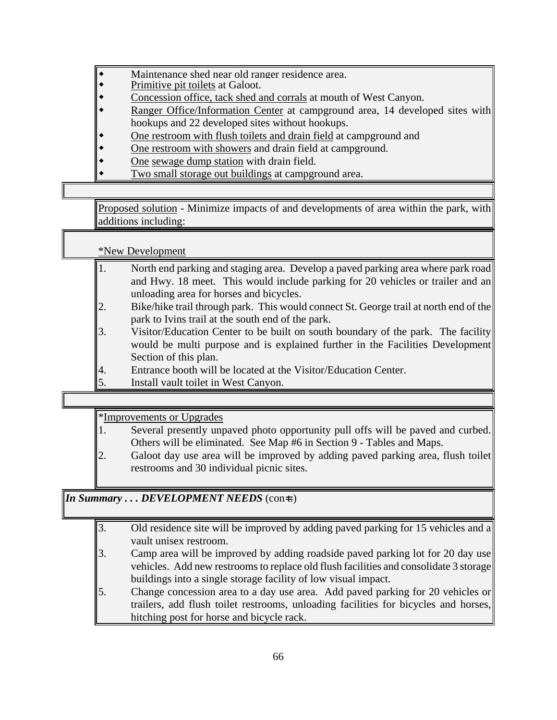- Maintenance shed near old ranger residence area.
- Primitive pit toilets at Galoot.
- Concession office, tack shed and corrals at mouth of West Canyon.
- Ranger Office/Information Center at campground area, 14 developed sites with hookups and 22 developed sites without hookups.
- One restroom with flush toilets and drain field at campground and
- One restroom with showers and drain field at campground.
- One sewage dump station with drain field.
- Two small storage out buildings at campground area.

Proposed solution - Minimize impacts of and developments of area within the park, with additions including:

\*New Development

- 1. North end parking and staging area. Develop a paved parking area where park road and Hwy. 18 meet. This would include parking for 20 vehicles or trailer and an unloading area for horses and bicycles.
- 2. Bike/hike trail through park. This would connect St. George trail at north end of the park to Ivins trail at the south end of the park.
- 3. Visitor/Education Center to be built on south boundary of the park. The facility would be multi purpose and is explained further in the Facilities Development Section of this plan.
- 4. Entrance booth will be located at the Visitor/Education Center.
- 5. Install vault toilet in West Canyon.

\*Improvements or Upgrades

- 1. Several presently unpaved photo opportunity pull offs will be paved and curbed. Others will be eliminated. See Map #6 in Section 9 - Tables and Maps.
- 2. Galoot day use area will be improved by adding paved parking area, flush toilet restrooms and 30 individual picnic sites.

#### *In Summary ... DEVELOPMENT NEEDS* (con=t.)

- 3. Old residence site will be improved by adding paved parking for 15 vehicles and a vault unisex restroom.
- 3. Camp area will be improved by adding roadside paved parking lot for 20 day use vehicles. Add new restrooms to replace old flush facilities and consolidate 3 storage buildings into a single storage facility of low visual impact.
- 5. Change concession area to a day use area. Add paved parking for 20 vehicles or trailers, add flush toilet restrooms, unloading facilities for bicycles and horses, hitching post for horse and bicycle rack.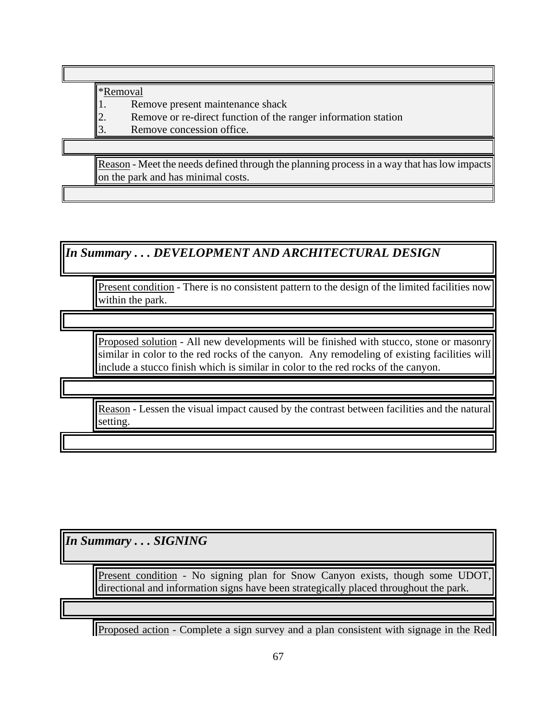\*Removal

1. Remove present maintenance shack

2. Remove or re-direct function of the ranger information station

3. Remove concession office.

Reason - Meet the needs defined through the planning process in a way that has low impacts on the park and has minimal costs.

*In Summary . . . DEVELOPMENT AND ARCHITECTURAL DESIGN*

Present condition - There is no consistent pattern to the design of the limited facilities now within the park.

Proposed solution - All new developments will be finished with stucco, stone or masonry similar in color to the red rocks of the canyon. Any remodeling of existing facilities will include a stucco finish which is similar in color to the red rocks of the canyon.

Reason - Lessen the visual impact caused by the contrast between facilities and the natural setting.

*In Summary . . . SIGNING*

Present condition - No signing plan for Snow Canyon exists, though some UDOT, directional and information signs have been strategically placed throughout the park.

Proposed action - Complete a sign survey and a plan consistent with signage in the Red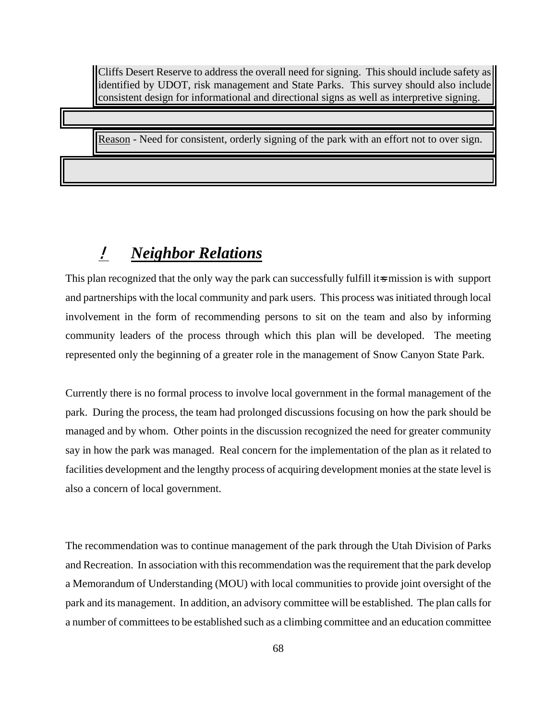Cliffs Desert Reserve to address the overall need for signing. This should include safety as identified by UDOT, risk management and State Parks. This survey should also include consistent design for informational and directional signs as well as interpretive signing.

Reason - Need for consistent, orderly signing of the park with an effort not to over sign.

# ! *Neighbor Relations*

This plan recognized that the only way the park can successfully fulfill its mission is with support and partnerships with the local community and park users. This process was initiated through local involvement in the form of recommending persons to sit on the team and also by informing community leaders of the process through which this plan will be developed. The meeting represented only the beginning of a greater role in the management of Snow Canyon State Park.

Currently there is no formal process to involve local government in the formal management of the park. During the process, the team had prolonged discussions focusing on how the park should be managed and by whom. Other points in the discussion recognized the need for greater community say in how the park was managed. Real concern for the implementation of the plan as it related to facilities development and the lengthy process of acquiring development monies at the state level is also a concern of local government.

The recommendation was to continue management of the park through the Utah Division of Parks and Recreation. In association with this recommendation was the requirement that the park develop a Memorandum of Understanding (MOU) with local communities to provide joint oversight of the park and its management. In addition, an advisory committee will be established. The plan calls for a number of committees to be established such as a climbing committee and an education committee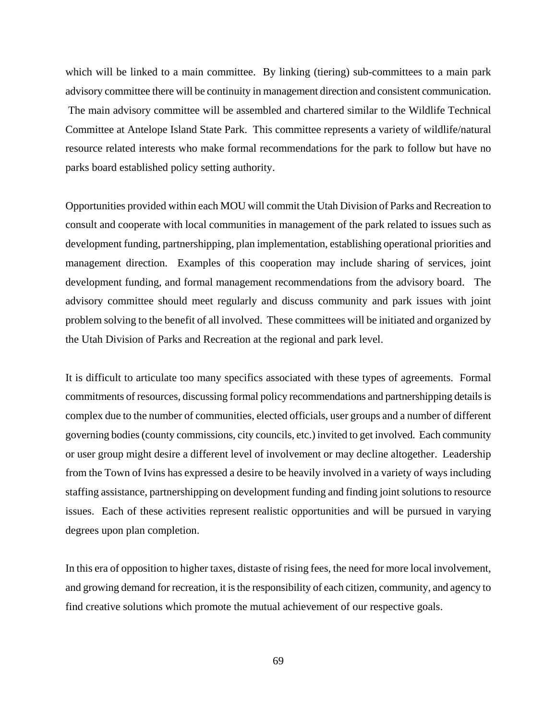which will be linked to a main committee. By linking (tiering) sub-committees to a main park advisory committee there will be continuity in management direction and consistent communication. The main advisory committee will be assembled and chartered similar to the Wildlife Technical Committee at Antelope Island State Park. This committee represents a variety of wildlife/natural resource related interests who make formal recommendations for the park to follow but have no parks board established policy setting authority.

Opportunities provided within each MOU will commit the Utah Division of Parks and Recreation to consult and cooperate with local communities in management of the park related to issues such as development funding, partnershipping, plan implementation, establishing operational priorities and management direction. Examples of this cooperation may include sharing of services, joint development funding, and formal management recommendations from the advisory board. The advisory committee should meet regularly and discuss community and park issues with joint problem solving to the benefit of all involved. These committees will be initiated and organized by the Utah Division of Parks and Recreation at the regional and park level.

It is difficult to articulate too many specifics associated with these types of agreements. Formal commitments of resources, discussing formal policy recommendations and partnershipping details is complex due to the number of communities, elected officials, user groups and a number of different governing bodies (county commissions, city councils, etc.) invited to get involved. Each community or user group might desire a different level of involvement or may decline altogether. Leadership from the Town of Ivins has expressed a desire to be heavily involved in a variety of ways including staffing assistance, partnershipping on development funding and finding joint solutions to resource issues. Each of these activities represent realistic opportunities and will be pursued in varying degrees upon plan completion.

In this era of opposition to higher taxes, distaste of rising fees, the need for more local involvement, and growing demand for recreation, it is the responsibility of each citizen, community, and agency to find creative solutions which promote the mutual achievement of our respective goals.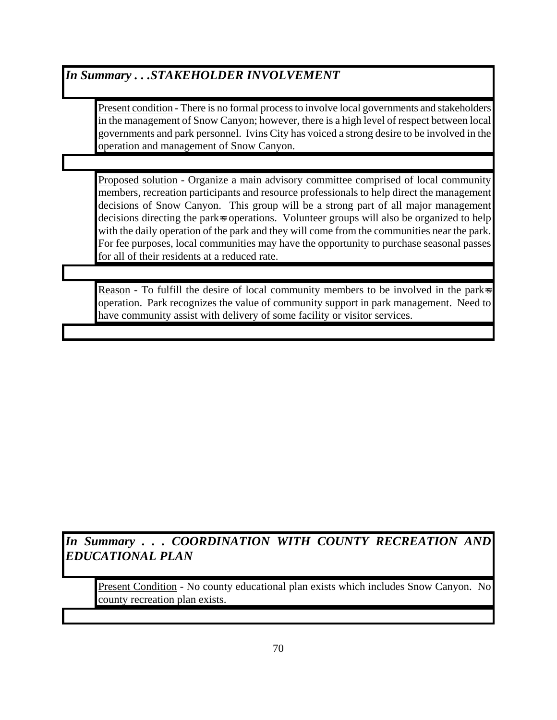### *In Summary . . .STAKEHOLDER INVOLVEMENT*

Present condition - There is no formal process to involve local governments and stakeholders in the management of Snow Canyon; however, there is a high level of respect between local governments and park personnel. Ivins City has voiced a strong desire to be involved in the operation and management of Snow Canyon.

Proposed solution - Organize a main advisory committee comprised of local community members, recreation participants and resource professionals to help direct the management decisions of Snow Canyon. This group will be a strong part of all major management decisions directing the park<sub>s</sub> operations. Volunteer groups will also be organized to help with the daily operation of the park and they will come from the communities near the park. For fee purposes, local communities may have the opportunity to purchase seasonal passes for all of their residents at a reduced rate.

Reason - To fulfill the desire of local community members to be involved in the park $\bar{z}$ operation. Park recognizes the value of community support in park management. Need to have community assist with delivery of some facility or visitor services.

*In Summary . . . COORDINATION WITH COUNTY RECREATION AND EDUCATIONAL PLAN* 

Present Condition - No county educational plan exists which includes Snow Canyon. No county recreation plan exists.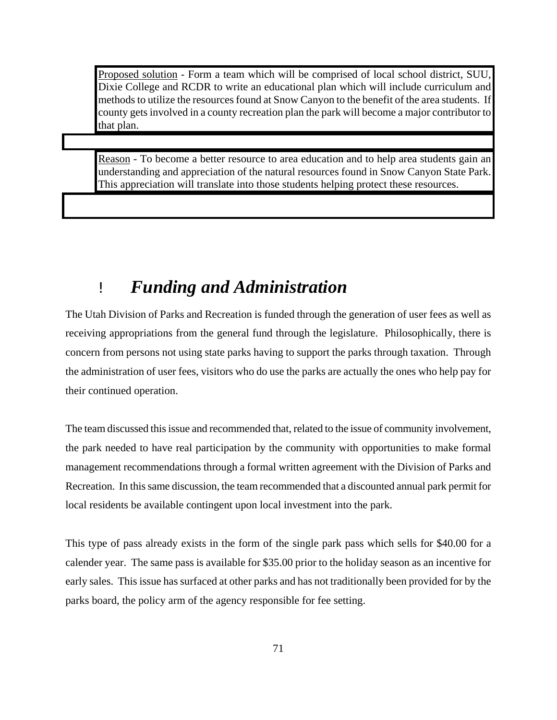Proposed solution - Form a team which will be comprised of local school district, SUU, Dixie College and RCDR to write an educational plan which will include curriculum and methods to utilize the resources found at Snow Canyon to the benefit of the area students. If county gets involved in a county recreation plan the park will become a major contributor to that plan.

Reason - To become a better resource to area education and to help area students gain an understanding and appreciation of the natural resources found in Snow Canyon State Park. This appreciation will translate into those students helping protect these resources.

# ! *Funding and Administration*

The Utah Division of Parks and Recreation is funded through the generation of user fees as well as receiving appropriations from the general fund through the legislature. Philosophically, there is concern from persons not using state parks having to support the parks through taxation. Through the administration of user fees, visitors who do use the parks are actually the ones who help pay for their continued operation.

The team discussed this issue and recommended that, related to the issue of community involvement, the park needed to have real participation by the community with opportunities to make formal management recommendations through a formal written agreement with the Division of Parks and Recreation. In this same discussion, the team recommended that a discounted annual park permit for local residents be available contingent upon local investment into the park.

This type of pass already exists in the form of the single park pass which sells for \$40.00 for a calender year. The same pass is available for \$35.00 prior to the holiday season as an incentive for early sales. This issue has surfaced at other parks and has not traditionally been provided for by the parks board, the policy arm of the agency responsible for fee setting.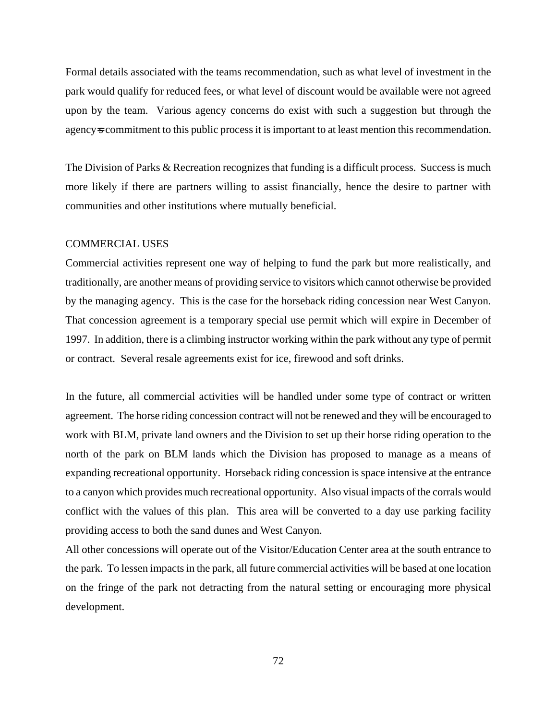Formal details associated with the teams recommendation, such as what level of investment in the park would qualify for reduced fees, or what level of discount would be available were not agreed upon by the team. Various agency concerns do exist with such a suggestion but through the agency<sub>s</sub> commitment to this public process it is important to at least mention this recommendation.

The Division of Parks & Recreation recognizes that funding is a difficult process. Success is much more likely if there are partners willing to assist financially, hence the desire to partner with communities and other institutions where mutually beneficial.

#### COMMERCIAL USES

Commercial activities represent one way of helping to fund the park but more realistically, and traditionally, are another means of providing service to visitors which cannot otherwise be provided by the managing agency. This is the case for the horseback riding concession near West Canyon. That concession agreement is a temporary special use permit which will expire in December of 1997. In addition, there is a climbing instructor working within the park without any type of permit or contract. Several resale agreements exist for ice, firewood and soft drinks.

In the future, all commercial activities will be handled under some type of contract or written agreement. The horse riding concession contract will not be renewed and they will be encouraged to work with BLM, private land owners and the Division to set up their horse riding operation to the north of the park on BLM lands which the Division has proposed to manage as a means of expanding recreational opportunity. Horseback riding concession is space intensive at the entrance to a canyon which provides much recreational opportunity. Also visual impacts of the corrals would conflict with the values of this plan. This area will be converted to a day use parking facility providing access to both the sand dunes and West Canyon.

All other concessions will operate out of the Visitor/Education Center area at the south entrance to the park. To lessen impacts in the park, all future commercial activities will be based at one location on the fringe of the park not detracting from the natural setting or encouraging more physical development.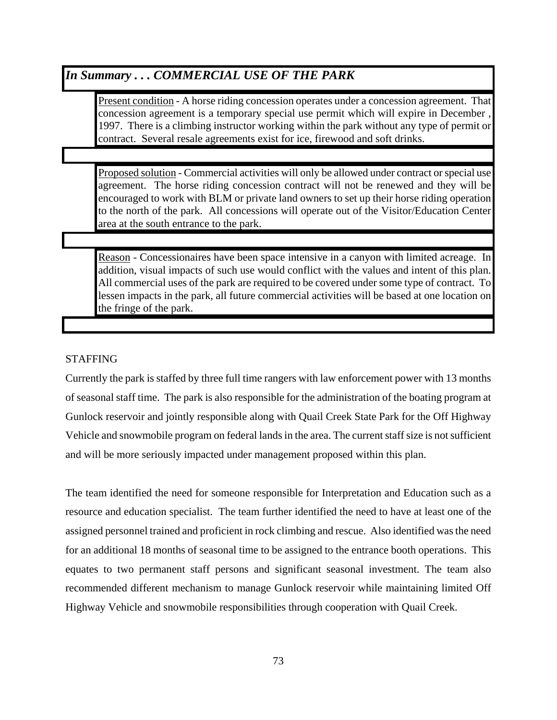### *In Summary . . . COMMERCIAL USE OF THE PARK*

Present condition - A horse riding concession operates under a concession agreement. That concession agreement is a temporary special use permit which will expire in December , 1997. There is a climbing instructor working within the park without any type of permit or contract. Several resale agreements exist for ice, firewood and soft drinks.

Proposed solution - Commercial activities will only be allowed under contract or special use agreement. The horse riding concession contract will not be renewed and they will be encouraged to work with BLM or private land owners to set up their horse riding operation to the north of the park. All concessions will operate out of the Visitor/Education Center area at the south entrance to the park.

Reason - Concessionaires have been space intensive in a canyon with limited acreage. In addition, visual impacts of such use would conflict with the values and intent of this plan. All commercial uses of the park are required to be covered under some type of contract. To lessen impacts in the park, all future commercial activities will be based at one location on the fringe of the park.

#### STAFFING

Currently the park is staffed by three full time rangers with law enforcement power with 13 months of seasonal staff time. The park is also responsible for the administration of the boating program at Gunlock reservoir and jointly responsible along with Quail Creek State Park for the Off Highway Vehicle and snowmobile program on federal lands in the area. The current staff size is not sufficient and will be more seriously impacted under management proposed within this plan.

The team identified the need for someone responsible for Interpretation and Education such as a resource and education specialist. The team further identified the need to have at least one of the assigned personnel trained and proficient in rock climbing and rescue. Also identified was the need for an additional 18 months of seasonal time to be assigned to the entrance booth operations. This equates to two permanent staff persons and significant seasonal investment. The team also recommended different mechanism to manage Gunlock reservoir while maintaining limited Off Highway Vehicle and snowmobile responsibilities through cooperation with Quail Creek.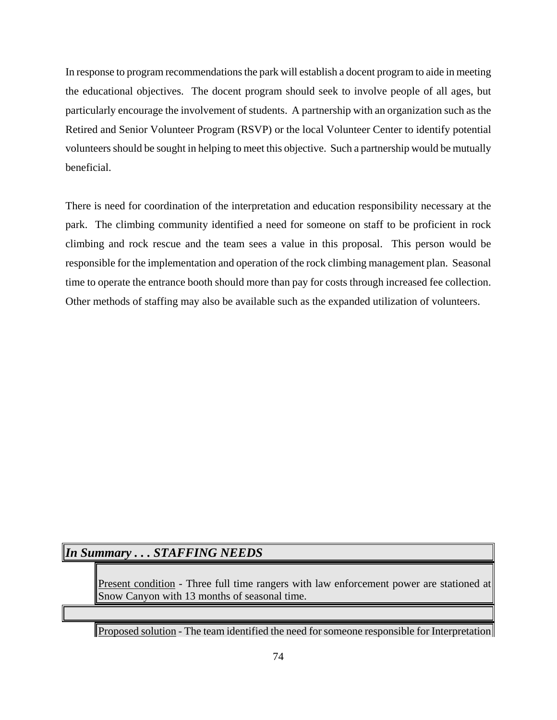In response to program recommendations the park will establish a docent program to aide in meeting the educational objectives. The docent program should seek to involve people of all ages, but particularly encourage the involvement of students. A partnership with an organization such as the Retired and Senior Volunteer Program (RSVP) or the local Volunteer Center to identify potential volunteers should be sought in helping to meet this objective. Such a partnership would be mutually beneficial.

There is need for coordination of the interpretation and education responsibility necessary at the park. The climbing community identified a need for someone on staff to be proficient in rock climbing and rock rescue and the team sees a value in this proposal. This person would be responsible for the implementation and operation of the rock climbing management plan. Seasonal time to operate the entrance booth should more than pay for costs through increased fee collection. Other methods of staffing may also be available such as the expanded utilization of volunteers.

### *In Summary . . . STAFFING NEEDS*

Present condition - Three full time rangers with law enforcement power are stationed at Snow Canyon with 13 months of seasonal time.

Proposed solution - The team identified the need for someone responsible for Interpretation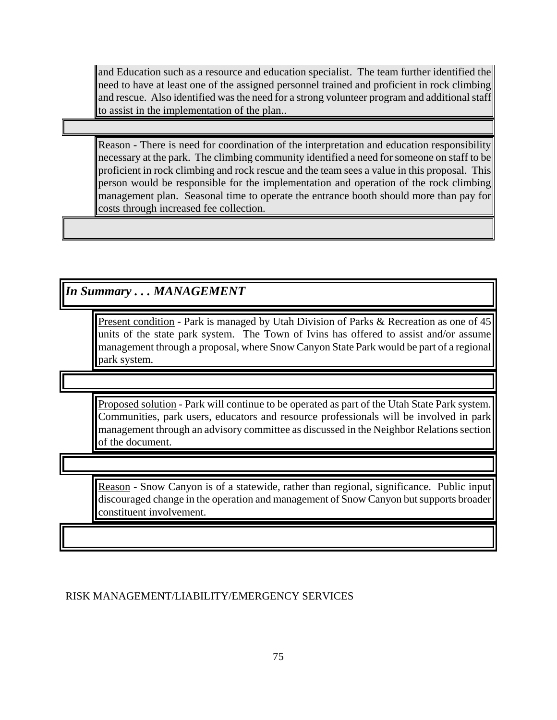and Education such as a resource and education specialist. The team further identified the need to have at least one of the assigned personnel trained and proficient in rock climbing and rescue. Also identified was the need for a strong volunteer program and additional staff to assist in the implementation of the plan..

Reason - There is need for coordination of the interpretation and education responsibility necessary at the park. The climbing community identified a need for someone on staff to be proficient in rock climbing and rock rescue and the team sees a value in this proposal. This person would be responsible for the implementation and operation of the rock climbing management plan. Seasonal time to operate the entrance booth should more than pay for costs through increased fee collection.

*In Summary . . . MANAGEMENT*

Present condition - Park is managed by Utah Division of Parks & Recreation as one of 45 units of the state park system. The Town of Ivins has offered to assist and/or assume management through a proposal, where Snow Canyon State Park would be part of a regional park system.

Proposed solution - Park will continue to be operated as part of the Utah State Park system. Communities, park users, educators and resource professionals will be involved in park management through an advisory committee as discussed in the Neighbor Relations section of the document.

Reason - Snow Canyon is of a statewide, rather than regional, significance. Public input discouraged change in the operation and management of Snow Canyon but supports broader constituent involvement.

RISK MANAGEMENT/LIABILITY/EMERGENCY SERVICES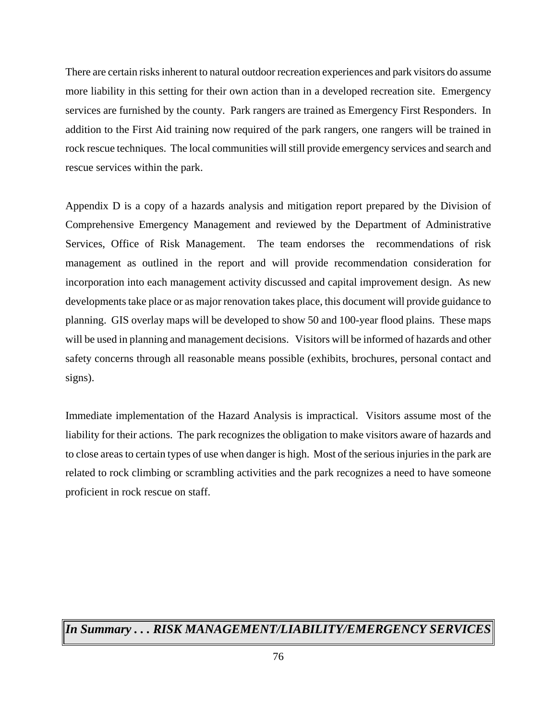There are certain risks inherent to natural outdoor recreation experiences and park visitors do assume more liability in this setting for their own action than in a developed recreation site. Emergency services are furnished by the county. Park rangers are trained as Emergency First Responders. In addition to the First Aid training now required of the park rangers, one rangers will be trained in rock rescue techniques. The local communities will still provide emergency services and search and rescue services within the park.

Appendix D is a copy of a hazards analysis and mitigation report prepared by the Division of Comprehensive Emergency Management and reviewed by the Department of Administrative Services, Office of Risk Management. The team endorses the recommendations of risk management as outlined in the report and will provide recommendation consideration for incorporation into each management activity discussed and capital improvement design. As new developments take place or as major renovation takes place, this document will provide guidance to planning. GIS overlay maps will be developed to show 50 and 100-year flood plains. These maps will be used in planning and management decisions. Visitors will be informed of hazards and other safety concerns through all reasonable means possible (exhibits, brochures, personal contact and signs).

Immediate implementation of the Hazard Analysis is impractical. Visitors assume most of the liability for their actions. The park recognizes the obligation to make visitors aware of hazards and to close areas to certain types of use when danger is high. Most of the serious injuries in the park are related to rock climbing or scrambling activities and the park recognizes a need to have someone proficient in rock rescue on staff.

## *In Summary . . . RISK MANAGEMENT/LIABILITY/EMERGENCY SERVICES*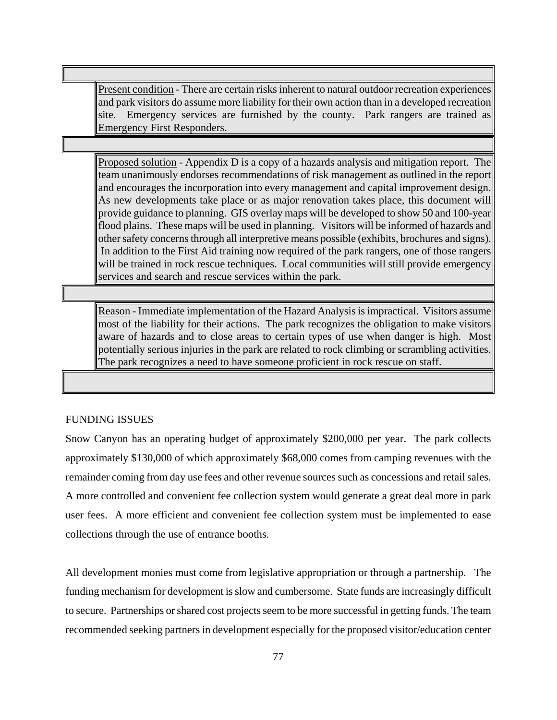Present condition - There are certain risks inherent to natural outdoor recreation experiences and park visitors do assume more liability for their own action than in a developed recreation site. Emergency services are furnished by the county. Park rangers are trained as Emergency First Responders.

Proposed solution - Appendix D is a copy of a hazards analysis and mitigation report. The team unanimously endorses recommendations of risk management as outlined in the report and encourages the incorporation into every management and capital improvement design. As new developments take place or as major renovation takes place, this document will provide guidance to planning. GIS overlay maps will be developed to show 50 and 100-year flood plains. These maps will be used in planning. Visitors will be informed of hazards and other safety concerns through all interpretive means possible (exhibits, brochures and signs). In addition to the First Aid training now required of the park rangers, one of those rangers will be trained in rock rescue techniques. Local communities will still provide emergency services and search and rescue services within the park.

Reason - Immediate implementation of the Hazard Analysis is impractical. Visitors assume most of the liability for their actions. The park recognizes the obligation to make visitors aware of hazards and to close areas to certain types of use when danger is high. Most potentially serious injuries in the park are related to rock climbing or scrambling activities. The park recognizes a need to have someone proficient in rock rescue on staff.

#### FUNDING ISSUES

Snow Canyon has an operating budget of approximately \$200,000 per year. The park collects approximately \$130,000 of which approximately \$68,000 comes from camping revenues with the remainder coming from day use fees and other revenue sources such as concessions and retail sales. A more controlled and convenient fee collection system would generate a great deal more in park user fees. A more efficient and convenient fee collection system must be implemented to ease collections through the use of entrance booths.

All development monies must come from legislative appropriation or through a partnership. The funding mechanism for development is slow and cumbersome. State funds are increasingly difficult to secure. Partnerships or shared cost projects seem to be more successful in getting funds. The team recommended seeking partners in development especially for the proposed visitor/education center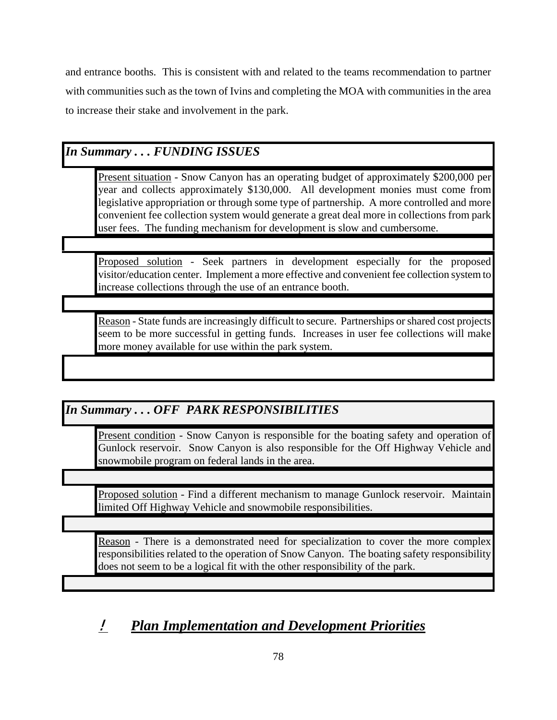and entrance booths. This is consistent with and related to the teams recommendation to partner with communities such as the town of Ivins and completing the MOA with communities in the area to increase their stake and involvement in the park.

### *In Summary . . . FUNDING ISSUES*

Present situation - Snow Canyon has an operating budget of approximately \$200,000 per year and collects approximately \$130,000. All development monies must come from legislative appropriation or through some type of partnership. A more controlled and more convenient fee collection system would generate a great deal more in collections from park user fees. The funding mechanism for development is slow and cumbersome.

Proposed solution - Seek partners in development especially for the proposed visitor/education center. Implement a more effective and convenient fee collection system to increase collections through the use of an entrance booth.

Reason - State funds are increasingly difficult to secure. Partnerships or shared cost projects seem to be more successful in getting funds. Increases in user fee collections will make more money available for use within the park system.

## *In Summary . . . OFF PARK RESPONSIBILITIES*

Present condition - Snow Canyon is responsible for the boating safety and operation of Gunlock reservoir. Snow Canyon is also responsible for the Off Highway Vehicle and snowmobile program on federal lands in the area.

Proposed solution - Find a different mechanism to manage Gunlock reservoir. Maintain limited Off Highway Vehicle and snowmobile responsibilities.

Reason - There is a demonstrated need for specialization to cover the more complex responsibilities related to the operation of Snow Canyon. The boating safety responsibility does not seem to be a logical fit with the other responsibility of the park.

# ! *Plan Implementation and Development Priorities*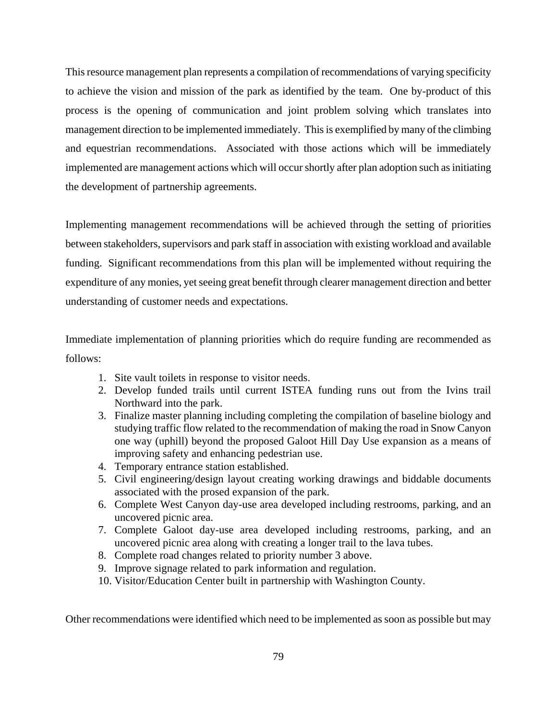This resource management plan represents a compilation of recommendations of varying specificity to achieve the vision and mission of the park as identified by the team. One by-product of this process is the opening of communication and joint problem solving which translates into management direction to be implemented immediately. This is exemplified by many of the climbing and equestrian recommendations. Associated with those actions which will be immediately implemented are management actions which will occur shortly after plan adoption such as initiating the development of partnership agreements.

Implementing management recommendations will be achieved through the setting of priorities between stakeholders, supervisors and park staff in association with existing workload and available funding. Significant recommendations from this plan will be implemented without requiring the expenditure of any monies, yet seeing great benefit through clearer management direction and better understanding of customer needs and expectations.

Immediate implementation of planning priorities which do require funding are recommended as follows:

- 1. Site vault toilets in response to visitor needs.
- 2. Develop funded trails until current ISTEA funding runs out from the Ivins trail Northward into the park.
- 3. Finalize master planning including completing the compilation of baseline biology and studying traffic flow related to the recommendation of making the road in Snow Canyon one way (uphill) beyond the proposed Galoot Hill Day Use expansion as a means of improving safety and enhancing pedestrian use.
- 4. Temporary entrance station established.
- 5. Civil engineering/design layout creating working drawings and biddable documents associated with the prosed expansion of the park.
- 6. Complete West Canyon day-use area developed including restrooms, parking, and an uncovered picnic area.
- 7. Complete Galoot day-use area developed including restrooms, parking, and an uncovered picnic area along with creating a longer trail to the lava tubes.
- 8. Complete road changes related to priority number 3 above.
- 9. Improve signage related to park information and regulation.
- 10. Visitor/Education Center built in partnership with Washington County.

Other recommendations were identified which need to be implemented as soon as possible but may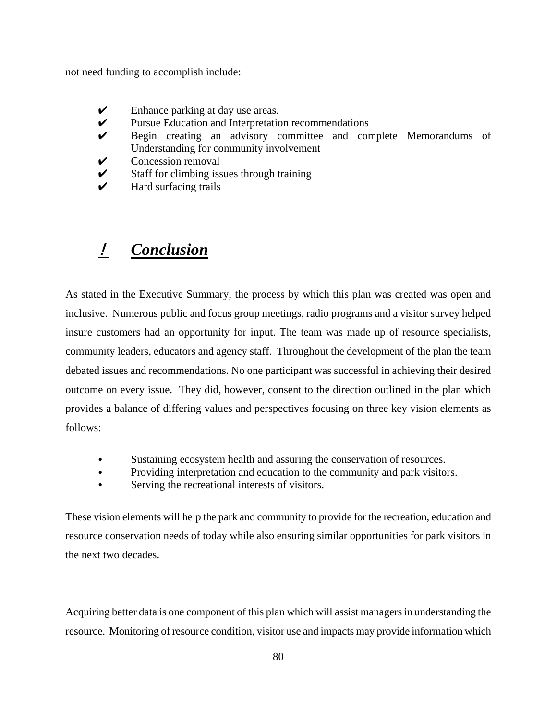not need funding to accomplish include:

- $\triangleright$  Enhance parking at day use areas.
- $\mathcal V$  Pursue Education and Interpretation recommendations
- U Begin creating an advisory committee and complete Memorandums of Understanding for community involvement
- $\triangleright$  Concession removal
- $\mathcal V$  Staff for climbing issues through training
- $\boldsymbol{\checkmark}$  Hard surfacing trails

## ! *Conclusion*

As stated in the Executive Summary, the process by which this plan was created was open and inclusive. Numerous public and focus group meetings, radio programs and a visitor survey helped insure customers had an opportunity for input. The team was made up of resource specialists, community leaders, educators and agency staff. Throughout the development of the plan the team debated issues and recommendations. No one participant was successful in achieving their desired outcome on every issue. They did, however, consent to the direction outlined in the plan which provides a balance of differing values and perspectives focusing on three key vision elements as follows:

- Sustaining ecosystem health and assuring the conservation of resources.
- Providing interpretation and education to the community and park visitors.
- Serving the recreational interests of visitors.

These vision elements will help the park and community to provide for the recreation, education and resource conservation needs of today while also ensuring similar opportunities for park visitors in the next two decades.

Acquiring better data is one component of this plan which will assist managers in understanding the resource. Monitoring of resource condition, visitor use and impacts may provide information which